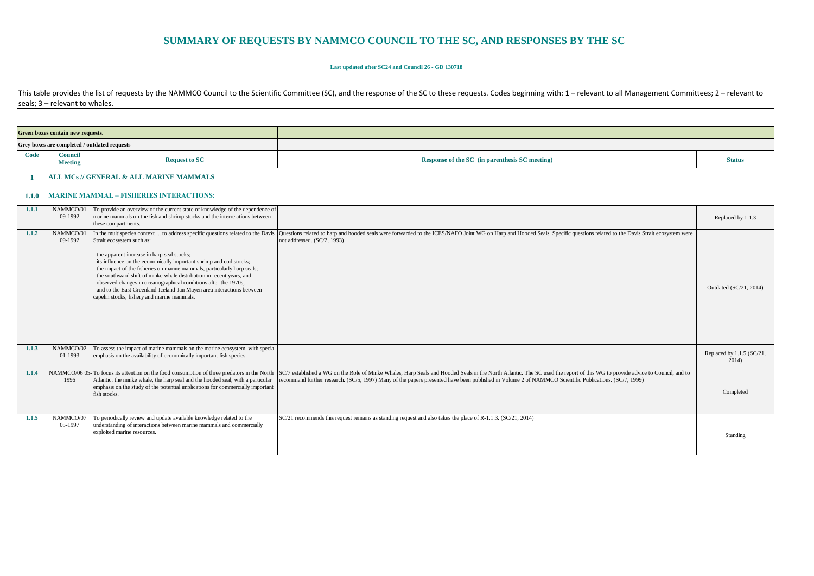## **SUMMARY OF REQUESTS BY NAMMCO COUNCIL TO THE SC, AND RESPONSES BY THE SC**

## **Last updated after SC24 and Council 26 - GD 130718**

┑

This table provides the list of requests by the NAMMCO Council to the Scientific Committee (SC), and the response of the SC to these requests. Codes beginning with: 1 – relevant to all Management Committees; 2 – relevant t seals; 3 – relevant to whales.

|       | Green boxes contain new requests.            |                                                                                                                                                                                                                                                                                                                                                                                                                                                                                                         |                                                                                                                                                                                                                                                                                                                                                                                         |                                    |  |  |
|-------|----------------------------------------------|---------------------------------------------------------------------------------------------------------------------------------------------------------------------------------------------------------------------------------------------------------------------------------------------------------------------------------------------------------------------------------------------------------------------------------------------------------------------------------------------------------|-----------------------------------------------------------------------------------------------------------------------------------------------------------------------------------------------------------------------------------------------------------------------------------------------------------------------------------------------------------------------------------------|------------------------------------|--|--|
|       | Grey boxes are completed / outdated requests |                                                                                                                                                                                                                                                                                                                                                                                                                                                                                                         |                                                                                                                                                                                                                                                                                                                                                                                         |                                    |  |  |
| Code  | <b>Council</b><br><b>Meeting</b>             | <b>Request to SC</b>                                                                                                                                                                                                                                                                                                                                                                                                                                                                                    | Response of the SC (in parenthesis SC meeting)                                                                                                                                                                                                                                                                                                                                          | <b>Status</b>                      |  |  |
|       |                                              | ALL MCs // GENERAL & ALL MARINE MAMMALS                                                                                                                                                                                                                                                                                                                                                                                                                                                                 |                                                                                                                                                                                                                                                                                                                                                                                         |                                    |  |  |
| 1.1.0 |                                              | <b>MARINE MAMMAL - FISHERIES INTERACTIONS:</b>                                                                                                                                                                                                                                                                                                                                                                                                                                                          |                                                                                                                                                                                                                                                                                                                                                                                         |                                    |  |  |
| 1.1.1 | NAMMCO/01<br>09-1992                         | To provide an overview of the current state of knowledge of the dependence of<br>marine mammals on the fish and shrimp stocks and the interrelations between<br>these compartments.                                                                                                                                                                                                                                                                                                                     |                                                                                                                                                                                                                                                                                                                                                                                         | Replaced by 1.1.3                  |  |  |
| 1.1.2 | NAMMCO/01<br>09-1992                         | Strait ecosystem such as:<br>- the apparent increase in harp seal stocks;<br>- its influence on the economically important shrimp and cod stocks;<br>- the impact of the fisheries on marine mammals, particularly harp seals;<br>- the southward shift of minke whale distribution in recent years, and<br>- observed changes in oceanographical conditions after the 1970s;<br>- and to the East Greenland-Iceland-Jan Mayen area interactions between<br>capelin stocks, fishery and marine mammals. | In the multispecies context  to address specific questions related to the Davis  Questions related to harp and hooded seals were forwarded to the ICES/NAFO Joint WG on Harp and Hooded Seals. Specific questions related t<br>not addressed. (SC/2, 1993)                                                                                                                              | Outdated (SC/21, 2014)             |  |  |
| 1.1.3 | NAMMCO/02<br>01-1993                         | To assess the impact of marine mammals on the marine ecosystem, with special<br>emphasis on the availability of economically important fish species.                                                                                                                                                                                                                                                                                                                                                    |                                                                                                                                                                                                                                                                                                                                                                                         | Replaced by 1.1.5 (SC/21,<br>2014) |  |  |
| 1.1.4 | 1996                                         | Atlantic: the minke whale, the harp seal and the hooded seal, with a particular<br>emphasis on the study of the potential implications for commercially important<br>fish stocks.                                                                                                                                                                                                                                                                                                                       | NAMMCO/06 05- To focus its attention on the food consumption of three predators in the North SC/7 established a WG on the Role of Minke Whales, Harp Seals and Hooded Seals in the North Atlantic. The SC used the report of t<br>recommend further research. (SC/5, 1997) Many of the papers presented have been published in Volume 2 of NAMMCO Scientific Publications. (SC/7, 1999) | Completed                          |  |  |
| 1.1.5 | NAMMCO/07<br>05-1997                         | To periodically review and update available knowledge related to the<br>understanding of interactions between marine mammals and commercially<br>exploited marine resources.                                                                                                                                                                                                                                                                                                                            | SC/21 recommends this request remains as standing request and also takes the place of R-1.1.3. (SC/21, 2014)                                                                                                                                                                                                                                                                            | Standing                           |  |  |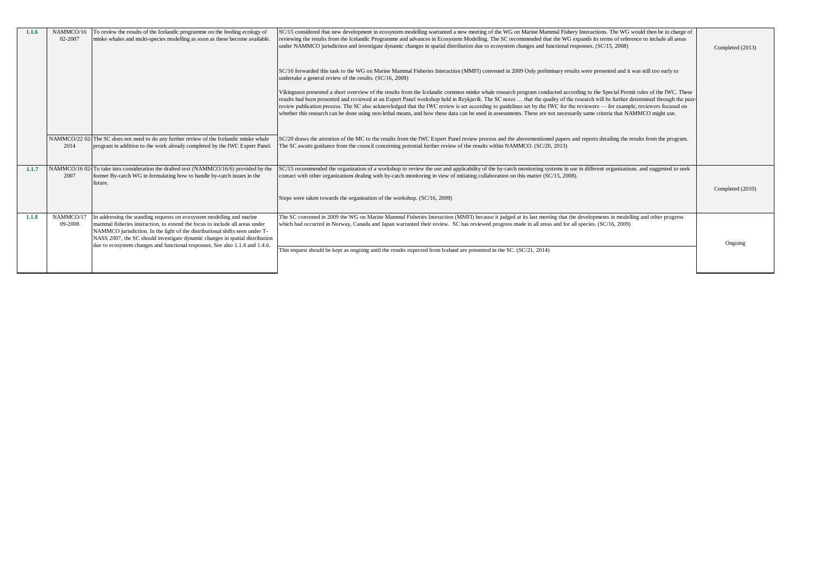| 1.1.6 | NAMMCO/16<br>02-2007 | To review the results of the Icelandic programme on the feeding ecology of<br>minke whales and multi-species modelling as soon as these become available.                                                                                                                                                                                                                                             | SC/15 considered that new development in ecosystem modelling warranted a new meeting of the WG on Marine Mammal Fishery Interactions. The WG would then be in charge of<br>reviewing the results from the Icelandic Programme and advances in Ecosystem Modelling. The SC recommended that the WG expands its terms of reference to include all areas<br>under NAMMCO jurisdiction and investigate dynamic changes in spatial distribution due to ecosystem changes and functional responses. (SC/15, 2008)                                  | Completed (2013) |
|-------|----------------------|-------------------------------------------------------------------------------------------------------------------------------------------------------------------------------------------------------------------------------------------------------------------------------------------------------------------------------------------------------------------------------------------------------|----------------------------------------------------------------------------------------------------------------------------------------------------------------------------------------------------------------------------------------------------------------------------------------------------------------------------------------------------------------------------------------------------------------------------------------------------------------------------------------------------------------------------------------------|------------------|
|       |                      |                                                                                                                                                                                                                                                                                                                                                                                                       | SC/16 forwarded this task to the WG on Marine Mammal Fisheries Interaction (MMFI) convened in 2009 Only preliminary results were presented and it was still too early to<br>undertake a general review of the results. (SC/16, 2009)<br>Vikingsson presented a short overview of the results from the Icelandic common minke whale research program conducted according to the Special Permit rules of the IWC. These                                                                                                                        |                  |
|       |                      |                                                                                                                                                                                                                                                                                                                                                                                                       | results had been presented and reviewed at an Expert Panel workshop held in Reykjavík. The SC notes  that the quality of the research will be further determined through the peer<br>review publication process. The SC also acknowledged that the IWC review is set according to guidelines set by the IWC for the reviewers — for example, reviewers focused on<br>whether this research can be done using non-lethal means, and how these data can be used in assessments. These are not necessarily same criteria that NAMMCO might use. |                  |
|       | 2014                 | NAMMCO/22 02-The SC does not need to do any further review of the Icelandic minke whale<br>program in addition to the work already completed by the IWC Expert Panel.                                                                                                                                                                                                                                 | SC/20 draws the attention of the MC to the results from the IWC Expert Panel review process and the abovementioned papers and reports detailing the results from the program.<br>The SC awaits guidance from the council concerning potential further review of the results within NAMMCO. (SC/20, 2013)                                                                                                                                                                                                                                     |                  |
| 1.1.7 | 2007                 | NAMMCO/16 02-To take into consideration the drafted text (NAMMCO/16/6) provided by the<br>former By-catch WG in formulating how to handle by-catch issues in the<br>future.                                                                                                                                                                                                                           | SC/15 recommended the organization of a workshop to review the use and applicability of the by-catch monitoring systems in use in different organizations. and suggested to seek<br>contact with other organizations dealing with by-catch monitoring in view of initiating collaboration on this matter (SC/15, 2008).                                                                                                                                                                                                                      | Completed (2010) |
|       |                      |                                                                                                                                                                                                                                                                                                                                                                                                       | Steps were taken towards the organisation of the workshop. (SC/16, 2009)                                                                                                                                                                                                                                                                                                                                                                                                                                                                     |                  |
| 1.1.8 | NAMMCO/17<br>09-2008 | In addressing the standing requests on ecosystem modelling and marine<br>mammal fisheries interaction, to extend the focus to include all areas under<br>NAMMCO jurisdiction. In the light of the distributional shifts seen under T-<br>NASS 2007, the SC should investigate dynamic changes in spatial distribution<br>due to ecosystem changes and functional responses. See also 1.1.6 and 1.4.6. | The SC convened in 2009 the WG on Marine Mammal Fisheries Interaction (MMFI) because it judged at its last meeting that the developments in modelling and other progress<br>which had occurred in Norway, Canada and Japan warranted their review. SC has reviewed progress made in all areas and for all species. (SC/16, 2009)                                                                                                                                                                                                             | Ongoing          |
|       |                      |                                                                                                                                                                                                                                                                                                                                                                                                       | This request should be kept as ongoing until the results expected from Iceland are presented in the SC. (SC/21, 2014)                                                                                                                                                                                                                                                                                                                                                                                                                        |                  |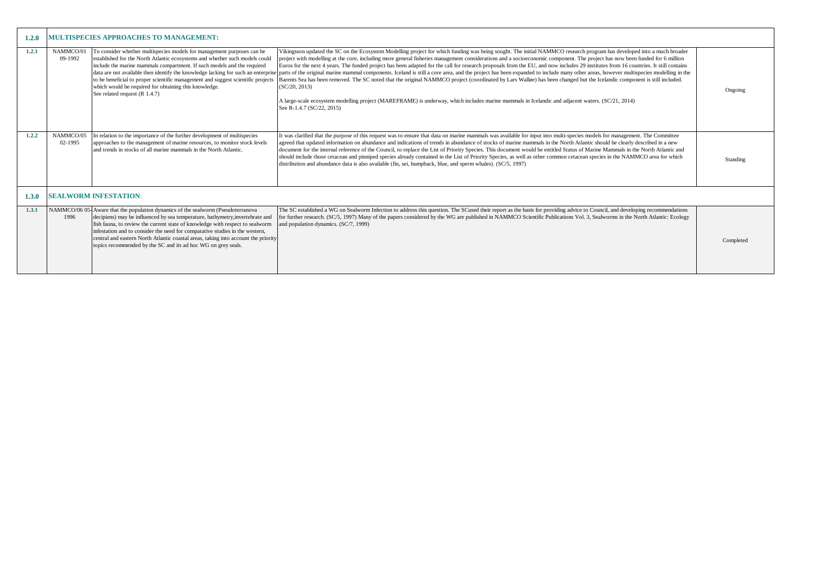| 1.2.0 | <b>MULTISPECIES APPROACHES TO MANAGEMENT:</b> |                                                                                                                                                                                                                                                                                                                                                                                                                                                                                           |                                                                                                                                                                                                                                                                                                                                                                                                                                                                                                                                                                                                                                                                                                                                                                                                                                                                                                                                                                                                                                                                                                                                                               |           |
|-------|-----------------------------------------------|-------------------------------------------------------------------------------------------------------------------------------------------------------------------------------------------------------------------------------------------------------------------------------------------------------------------------------------------------------------------------------------------------------------------------------------------------------------------------------------------|---------------------------------------------------------------------------------------------------------------------------------------------------------------------------------------------------------------------------------------------------------------------------------------------------------------------------------------------------------------------------------------------------------------------------------------------------------------------------------------------------------------------------------------------------------------------------------------------------------------------------------------------------------------------------------------------------------------------------------------------------------------------------------------------------------------------------------------------------------------------------------------------------------------------------------------------------------------------------------------------------------------------------------------------------------------------------------------------------------------------------------------------------------------|-----------|
| 1.2.1 | NAMMCO/01<br>09-1992                          | To consider whether multispecies models for management purposes can be<br>established for the North Atlantic ecosystems and whether such models could<br>include the marine mammals compartment. If such models and the required<br>to be beneficial to proper scientific management and suggest scientific projects<br>which would be required for obtaining this knowledge.<br>See related request (R 1.4.7)                                                                            | Vikingsson updated the SC on the Ecosystem Modelling project for which funding was being sought. The initial NAMMCO research program has developed into a much broader<br>project with modelling at the core, including more general fisheries management considerations and a socioeconomic component. The project has now been funded for 6 million<br>Euros for the next 4 years. The funded project has been adapted for the call for research proposals from the EU, and now includes 29 institutes from 16 countries. It still contains<br>data are not available then identify the knowledge lacking for such an enterprise parts of the original marine mammal components. Iceland is still a core area, and the project has been expanded to include many other areas,<br>Barents Sea has been removed. The SC noted that the original NAMMCO project (coordinated by Lars Walløe) has been changed but the Icelandic component is still included.<br>(SC/20, 2013)<br>A large-scale ecosystem modelling project (MAREFRAME) is underway, which includes marine mammals in Icelandic and adjacent waters. (SC/21, 2014)<br>See R-1.4.7 (SC/22, 2015) | Ongoing   |
| 1.2.2 | NAMMCO/05<br>02-1995                          | In relation to the importance of the further development of multispecies<br>approaches to the management of marine resources, to monitor stock levels<br>and trends in stocks of all marine mammals in the North Atlantic.                                                                                                                                                                                                                                                                | It was clarified that the purpose of this request was to ensure that data on marine mammals was available for input into multi-species models for management. The Committee<br>agreed that updated information on abundance and indications of trends in abundance of stocks of marine mammals in the North Atlantic should be clearly described in a new<br>document for the internal reference of the Council, to replace the List of Priority Species. This document would be entitled Status of Marine Mammals in the North Atlantic and<br>should include those cetacean and pinniped species already contained in the List of Priority Species, as well as other common cetacean species in the NAMMCO area for which<br>distribution and abundance data is also available (fin, sei, humpback, blue, and sperm whales). (SC/5, 1997)                                                                                                                                                                                                                                                                                                                   | Standing  |
| 1.3.0 |                                               | <b>SEALWORM INFESTATION:</b>                                                                                                                                                                                                                                                                                                                                                                                                                                                              |                                                                                                                                                                                                                                                                                                                                                                                                                                                                                                                                                                                                                                                                                                                                                                                                                                                                                                                                                                                                                                                                                                                                                               |           |
| 1.3.1 | 1996                                          | NAMMCO/06 05-Aware that the population dynamics of the sealworm (Pseudoterranova<br>decipiens) may be influenced by sea temperature, bathymetry, invertebrate and<br>fish fauna, to review the current state of knowledge with respect to sealworm<br>infestation and to consider the need for comparative studies in the western,<br>central and eastern North Atlantic coastal areas, taking into account the priority<br>topics recommended by the SC and its ad hoc WG on grey seals. | The SC established a WG on Sealworm Infection to address this question. The SCused their report as the basis for providing advice to Council, and developing recommendations<br>for further research. (SC/5, 1997) Many of the papers considered by the WG are published in NAMMCO Scientific Publications Vol. 3, Sealworms in the North Atlantic: Ecology<br>and population dynamics. (SC/7, 1999)                                                                                                                                                                                                                                                                                                                                                                                                                                                                                                                                                                                                                                                                                                                                                          | Completed |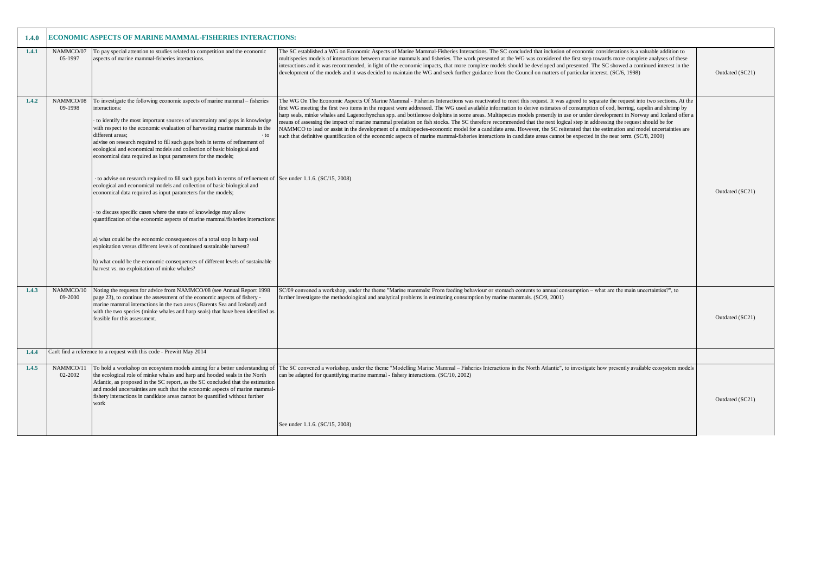| 1.4.0 | ECONOMIC ASPECTS OF MARINE MAMMAL-FISHERIES INTERACTIONS: |                                                                                                                                                                                                                                                                                                                                                                                                                                                                                                                                                                                                                                                                                                                                                                                                                                                                                                                                                                                                                                                                                                                                                                                                                                  |                                                                                                                                                                                                                                                                                                                                                                                                                                                                                                                                                                                                                                                                                                                                                                                                                                                                                                                                                                                                                                                                                               |                 |  |
|-------|-----------------------------------------------------------|----------------------------------------------------------------------------------------------------------------------------------------------------------------------------------------------------------------------------------------------------------------------------------------------------------------------------------------------------------------------------------------------------------------------------------------------------------------------------------------------------------------------------------------------------------------------------------------------------------------------------------------------------------------------------------------------------------------------------------------------------------------------------------------------------------------------------------------------------------------------------------------------------------------------------------------------------------------------------------------------------------------------------------------------------------------------------------------------------------------------------------------------------------------------------------------------------------------------------------|-----------------------------------------------------------------------------------------------------------------------------------------------------------------------------------------------------------------------------------------------------------------------------------------------------------------------------------------------------------------------------------------------------------------------------------------------------------------------------------------------------------------------------------------------------------------------------------------------------------------------------------------------------------------------------------------------------------------------------------------------------------------------------------------------------------------------------------------------------------------------------------------------------------------------------------------------------------------------------------------------------------------------------------------------------------------------------------------------|-----------------|--|
| 1.4.1 | NAMMCO/07<br>05-1997                                      | To pay special attention to studies related to competition and the economic<br>aspects of marine mammal-fisheries interactions.                                                                                                                                                                                                                                                                                                                                                                                                                                                                                                                                                                                                                                                                                                                                                                                                                                                                                                                                                                                                                                                                                                  | The SC established a WG on Economic Aspects of Marine Mammal-Fisheries Interactions. The SC concluded that inclusion of economic considerations is a valuable addition to<br>multispecies models of interactions between marine mammals and fisheries. The work presented at the WG was considered the first step towards more complete analyses of these<br>interactions and it was recommended, in light of the economic impacts, that more complete models should be developed and presented. The SC showed a continued interest in the<br>development of the models and it was decided to maintain the WG and seek further guidance from the Council on matters of particular interest. (SC/6, 1998)                                                                                                                                                                                                                                                                                                                                                                                      | Outdated (SC21) |  |
| 1.4.2 | NAMMCO/08<br>09-1998                                      | To investigate the following economic aspects of marine mammal - fisheries<br>interactions:<br>to identify the most important sources of uncertainty and gaps in knowledge<br>with respect to the economic evaluation of harvesting marine mammals in the<br>different areas:<br>$\cdot$ to<br>advise on research required to fill such gaps both in terms of refinement of<br>ecological and economical models and collection of basic biological and<br>economical data required as input parameters for the models;<br>to advise on research required to fill such gaps both in terms of refinement of See under 1.1.6. (SC/15, 2008)<br>ecological and economical models and collection of basic biological and<br>economical data required as input parameters for the models;<br>to discuss specific cases where the state of knowledge may allow<br>quantification of the economic aspects of marine mammal/fisheries interactions:<br>a) what could be the economic consequences of a total stop in harp seal<br>exploitation versus different levels of continued sustainable harvest?<br>b) what could be the economic consequences of different levels of sustainable<br>harvest vs. no exploitation of minke whales? | The WG On The Economic Aspects Of Marine Mammal - Fisheries Interactions was reactivated to meet this request. It was agreed to separate the request into two sections. At the<br>first WG meeting the first two items in the request were addressed. The WG used available information to derive estimates of consumption of cod, herring, capelin and shrimp by<br>harp seals, minke whales and Lagenorhynchus spp. and bottlenose dolphins in some areas. Multispecies models presently in use or under development in Norway and Iceland offer a<br>means of assessing the impact of marine mammal predation on fish stocks. The SC therefore recommended that the next logical step in addressing the request should be for<br>NAMMCO to lead or assist in the development of a multispecies-economic model for a candidate area. However, the SC reiterated that the estimation and model uncertainties are<br>such that definitive quantification of the economic aspects of marine mammal-fisheries interactions in candidate areas cannot be expected in the near term. (SC/8, 2000) | Outdated (SC21) |  |
| 1.4.3 | NAMMCO/10<br>09-2000                                      | Noting the requests for advice from NAMMCO/08 (see Annual Report 1998<br>page 23), to continue the assessment of the economic aspects of fishery -<br>marine mammal interactions in the two areas (Barents Sea and Iceland) and<br>with the two species (minke whales and harp seals) that have been identified as<br>feasible for this assessment.                                                                                                                                                                                                                                                                                                                                                                                                                                                                                                                                                                                                                                                                                                                                                                                                                                                                              | SC/09 convened a workshop, under the theme "Marine mammals: From feeding behaviour or stomach contents to annual consumption - what are the main uncertainties?", to<br>further investigate the methodological and analytical problems in estimating consumption by marine mammals. (SC/9, 2001)                                                                                                                                                                                                                                                                                                                                                                                                                                                                                                                                                                                                                                                                                                                                                                                              | Outdated (SC21) |  |
| 1.4.4 |                                                           | Can't find a reference to a request with this code - Prewitt May 2014                                                                                                                                                                                                                                                                                                                                                                                                                                                                                                                                                                                                                                                                                                                                                                                                                                                                                                                                                                                                                                                                                                                                                            |                                                                                                                                                                                                                                                                                                                                                                                                                                                                                                                                                                                                                                                                                                                                                                                                                                                                                                                                                                                                                                                                                               |                 |  |
| 1.4.5 | NAMMCO/11<br>02-2002                                      | To hold a workshop on ecosystem models aiming for a better understanding of<br>the ecological role of minke whales and harp and hooded seals in the North<br>Atlantic, as proposed in the SC report, as the SC concluded that the estimation<br>and model uncertainties are such that the economic aspects of marine mammal-<br>fishery interactions in candidate areas cannot be quantified without further<br>work                                                                                                                                                                                                                                                                                                                                                                                                                                                                                                                                                                                                                                                                                                                                                                                                             | The SC convened a workshop, under the theme "Modelling Marine Mammal - Fisheries Interactions in the North Atlantic", to investigate how presently available ecosystem models<br>can be adapted for quantifying marine mammal - fishery interactions. (SC/10, 2002)<br>See under 1.1.6. (SC/15, 2008)                                                                                                                                                                                                                                                                                                                                                                                                                                                                                                                                                                                                                                                                                                                                                                                         | Outdated (SC21) |  |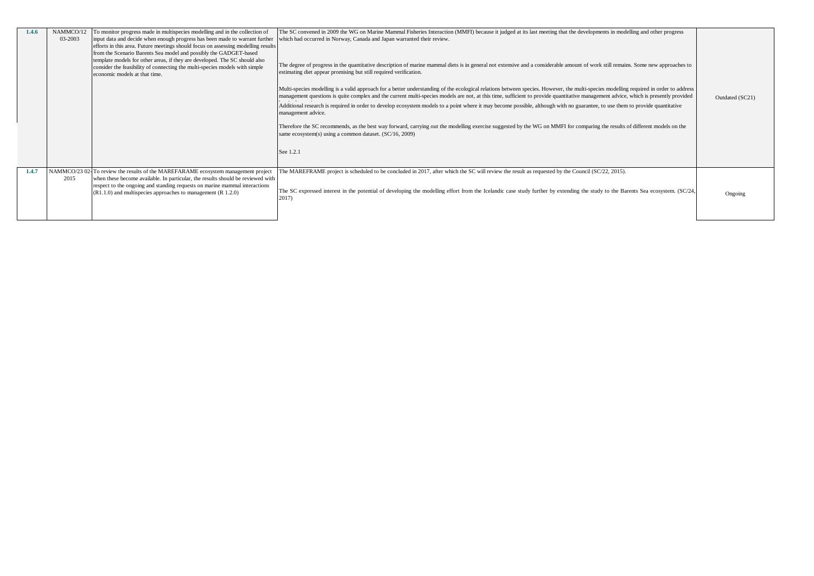| 1.4.6 | NAMMCO/12 | To monitor progress made in multispecies modelling and in the collection of                                                                        | The SC convened in 2009 the WG on Marine Mammal Fisheries Interaction (MMFI) because it judged at its last meeting that the developments in modelling and other progress              |                 |
|-------|-----------|----------------------------------------------------------------------------------------------------------------------------------------------------|---------------------------------------------------------------------------------------------------------------------------------------------------------------------------------------|-----------------|
|       | 03-2003   | input data and decide when enough progress has been made to warrant further which had occurred in Norway, Canada and Japan warranted their review. |                                                                                                                                                                                       |                 |
|       |           | efforts in this area. Future meetings should focus on assessing modelling results                                                                  |                                                                                                                                                                                       |                 |
|       |           | from the Scenario Barents Sea model and possibly the GADGET-based                                                                                  |                                                                                                                                                                                       |                 |
|       |           | template models for other areas, if they are developed. The SC should also                                                                         |                                                                                                                                                                                       |                 |
|       |           | consider the feasibility of connecting the multi-species models with simple                                                                        | The degree of progress in the quantitative description of marine mammal diets is in general not extensive and a considerable amount of work still remains. Some new approaches to     |                 |
|       |           | economic models at that time.                                                                                                                      | estimating diet appear promising but still required verification.                                                                                                                     |                 |
|       |           |                                                                                                                                                    |                                                                                                                                                                                       |                 |
|       |           |                                                                                                                                                    | Multi-species modelling is a valid approach for a better understanding of the ecological relations between species. However, the multi-species modelling required in order to address |                 |
|       |           |                                                                                                                                                    | management questions is quite complex and the current multi-species models are not, at this time, sufficient to provide quantitative management advice, which is presently provided   |                 |
|       |           |                                                                                                                                                    |                                                                                                                                                                                       | Outdated (SC21) |
|       |           |                                                                                                                                                    | Additional research is required in order to develop ecosystem models to a point where it may become possible, although with no guarantee, to use them to provide quantitative         |                 |
|       |           |                                                                                                                                                    | management advice.                                                                                                                                                                    |                 |
|       |           |                                                                                                                                                    |                                                                                                                                                                                       |                 |
|       |           |                                                                                                                                                    | Therefore the SC recommends, as the best way forward, carrying out the modelling exercise suggested by the WG on MMFI for comparing the results of different models on the            |                 |
|       |           |                                                                                                                                                    | same ecosystem(s) using a common dataset. (SC/16, 2009)                                                                                                                               |                 |
|       |           |                                                                                                                                                    |                                                                                                                                                                                       |                 |
|       |           |                                                                                                                                                    |                                                                                                                                                                                       |                 |
|       |           |                                                                                                                                                    | See 1.2.1                                                                                                                                                                             |                 |
|       |           |                                                                                                                                                    |                                                                                                                                                                                       |                 |
| 1.4.7 |           | NAMMCO/23 02-To review the results of the MAREFARAME ecosystem management project                                                                  | The MAREFRAME project is scheduled to be concluded in 2017, after which the SC will review the result as requested by the Council (SC/22, 2015).                                      |                 |
|       | 2015      | when these become available. In particular, the results should be reviewed with                                                                    |                                                                                                                                                                                       |                 |
|       |           | respect to the ongoing and standing requests on marine mammal interactions                                                                         |                                                                                                                                                                                       |                 |
|       |           |                                                                                                                                                    | The SC expressed interest in the potential of developing the modelling effort from the Icelandic case study further by extending the study to the Barents Sea ecosystem. (SC/24,      |                 |
|       |           | $(R1.1.0)$ and multispecies approaches to management $(R 1.2.0)$                                                                                   | 2017)                                                                                                                                                                                 | Ongoing         |
|       |           |                                                                                                                                                    |                                                                                                                                                                                       |                 |
|       |           |                                                                                                                                                    |                                                                                                                                                                                       |                 |
|       |           |                                                                                                                                                    |                                                                                                                                                                                       |                 |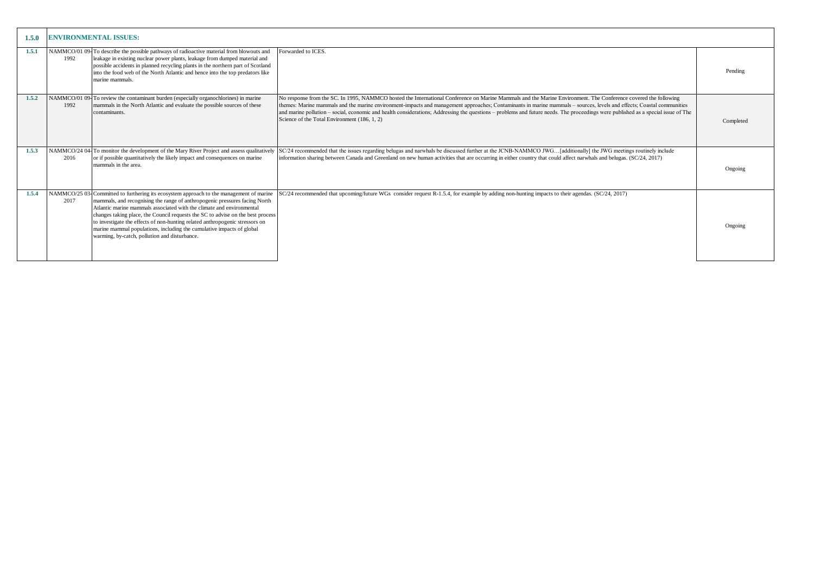| 1.5.0 | <b>ENVIRONMENTAL ISSUES:</b> |                                                                                                                                                                                                                                                                                                                                                                                                                                                                                                                                             |                                                                                                                                                                                                                                                                                                                                                                                                                                                                                                                                                                                |           |  |
|-------|------------------------------|---------------------------------------------------------------------------------------------------------------------------------------------------------------------------------------------------------------------------------------------------------------------------------------------------------------------------------------------------------------------------------------------------------------------------------------------------------------------------------------------------------------------------------------------|--------------------------------------------------------------------------------------------------------------------------------------------------------------------------------------------------------------------------------------------------------------------------------------------------------------------------------------------------------------------------------------------------------------------------------------------------------------------------------------------------------------------------------------------------------------------------------|-----------|--|
| 1.5.1 | 1992                         | NAMMCO/01 09-To describe the possible pathways of radioactive material from blowouts and<br>leakage in existing nuclear power plants, leakage from dumped material and<br>possible accidents in planned recycling plants in the northern part of Scotland<br>into the food web of the North Atlantic and hence into the top predators like<br>marine mammals.                                                                                                                                                                               | Forwarded to ICES.                                                                                                                                                                                                                                                                                                                                                                                                                                                                                                                                                             | Pending   |  |
| 1.5.2 | 1992                         | NAMMCO/01 09-To review the contaminant burden (especially organochlorines) in marine<br>mammals in the North Atlantic and evaluate the possible sources of these<br>contaminants                                                                                                                                                                                                                                                                                                                                                            | No response from the SC. In 1995, NAMMCO hosted the International Conference on Marine Mammals and the Marine Environment. The Conference covered the following<br>themes: Marine mammals and the marine environment-impacts and management approaches; Contaminants in marine mammals – sources, levels and effects; Coastal communities<br>and marine pollution – social, economic and health considerations; Addressing the questions – problems and future needs. The proceedings were published as a special issue of The<br>Science of the Total Environment (186, 1, 2) | Completed |  |
| 1.5.3 | 2016                         | NAMMCO/24 04-To monitor the development of the Mary River Project and assess qualitatively<br>or if possible quantitatively the likely impact and consequences on marine<br>mammals in the area.                                                                                                                                                                                                                                                                                                                                            | SC/24 recommended that the issues regarding belugas and narwhals be discussed further at the JCNB-NAMMCO JWG[additionally] the JWG meetings routinely include<br>information sharing between Canada and Greenland on new human activities that are occurring in either country that could affect narwhals and belugas. (SC/24, 2017)                                                                                                                                                                                                                                           | Ongoing   |  |
| 1.5.4 | 2017                         | NAMMCO/25 03-Committed to furthering its ecosystem approach to the management of marine<br>mammals, and recognising the range of anthropogenic pressures facing North<br>Atlantic marine mammals associated with the climate and environmental<br>changes taking place, the Council requests the SC to advise on the best process<br>to investigate the effects of non-hunting related anthropogenic stressors on<br>marine mammal populations, including the cumulative impacts of global<br>warming, by-catch, pollution and disturbance. | SC/24 recommended that upcoming/future WGs consider request R-1.5.4, for example by adding non-hunting impacts to their agendas. (SC/24, 2017)                                                                                                                                                                                                                                                                                                                                                                                                                                 | Ongoing   |  |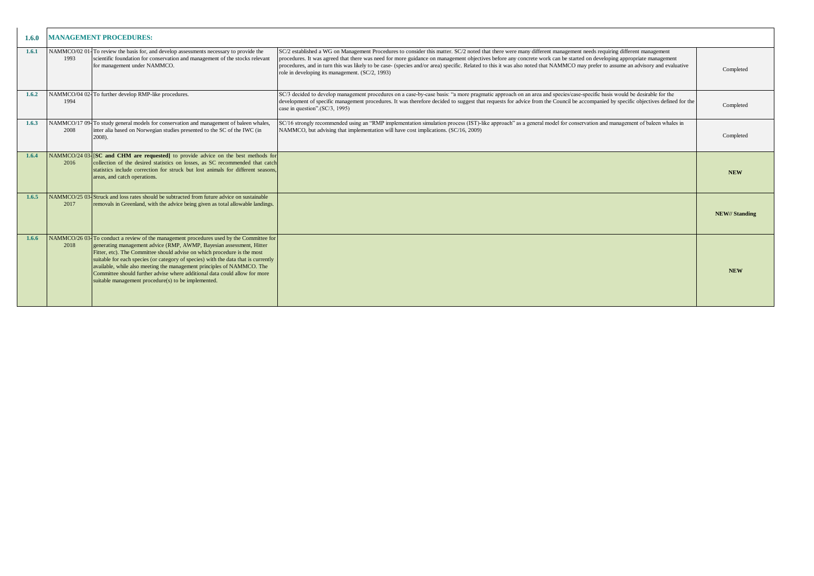| 1.6.0 | <b>MANAGEMENT PROCEDURES:</b>                                                                                                                                                                                                                                                                                                                                                                                                                                                                                                                            |                                                                                                                                                                                                                                                                                                                                                                                                                                                                                                                                 |                       |  |  |
|-------|----------------------------------------------------------------------------------------------------------------------------------------------------------------------------------------------------------------------------------------------------------------------------------------------------------------------------------------------------------------------------------------------------------------------------------------------------------------------------------------------------------------------------------------------------------|---------------------------------------------------------------------------------------------------------------------------------------------------------------------------------------------------------------------------------------------------------------------------------------------------------------------------------------------------------------------------------------------------------------------------------------------------------------------------------------------------------------------------------|-----------------------|--|--|
| 1.6.1 | NAMMCO/02 01-To review the basis for, and develop assessments necessary to provide the<br>scientific foundation for conservation and management of the stocks relevant<br>1993<br>for management under NAMMCO.<br>role in developing its management. (SC/2, 1993)                                                                                                                                                                                                                                                                                        | SC/2 established a WG on Management Procedures to consider this matter. SC/2 noted that there were many different management needs requiring different management<br>procedures. It was agreed that there was need for more guidance on management objectives before any concrete work can be started on developing appropriate management<br>procedures, and in turn this was likely to be case- (species and/or area) specific. Related to this it was also noted that NAMMCO may prefer to assume an advisory and evaluative | Completed             |  |  |
| 1.6.2 | NAMMCO/04 02-To further develop RMP-like procedures.<br>1994<br>case in question".(SC/3, 1995)                                                                                                                                                                                                                                                                                                                                                                                                                                                           | SC/3 decided to develop management procedures on a case-by-case basis: "a more pragmatic approach on an area and species/case-specific basis would be desirable for the<br>development of specific management procedures. It was therefore decided to suggest that requests for advice from the Council be accompanied by specific objectives defined for the                                                                                                                                                                   | Completed             |  |  |
| 1.6.3 | NAMMCO/17 09-To study general models for conservation and management of baleen whales.<br>inter alia based on Norwegian studies presented to the SC of the IWC (in<br>2008<br>2008).                                                                                                                                                                                                                                                                                                                                                                     | SC/16 strongly recommended using an "RMP implementation simulation process (IST)-like approach" as a general model for conservation and management of baleen whales in<br>NAMMCO, but advising that implementation will have cost implications. (SC/16, 2009)                                                                                                                                                                                                                                                                   | Completed             |  |  |
| 1.6.4 | NAMMCO/24 03-[SC and CHM are requested] to provide advice on the best methods for<br>collection of the desired statistics on losses, as SC recommended that catch<br>2016<br>statistics include correction for struck but lost animals for different seasons.<br>areas, and catch operations.                                                                                                                                                                                                                                                            |                                                                                                                                                                                                                                                                                                                                                                                                                                                                                                                                 | <b>NEW</b>            |  |  |
| 1.6.5 | NAMMCO/25 03-Struck and loss rates should be subtracted from future advice on sustainable<br>2017<br>removals in Greenland, with the advice being given as total allowable landings.                                                                                                                                                                                                                                                                                                                                                                     |                                                                                                                                                                                                                                                                                                                                                                                                                                                                                                                                 | <b>NEW// Standing</b> |  |  |
| 1.6.6 | NAMMCO/26 03-To conduct a review of the management procedures used by the Committee for<br>generating management advice (RMP, AWMP, Bayesian assessment, Hitter<br>2018<br>Fitter, etc). The Committee should advise on which procedure is the most<br>suitable for each species (or category of species) with the data that is currently<br>available, while also meeting the management principles of NAMMCO. The<br>Committee should further advise where additional data could allow for more<br>suitable management procedure(s) to be implemented. |                                                                                                                                                                                                                                                                                                                                                                                                                                                                                                                                 | <b>NEW</b>            |  |  |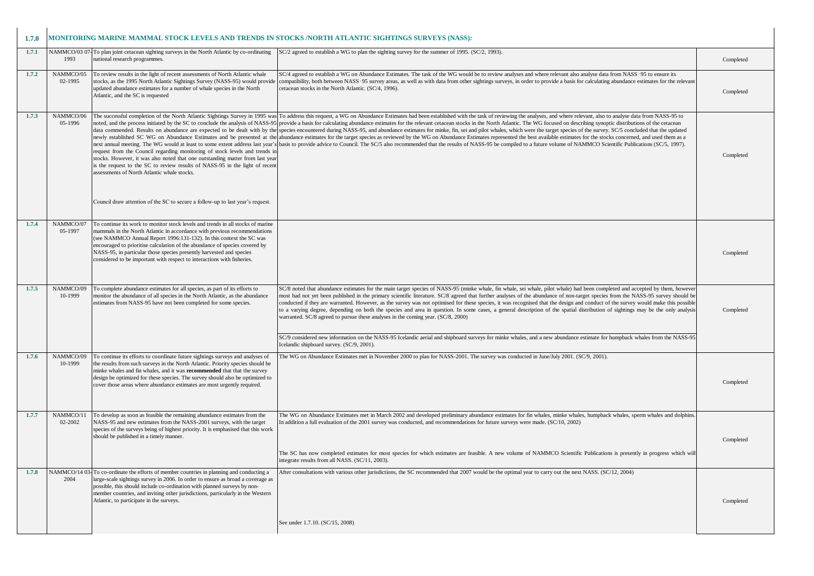| 1.7.1 | 1993                 | NAMMCO/03 07-To plan joint cetacean sighting surveys in the North Atlantic by co-ordinating<br>national research programmes.                                                                                                                                                                                                                                                                                                                                         | SC/2 agreed to establish a WG to plan the sighting survey for the summer of 1995. (SC/2, 1993).                                                                                                                                                                                                                                                                                                                                                                                                                                                                                                                                                                                                                                                                                                                                                                                                                                                                                                                                                                                                                 | Completed |
|-------|----------------------|----------------------------------------------------------------------------------------------------------------------------------------------------------------------------------------------------------------------------------------------------------------------------------------------------------------------------------------------------------------------------------------------------------------------------------------------------------------------|-----------------------------------------------------------------------------------------------------------------------------------------------------------------------------------------------------------------------------------------------------------------------------------------------------------------------------------------------------------------------------------------------------------------------------------------------------------------------------------------------------------------------------------------------------------------------------------------------------------------------------------------------------------------------------------------------------------------------------------------------------------------------------------------------------------------------------------------------------------------------------------------------------------------------------------------------------------------------------------------------------------------------------------------------------------------------------------------------------------------|-----------|
| 1.7.2 | NAMMCO/05<br>02-1995 | To review results in the light of recent assessments of North Atlantic whale<br>tocks, as the 1995 North Atlantic Sightings Survey (NASS-95) would provide<br>updated abundance estimates for a number of whale species in the North<br>Atlantic, and the SC is requested                                                                                                                                                                                            | SC/4 agreed to establish a WG on Abundance Estimates. The task of the WG would be to review analyses and where relevant also analyse data from NASS-95 to ensure its<br>compatibility, both between NASS-95 survey areas, as well as with data from other sightings surveys, in order to provide a basis for calculating abundance estimates for the relevant<br>cetacean stocks in the North Atlantic. (SC/4, 1996).                                                                                                                                                                                                                                                                                                                                                                                                                                                                                                                                                                                                                                                                                           | Completed |
| 1.7.3 | NAMMCO/06<br>05-1996 | next annual meeting. The WG would at least to some extent address last year's<br>equest from the Council regarding monitoring of stock levels and trends in<br>stocks. However, it was also noted that one outstanding matter from last year<br>s the request to the SC to review results of NASS-95 in the light of recent<br>assessments of North Atlantic whale stocks.                                                                                           | The successful completion of the North Atlantic Sightings Survey in 1995 was To address this request, a WG on Abundance Estimates had been established with the task of reviewing the analyses, and where relevant, also to an<br>noted, and the process initiated by the SC to conclude the analysis of NASS-95 provide a basis for calculating abundance estimates for the relevant cetacean stocks in the North Atlantic. The WG focused on describing synopt<br>data commended. Results on abundance are expected to be dealt with by the species encountered during NASS-95, and abundance estimates for minke, fin, sei and pilot whales, which were the target species of the survey. SC/5<br>newly established SC WG on Abundance Estimates and be presented at the abundance estimates for the target species as reviewed by the WG on Abundance Estimates represented the best available estimates for the stocks concern<br>basis to provide advice to Council. The SC/5 also recommended that the results of NASS-95 be compiled to a future volume of NAMMCO Scientific Publications (SC/5, 1997). | Completed |
|       |                      | Council draw attention of the SC to secure a follow-up to last year's request.                                                                                                                                                                                                                                                                                                                                                                                       |                                                                                                                                                                                                                                                                                                                                                                                                                                                                                                                                                                                                                                                                                                                                                                                                                                                                                                                                                                                                                                                                                                                 |           |
| 1.7.4 | NAMMCO/07<br>05-1997 | To continue its work to monitor stock levels and trends in all stocks of marine<br>mammals in the North Atlantic in accordance with previous recommendations<br>see NAMMCO Annual Report 1996:131-132). In this context the SC was<br>encouraged to prioritise calculation of the abundance of species covered by<br>NASS-95, in particular those species presently harvested and species<br>considered to be important with respect to interactions with fisheries. |                                                                                                                                                                                                                                                                                                                                                                                                                                                                                                                                                                                                                                                                                                                                                                                                                                                                                                                                                                                                                                                                                                                 | Completed |
| 1.7.5 | NAMMCO/09            | To complete abundance estimates for all species, as part of its efforts to                                                                                                                                                                                                                                                                                                                                                                                           | SC/8 noted that abundance estimates for the main target species of NASS-95 (minke whale, fin whale, sei whale, pilot whale) had been completed and accepted by them, however                                                                                                                                                                                                                                                                                                                                                                                                                                                                                                                                                                                                                                                                                                                                                                                                                                                                                                                                    |           |
|       | 10-1999              | nonitor the abundance of all species in the North Atlantic, as the abundance<br>estimates from NASS-95 have not been completed for some species.                                                                                                                                                                                                                                                                                                                     | most had not yet been published in the primary scientific literature. SC/8 agreed that further analyses of the abundance of non-target species from the NASS-95 survey should be<br>conducted if they are warranted. However, as the survey was not optimised for these species, it was recognised that the design and conduct of the survey would make this possible<br>to a varying degree, depending on both the species and area in question. In some cases, a general description of the spatial distribution of sightings may be the only analysis<br>warranted. SC/8 agreed to pursue these analyses in the coming year. (SC/8, 2000)                                                                                                                                                                                                                                                                                                                                                                                                                                                                    | Completed |
|       |                      |                                                                                                                                                                                                                                                                                                                                                                                                                                                                      | SC/9 considered new information on the NASS-95 Icelandic aerial and shipboard surveys for minke whales, and a new abundance estimate for humpback whales from the NASS-95<br>Icelandic shipboard survey. (SC/9, 2001).                                                                                                                                                                                                                                                                                                                                                                                                                                                                                                                                                                                                                                                                                                                                                                                                                                                                                          |           |
| 1.7.6 | NAMMCO/09<br>10-1999 | To continue its efforts to coordinate future sightings surveys and analyses of<br>the results from such surveys in the North Atlantic. Priority species should be<br>minke whales and fin whales, and it was recommended that that the survey<br>design be optimized for these species. The survey should also be optimized to<br>cover those areas where abundance estimates are most urgently required.                                                            | The WG on Abundance Estimates met in November 2000 to plan for NASS-2001. The survey was conducted in June/July 2001. (SC/9, 2001).                                                                                                                                                                                                                                                                                                                                                                                                                                                                                                                                                                                                                                                                                                                                                                                                                                                                                                                                                                             | Completed |
| 1.7.7 | NAMMCO/11<br>02-2002 | To develop as soon as feasible the remaining abundance estimates from the<br>NASS-95 and new estimates from the NASS-2001 surveys, with the target                                                                                                                                                                                                                                                                                                                   | The WG on Abundance Estimates met in March 2002 and developed preliminary abundance estimates for fin whales, minke whales, humpback whales, sperm whales and dolphins<br>In addition a full evaluation of the 2001 survey was conducted, and recommendations for future surveys were made. (SC/10, 2002)                                                                                                                                                                                                                                                                                                                                                                                                                                                                                                                                                                                                                                                                                                                                                                                                       |           |
|       |                      | species of the surveys being of highest priority. It is emphasised that this work<br>should be published in a timely manner.                                                                                                                                                                                                                                                                                                                                         |                                                                                                                                                                                                                                                                                                                                                                                                                                                                                                                                                                                                                                                                                                                                                                                                                                                                                                                                                                                                                                                                                                                 | Completed |
|       |                      |                                                                                                                                                                                                                                                                                                                                                                                                                                                                      | The SC has now completed estimates for most species for which estimates are feasible. A new volume of NAMMCO Scientific Publications is presently in progress which will<br>integrate results from all NASS. (SC/11, 2003).                                                                                                                                                                                                                                                                                                                                                                                                                                                                                                                                                                                                                                                                                                                                                                                                                                                                                     |           |
| 1.7.8 | NAMMCO/14 03<br>2004 | To co-ordinate the efforts of member countries in planning and conducting a<br>arge-scale sightings survey in 2006. In order to ensure as broad a coverage as<br>possible, this should include co-ordination with planned surveys by non-<br>member countries, and inviting other jurisdictions, particularly in the Western<br>Atlantic, to participate in the surveys.                                                                                             | After consultations with various other jurisdictions, the SC recommended that 2007 would be the optimal year to carry out the next NASS. (SC/12, 2004)                                                                                                                                                                                                                                                                                                                                                                                                                                                                                                                                                                                                                                                                                                                                                                                                                                                                                                                                                          | Completed |
|       |                      |                                                                                                                                                                                                                                                                                                                                                                                                                                                                      | See under 1.7.10. (SC/15, 2008)                                                                                                                                                                                                                                                                                                                                                                                                                                                                                                                                                                                                                                                                                                                                                                                                                                                                                                                                                                                                                                                                                 |           |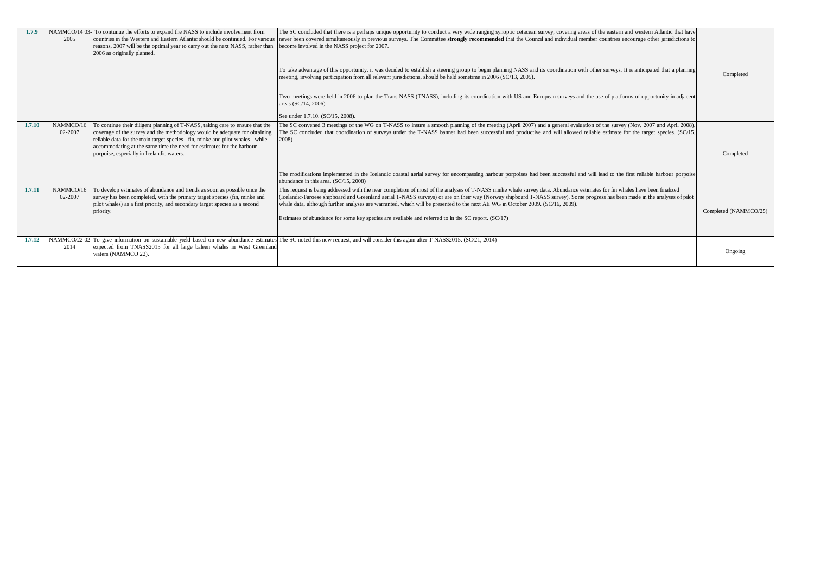| 1.7.9  | 2005                 | NAMMCO/14 03- To contunue the efforts to expand the NASS to include involvement from<br>reasons, 2007 will be the optimal year to carry out the next NASS, rather than become involved in the NASS project for 2007.<br>2006 as originally planned.                                                                                                                  | The SC concluded that there is a perhaps unique opportunity to conduct a very wide ranging synoptic cetacean survey, covering areas of the eastern and western Atlantic that have<br>countries in the Western and Eastern Atlantic should be continued. For various never been covered simultaneously in previous surveys. The Committee strongly recommended that the Council and individual member countries enco                                                                                                                                                                                 |                       |
|--------|----------------------|----------------------------------------------------------------------------------------------------------------------------------------------------------------------------------------------------------------------------------------------------------------------------------------------------------------------------------------------------------------------|-----------------------------------------------------------------------------------------------------------------------------------------------------------------------------------------------------------------------------------------------------------------------------------------------------------------------------------------------------------------------------------------------------------------------------------------------------------------------------------------------------------------------------------------------------------------------------------------------------|-----------------------|
|        |                      |                                                                                                                                                                                                                                                                                                                                                                      | To take advantage of this opportunity, it was decided to establish a steering group to begin planning NASS and its coordination with other surveys. It is anticipated that a planning<br>meeting, involving participation from all relevant jurisdictions, should be held sometime in 2006 (SC/13, 2005).                                                                                                                                                                                                                                                                                           | Completed             |
|        |                      |                                                                                                                                                                                                                                                                                                                                                                      | Two meetings were held in 2006 to plan the Trans NASS (TNASS), including its coordination with US and European surveys and the use of platforms of opportunity in adjacent<br>areas (SC/14, 2006)<br>See under 1.7.10. (SC/15, 2008).                                                                                                                                                                                                                                                                                                                                                               |                       |
| 1.7.10 | NAMMCO/16<br>02-2007 | To continue their diligent planning of T-NASS, taking care to ensure that the<br>coverage of the survey and the methodology would be adequate for obtaining<br>reliable data for the main target species - fin, minke and pilot whales - while<br>accommodating at the same time the need for estimates for the harbour<br>porpoise, especially in Icelandic waters. | The SC convened 3 meetings of the WG on T-NASS to insure a smooth planning of the meeting (April 2007) and a general evaluation of the survey (Nov. 2007 and April 2008).<br>The SC concluded that coordination of surveys under the T-NASS banner had been successful and productive and will allowed reliable estimate for the target species. (SC/15,<br>2008)                                                                                                                                                                                                                                   | Completed             |
|        |                      |                                                                                                                                                                                                                                                                                                                                                                      | The modifications implemented in the Icelandic coastal aerial survey for encompassing harbour porpoises had been successful and will lead to the first reliable harbour porpoise<br>abundance in this area. (SC/15, 2008)                                                                                                                                                                                                                                                                                                                                                                           |                       |
| 1.7.11 | NAMMCO/16<br>02-2007 | To develop estimates of abundance and trends as soon as possible once the<br>survey has been completed, with the primary target species (fin, minke and<br>pilot whales) as a first priority, and secondary target species as a second<br>priority.                                                                                                                  | This request is being addressed with the near completion of most of the analyses of T-NASS minke whale survey data. Abundance estimates for fin whales have been finalized<br>(Icelandic-Faroese shipboard and Greenland aerial T-NASS surveys) or are on their way (Norway shipboard T-NASS survey). Some progress has been made in the analyses of pilot<br>whale data, although further analyses are warranted, which will be presented to the next AE WG in October 2009. (SC/16, 2009).<br>Estimates of abundance for some key species are available and referred to in the SC report. (SC/17) | Completed (NAMMCO/25) |
| 1.7.12 | 2014                 | expected from TNASS2015 for all large baleen whales in West Greenland<br>waters (NAMMCO 22).                                                                                                                                                                                                                                                                         | NAMMCO/22 02-To give information on sustainable yield based on new abundance estimates The SC noted this new request, and will consider this again after T-NASS2015. (SC/21, 2014)                                                                                                                                                                                                                                                                                                                                                                                                                  | Ongoing               |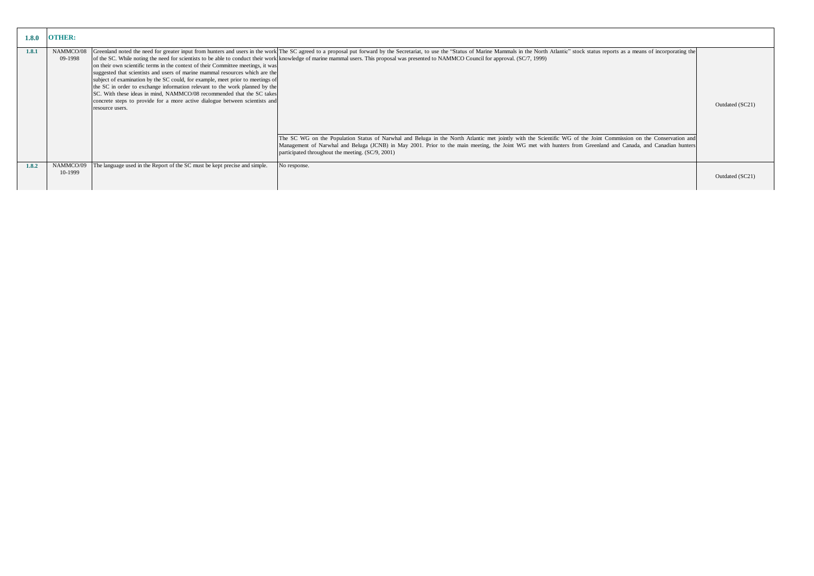| 1.8.0 | <b>OTHER:</b>        |                                                                                                                                                                |                                                                                                                                                                                                                                                                                                                                                                                                                              |                 |
|-------|----------------------|----------------------------------------------------------------------------------------------------------------------------------------------------------------|------------------------------------------------------------------------------------------------------------------------------------------------------------------------------------------------------------------------------------------------------------------------------------------------------------------------------------------------------------------------------------------------------------------------------|-----------------|
| 1.8.1 | NAMMCO/08<br>09-1998 |                                                                                                                                                                | Greenland noted the need for greater input from hunters and users in the work The SC agreed to a proposal put forward by the Secretariat, to use the "Status of Marine Mammals in the North Atlantic" stock status reports as<br>of the SC. While noting the need for scientists to be able to conduct their work knowledge of marine mammal users. This proposal was presented to NAMMCO Council for approval. (SC/7, 1999) |                 |
|       |                      | on their own scientific terms in the context of their Committee meetings, it was                                                                               |                                                                                                                                                                                                                                                                                                                                                                                                                              |                 |
|       |                      | suggested that scientists and users of marine mammal resources which are the<br>subject of examination by the SC could, for example, meet prior to meetings of |                                                                                                                                                                                                                                                                                                                                                                                                                              |                 |
|       |                      | the SC in order to exchange information relevant to the work planned by the                                                                                    |                                                                                                                                                                                                                                                                                                                                                                                                                              |                 |
|       |                      | SC. With these ideas in mind, NAMMCO/08 recommended that the SC takes                                                                                          |                                                                                                                                                                                                                                                                                                                                                                                                                              |                 |
|       |                      | concrete steps to provide for a more active dialogue between scientists and<br>resource users.                                                                 |                                                                                                                                                                                                                                                                                                                                                                                                                              | Outdated (SC21) |
|       |                      |                                                                                                                                                                |                                                                                                                                                                                                                                                                                                                                                                                                                              |                 |
|       |                      |                                                                                                                                                                |                                                                                                                                                                                                                                                                                                                                                                                                                              |                 |
|       |                      |                                                                                                                                                                | The SC WG on the Population Status of Narwhal and Beluga in the North Atlantic met jointly with the Scientific WG of the Joint Commission on the Conservation and                                                                                                                                                                                                                                                            |                 |
|       |                      |                                                                                                                                                                | Management of Narwhal and Beluga (JCNB) in May 2001. Prior to the main meeting, the Joint WG met with hunters from Greenland and Canada, and Canadian hunters                                                                                                                                                                                                                                                                |                 |
|       |                      |                                                                                                                                                                | participated throughout the meeting. (SC/9, 2001)                                                                                                                                                                                                                                                                                                                                                                            |                 |
| 1.8.2 | NAMMCO/09<br>10-1999 | The language used in the Report of the SC must be kept precise and simple.                                                                                     | No response.                                                                                                                                                                                                                                                                                                                                                                                                                 |                 |
|       |                      |                                                                                                                                                                |                                                                                                                                                                                                                                                                                                                                                                                                                              | Outdated (SC21) |
|       |                      |                                                                                                                                                                |                                                                                                                                                                                                                                                                                                                                                                                                                              |                 |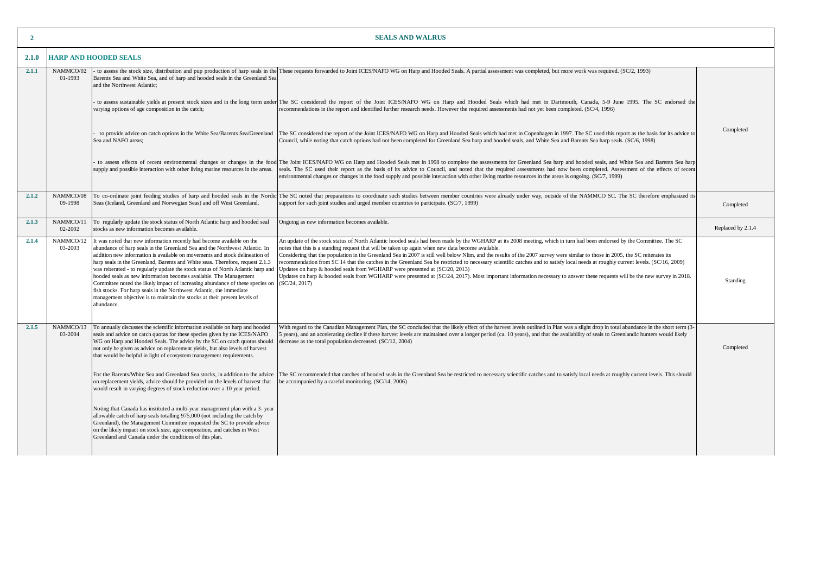| $\mathbf{2}$ |                      |                                                                                                                                                                                                                                                                                                                                                                                                                                                                                                                                                                                                                                                                                                                                    | <b>SEALS AND WALRUS</b>                                                                                                                                                                                                                                                                                                                                                                                                                                                                                                                                                                                                                                                                                                                                                                                                                                                                                                        |                   |
|--------------|----------------------|------------------------------------------------------------------------------------------------------------------------------------------------------------------------------------------------------------------------------------------------------------------------------------------------------------------------------------------------------------------------------------------------------------------------------------------------------------------------------------------------------------------------------------------------------------------------------------------------------------------------------------------------------------------------------------------------------------------------------------|--------------------------------------------------------------------------------------------------------------------------------------------------------------------------------------------------------------------------------------------------------------------------------------------------------------------------------------------------------------------------------------------------------------------------------------------------------------------------------------------------------------------------------------------------------------------------------------------------------------------------------------------------------------------------------------------------------------------------------------------------------------------------------------------------------------------------------------------------------------------------------------------------------------------------------|-------------------|
| <b>2.1.0</b> |                      | <b>HARP AND HOODED SEALS</b>                                                                                                                                                                                                                                                                                                                                                                                                                                                                                                                                                                                                                                                                                                       |                                                                                                                                                                                                                                                                                                                                                                                                                                                                                                                                                                                                                                                                                                                                                                                                                                                                                                                                |                   |
| 2.1.1        | NAMMCO/02<br>01-1993 | Barents Sea and White Sea, and of harp and hooded seals in the Greenland Sea<br>and the Northwest Atlantic:                                                                                                                                                                                                                                                                                                                                                                                                                                                                                                                                                                                                                        | to assess the stock size, distribution and pup production of harp seals in the These requests forwarded to Joint ICES/NAFO WG on Harp and Hooded Seals. A partial assessment was completed, but more work was required. (SC/2,                                                                                                                                                                                                                                                                                                                                                                                                                                                                                                                                                                                                                                                                                                 |                   |
|              |                      | varying options of age composition in the catch;                                                                                                                                                                                                                                                                                                                                                                                                                                                                                                                                                                                                                                                                                   | to assess sustainable yields at present stock sizes and in the long term under The SC considered the report of the Joint ICES/NAFO WG on Harp and Hooded Seals which had met in Dartmouth, Canada, 5-9 June 1995. The SC endor<br>recommendations in the report and identified further research needs. However the required assessments had not yet been completed. (SC/4, 1996)                                                                                                                                                                                                                                                                                                                                                                                                                                                                                                                                               |                   |
|              |                      | to provide advice on catch options in the White Sea/Barents Sea/Greenland<br>Sea and NAFO areas:                                                                                                                                                                                                                                                                                                                                                                                                                                                                                                                                                                                                                                   | The SC considered the report of the Joint ICES/NAFO WG on Harp and Hooded Seals which had met in Copenhagen in 1997. The SC used this report as the basis for its advice to<br>Council, while noting that catch options had not been completed for Greenland Sea harp and hooded seals, and White Sea and Barents Sea harp seals. (SC/6, 1998)                                                                                                                                                                                                                                                                                                                                                                                                                                                                                                                                                                                 | Completed         |
|              |                      | supply and possible interaction with other living marine resources in the areas.                                                                                                                                                                                                                                                                                                                                                                                                                                                                                                                                                                                                                                                   | to assess effects of recent environmental changes or changes in the food The Joint ICES/NAFO WG on Harp and Hooded Seals met in 1998 to complete the assessments for Greenland Sea harp and hooded seals, and White Sea and Ba<br>seals. The SC used their report as the basis of its advice to Council, and noted that the required assessments had now been completed. Assessment of the effects of recent<br>environmental changes or changes in the food supply and possible interaction with other living marine resources in the areas is ongoing. (SC/7, 1999)                                                                                                                                                                                                                                                                                                                                                          |                   |
| 2.1.2        | NAMMCO/08<br>09-1998 | To co-ordinate joint feeding studies of harp and hooded seals in the Nordic<br>Seas (Iceland, Greenland and Norwegian Seas) and off West Greenland.                                                                                                                                                                                                                                                                                                                                                                                                                                                                                                                                                                                | The SC noted that preparations to coordinate such studies between member countries were already under way, outside of the NAMMCO SC. The SC therefore emphasized its<br>support for such joint studies and urged member countries to participate. (SC/7, 1999)                                                                                                                                                                                                                                                                                                                                                                                                                                                                                                                                                                                                                                                                 | Completed         |
| 2.1.3        | NAMMCO/11<br>02-2002 | To regularly update the stock status of North Atlantic harp and hooded seal<br>stocks as new information becomes available.                                                                                                                                                                                                                                                                                                                                                                                                                                                                                                                                                                                                        | Ongoing as new information becomes available.                                                                                                                                                                                                                                                                                                                                                                                                                                                                                                                                                                                                                                                                                                                                                                                                                                                                                  | Replaced by 2.1.4 |
| 2.1.4        | NAMMCO/12<br>03-2003 | It was noted that new information recently had become available on the<br>abundance of harp seals in the Greenland Sea and the Northwest Atlantic. In<br>addition new information is available on movements and stock delineation of<br>harp seals in the Greenland, Barents and White seas. Therefore, request 2.1.3<br>was reiterated - to regularly update the stock status of North Atlantic harp and<br>hooded seals as new information becomes available. The Management<br>Committee noted the likely impact of increasing abundance of these species on<br>fish stocks. For harp seals in the Northwest Atlantic, the immediate<br>management objective is to maintain the stocks at their present levels of<br>abundance. | An update of the stock status of North Atlantic hooded seals had been made by the WGHARP at its 2008 meeting, which in turn had been endorsed by the Committee. The SC<br>notes that this is a standing request that will be taken up again when new data become available.<br>Considering that the population in the Greenland Sea in 2007 is still well below Nlim, and the results of the 2007 survey were similar to those in 2005, the SC reiterates its<br>recommendation from SC 14 that the catches in the Greenland Sea be restricted to necessary scientific catches and to satisfy local needs at roughly current levels. (SC/16, 2009)<br>Updates on harp & hooded seals from WGHARP were presented at (SC/20, 2013)<br>Updates on harp & hooded seals from WGHARP were presented at (SC/24, 2017). Most important information necessary to answer these requests will be the new survey in 2018.<br>(SC/24, 2017) | Standing          |
| 2.1.5        | NAMMCO/13<br>03-2004 | To annually discusses the scientific information available on harp and hooded<br>seals and advice on catch quotas for these species given by the ICES/NAFO<br>WG on Harp and Hooded Seals. The advice by the SC on catch quotas should<br>not only be given as advice on replacement yields, but also levels of harvest<br>that would be helpful in light of ecosystem management requirements.<br>For the Barents/White Sea and Greenland Sea stocks, in addition to the advice                                                                                                                                                                                                                                                   | With regard to the Canadian Management Plan, the SC concluded that the likely effect of the harvest levels outlined in Plan was a slight drop in total abundance in the short term (3-<br>5 years), and an accelerating decline if these harvest levels are maintained over a longer period (ca. 10 years), and that the availability of seals to Greenlandic hunters would likely<br>decrease as the total population decreased. (SC/12, 2004)<br>The SC recommended that catches of hooded seals in the Greenland Sea be restricted to necessary scientific catches and to satisfy local needs at roughly current levels. This should                                                                                                                                                                                                                                                                                        | Completed         |
|              |                      | on replacement yields, advice should be provided on the levels of harvest that<br>would result in varying degrees of stock reduction over a 10 year period.<br>Noting that Canada has instituted a multi-year management plan with a 3- year<br>allowable catch of harp seals totalling 975,000 (not including the catch by<br>Greenland), the Management Committee requested the SC to provide advice<br>on the likely impact on stock size, age composition, and catches in West<br>Greenland and Canada under the conditions of this plan.                                                                                                                                                                                      | be accompanied by a careful monitoring. (SC/14, 2006)                                                                                                                                                                                                                                                                                                                                                                                                                                                                                                                                                                                                                                                                                                                                                                                                                                                                          |                   |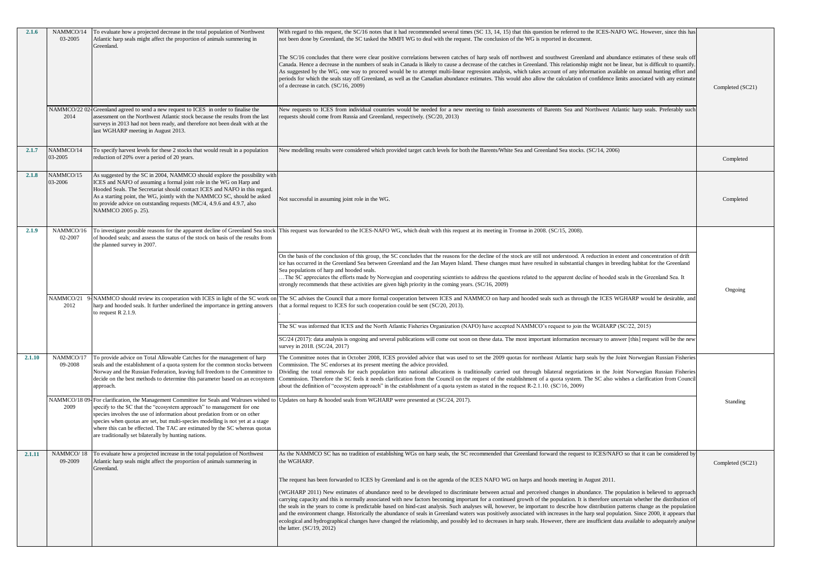| 2.1.6  | NAMMCO/14<br>03-2005 | To evaluate how a projected decrease in the total population of Northwest<br>Atlantic harp seals might affect the proportion of animals summering in<br>Greenland.<br>NAMMCO/22 02-Greenland agreed to send a new request to ICES in order to finalise the                                                                                                                                                                                                              | With regard to this request, the SC/16 notes that it had recommended several times (SC 13, 14, 15) that this question be referred to the ICES-NAFO WG. However, since this has<br>not been done by Greenland, the SC tasked the MMFI WG to deal with the request. The conclusion of the WG is reported in document.<br>The SC/16 concludes that there were clear positive correlations between catches of harp seals off northwest and southwest Greenland and abundance estimates of these seals off<br>Canada. Hence a decrease in the numbers of seals in Canada is likely to cause a decrease of the catches in Greenland. This relationship might not be linear, but is difficult to quantify.<br>As suggested by the WG, one way to proceed would be to attempt multi-linear regression analysis, which takes account of any information available on annual hunting effort and<br>periods for which the seals stay off Greenland, as well as the Canadian abundance estimates. This would also allow the calculation of confidence limits associated with any estimate<br>of a decrease in catch. (SC/16, 2009)<br>New requests to ICES from individual countries would be needed for a new meeting to finish assessments of Barents Sea and Northwest Atlantic harp seals. Preferably such | Completed (SC21) |
|--------|----------------------|-------------------------------------------------------------------------------------------------------------------------------------------------------------------------------------------------------------------------------------------------------------------------------------------------------------------------------------------------------------------------------------------------------------------------------------------------------------------------|----------------------------------------------------------------------------------------------------------------------------------------------------------------------------------------------------------------------------------------------------------------------------------------------------------------------------------------------------------------------------------------------------------------------------------------------------------------------------------------------------------------------------------------------------------------------------------------------------------------------------------------------------------------------------------------------------------------------------------------------------------------------------------------------------------------------------------------------------------------------------------------------------------------------------------------------------------------------------------------------------------------------------------------------------------------------------------------------------------------------------------------------------------------------------------------------------------------------------------------------------------------------------------------------------|------------------|
|        | 2014                 | assessment on the Northwest Atlantic stock because the results from the last<br>surveys in 2013 had not been ready, and therefore not been dealt with at the<br>last WGHARP meeting in August 2013.                                                                                                                                                                                                                                                                     | equests should come from Russia and Greenland, respectively. (SC/20, 2013)                                                                                                                                                                                                                                                                                                                                                                                                                                                                                                                                                                                                                                                                                                                                                                                                                                                                                                                                                                                                                                                                                                                                                                                                                         |                  |
| 2.1.7  | NAMMCO/14<br>03-2005 | To specify harvest levels for these 2 stocks that would result in a population<br>reduction of 20% over a period of 20 years.                                                                                                                                                                                                                                                                                                                                           | New modelling results were considered which provided target catch levels for both the Barents/White Sea and Greenland Sea stocks. (SC/14, 2006)                                                                                                                                                                                                                                                                                                                                                                                                                                                                                                                                                                                                                                                                                                                                                                                                                                                                                                                                                                                                                                                                                                                                                    | Completed        |
| 2.1.8  | NAMMCO/15<br>03-2006 | As suggested by the SC in 2004, NAMMCO should explore the possibility with<br>ICES and NAFO of assuming a formal joint role in the WG on Harp and<br>Hooded Seals. The Secretariat should contact ICES and NAFO in this regard.<br>As a starting point, the WG, jointly with the NAMMCO SC, should be asked<br>to provide advice on outstanding requests (MC/4, 4.9.6 and 4.9.7, also<br>NAMMCO 2005 p. 25).                                                            | Not successful in assuming joint role in the WG.                                                                                                                                                                                                                                                                                                                                                                                                                                                                                                                                                                                                                                                                                                                                                                                                                                                                                                                                                                                                                                                                                                                                                                                                                                                   | Completed        |
| 2.1.9  | NAMMCO/16<br>02-2007 | To investigate possible reasons for the apparent decline of Greenland Sea stock<br>of hooded seals; and assess the status of the stock on basis of the results from<br>the planned survey in 2007.                                                                                                                                                                                                                                                                      | This request was forwarded to the ICES-NAFO WG, which dealt with this request at its meeting in Tromsø in 2008. (SC/15, 2008).<br>On the basis of the conclusion of this group, the SC concludes that the reasons for the decline of the stock are still not understood. A reduction in extent and concentration of drift<br>ice has occurred in the Greenland Sea between Greenland and the Jan Mayen Island. These changes must have resulted in substantial changes in breeding habitat for the Greenland                                                                                                                                                                                                                                                                                                                                                                                                                                                                                                                                                                                                                                                                                                                                                                                       |                  |
|        |                      |                                                                                                                                                                                                                                                                                                                                                                                                                                                                         | Sea populations of harp and hooded seals.<br>. The SC appreciates the efforts made by Norwegian and cooperating scientists to address the questions related to the apparent decline of hooded seals in the Greenland Sea. It<br>strongly recommends that these activities are given high priority in the coming years. (SC/16, 2009)                                                                                                                                                                                                                                                                                                                                                                                                                                                                                                                                                                                                                                                                                                                                                                                                                                                                                                                                                               | Ongoing          |
|        | NAMMCO/21<br>2012    | NAMMCO should review its cooperation with ICES in light of the SC work of<br>harp and hooded seals. It further underlined the importance in getting answers<br>to request $R$ 2.1.9.                                                                                                                                                                                                                                                                                    | The SC advises the Council that a more formal cooperation between ICES and NAMMCO on harp and hooded seals such as through the ICES WGHARP would be desirable, and<br>that a formal request to ICES for such cooperation could be sent (SC/20, 2013).                                                                                                                                                                                                                                                                                                                                                                                                                                                                                                                                                                                                                                                                                                                                                                                                                                                                                                                                                                                                                                              |                  |
|        |                      |                                                                                                                                                                                                                                                                                                                                                                                                                                                                         | The SC was informed that ICES and the North Atlantic Fisheries Organization (NAFO) have accepted NAMMCO's request to join the WGHARP (SC/22, 2015)<br>SC/24 (2017): data analysis is ongoing and several publications will come out soon on these data. The most important information necessary to answer [this] request will be the new<br>survey in 2018. (SC/24, 2017)                                                                                                                                                                                                                                                                                                                                                                                                                                                                                                                                                                                                                                                                                                                                                                                                                                                                                                                         |                  |
| 2.1.10 | NAMMCO/17<br>09-2008 | To provide advice on Total Allowable Catches for the management of harp<br>seals and the establishment of a quota system for the common stocks between<br>Norway and the Russian Federation, leaving full freedom to the Committee to<br>decide on the best methods to determine this parameter based on an ecosystem<br>approach.                                                                                                                                      | The Committee notes that in October 2008, ICES provided advice that was used to set the 2009 quotas for northeast Atlantic harp seals by the Joint Norwegian Russian Fisheries<br>Commission. The SC endorses at its present meeting the advice provided.<br>Dividing the total removals for each population into national allocations is traditionally carried out through bilateral negotiations in the Joint Norwegian Russian Fisheries<br>Commission. Therefore the SC feels it needs clarification from the Council on the request of the establishment of a quota system. The SC also wishes a clarification from Council<br>about the definition of "ecosystem approach" in the establishment of a quota system as stated in the request R-2.1.10. (SC/16, 2009)                                                                                                                                                                                                                                                                                                                                                                                                                                                                                                                           |                  |
|        | 2009                 | NAMMCO/18 09-For clarification, the Management Committee for Seals and Walruses wished to<br>specify to the SC that the "ecosystem approach" to management for one<br>species involves the use of information about predation from or on other<br>species when quotas are set, but multi-species modelling is not yet at a stage<br>where this can be effected. The TAC are estimated by the SC whereas quotas<br>are traditionally set bilaterally by hunting nations. | Updates on harp & hooded seals from WGHARP were presented at (SC/24, 2017).                                                                                                                                                                                                                                                                                                                                                                                                                                                                                                                                                                                                                                                                                                                                                                                                                                                                                                                                                                                                                                                                                                                                                                                                                        | Standing         |
| 2.1.11 | 09-2009              | NAMMCO/18 To evaluate how a projected increase in the total population of Northwest<br>Atlantic harp seals might affect the proportion of animals summering in<br>Greenland.                                                                                                                                                                                                                                                                                            | As the NAMMCO SC has no tradition of establishing WGs on harp seals, the SC recommended that Greenland forward the request to ICES/NAFO so that it can be considered by<br>he WGHARP.                                                                                                                                                                                                                                                                                                                                                                                                                                                                                                                                                                                                                                                                                                                                                                                                                                                                                                                                                                                                                                                                                                              | Completed (SC21) |
|        |                      |                                                                                                                                                                                                                                                                                                                                                                                                                                                                         | The request has been forwarded to ICES by Greenland and is on the agenda of the ICES NAFO WG on harps and hoods meeting in August 2011.<br>(WGHARP 2011) New estimates of abundance need to be developed to discriminate between actual and perceived changes in abundance. The population is believed to approach<br>carrying capacity and this is normally associated with new factors becoming important for a continued growth of the population. It is therefore uncertain whether the distribution of<br>the seals in the years to come is predictable based on hind-cast analysis. Such analyses will, however, be important to describe how distribution patterns change as the population<br>and the environment change. Historically the abundance of seals in Greenland waters was positively associated with increases in the harp seal population. Since 2000, it appears that<br>ecological and hydrographical changes have changed the relationship, and possibly led to decreases in harp seals. However, there are insufficient data available to adequately analyse<br>the latter. (SC/19, 2012)                                                                                                                                                                                 |                  |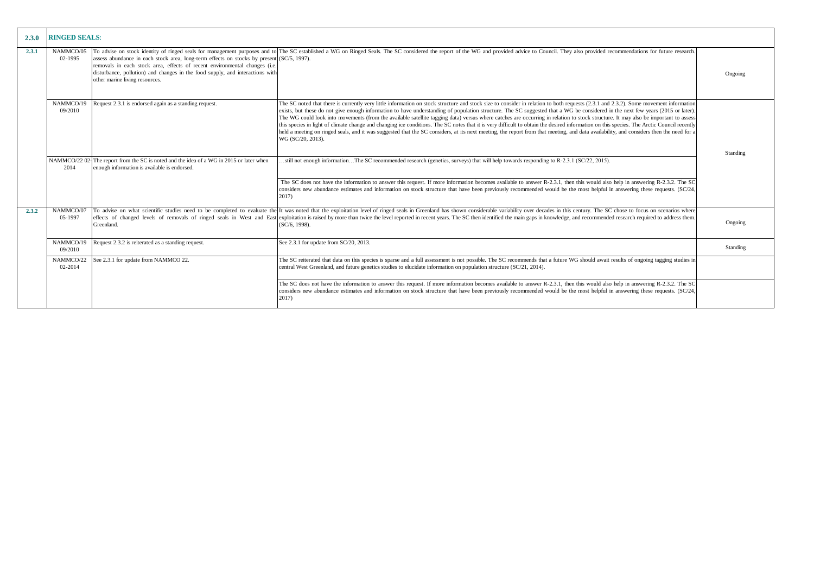| 2.3.0 |                      | <b>RINGED SEALS:</b>                                                                                                                                                                                                                                                                       |                                                                                                                                                                                                                                                                                                                                                                                                                                                                                                                                                                                                                                                                                                                                                                                                                                                                                                                                                                             |          |  |  |
|-------|----------------------|--------------------------------------------------------------------------------------------------------------------------------------------------------------------------------------------------------------------------------------------------------------------------------------------|-----------------------------------------------------------------------------------------------------------------------------------------------------------------------------------------------------------------------------------------------------------------------------------------------------------------------------------------------------------------------------------------------------------------------------------------------------------------------------------------------------------------------------------------------------------------------------------------------------------------------------------------------------------------------------------------------------------------------------------------------------------------------------------------------------------------------------------------------------------------------------------------------------------------------------------------------------------------------------|----------|--|--|
| 2.3.1 | NAMMCO/05<br>02-1995 | assess abundance in each stock area, long-term effects on stocks by present (SC/5, 1997).<br>removals in each stock area, effects of recent environmental changes (i.e.<br>disturbance, pollution) and changes in the food supply, and interactions with<br>other marine living resources. | To advise on stock identity of ringed seals for management purposes and to The SC established a WG on Ringed Seals. The SC considered the report of the WG and provided advice to Council. They also provided recommendations                                                                                                                                                                                                                                                                                                                                                                                                                                                                                                                                                                                                                                                                                                                                               | Ongoing  |  |  |
|       | NAMMCO/19<br>09/2010 | Request 2.3.1 is endorsed again as a standing request.                                                                                                                                                                                                                                     | The SC noted that there is currently very little information on stock structure and stock size to consider in relation to both requests (2.3.1 and 2.3.2). Some movement information<br>exists, but these do not give enough information to have understanding of population structure. The SC suggested that a WG be considered in the next few years (2015 or later).<br>The WG could look into movements (from the available satellite tagging data) versus where catches are occurring in relation to stock structure. It may also be important to assess<br>this species in light of climate change and changing ice conditions. The SC notes that it is very difficult to obtain the desired information on this species. The Arctic Council recently<br>held a meeting on ringed seals, and it was suggested that the SC considers, at its next meeting, the report from that meeting, and data availability, and considers then the need for a<br>WG (SC/20, 2013). | Standing |  |  |
|       | NAMMCO/2202<br>2014  | The report from the SC is noted and the idea of a WG in 2015 or later when<br>enough information is available is endorsed.                                                                                                                                                                 | still not enough informationThe SC recommended research (genetics, surveys) that will help towards responding to R-2.3.1 (SC/22, 2015).                                                                                                                                                                                                                                                                                                                                                                                                                                                                                                                                                                                                                                                                                                                                                                                                                                     |          |  |  |
|       |                      |                                                                                                                                                                                                                                                                                            | The SC does not have the information to answer this request. If more information becomes available to answer R-2.3.1, then this would also help in answering R-2.3.2. The SC<br>considers new abundance estimates and information on stock structure that have been previously recommended would be the most helpful in answering these requests. (SC/24,<br>2017)                                                                                                                                                                                                                                                                                                                                                                                                                                                                                                                                                                                                          |          |  |  |
| 2.3.2 | NAMMCO/07<br>05-1997 | Greenland.                                                                                                                                                                                                                                                                                 | To advise on what scientific studies need to be completed to evaluate the It was noted that the exploitation level of ringed seals in Greenland has shown considerable variability over decades in this century. The SC chose<br>effects of changed levels of removals of ringed seals in West and East exploitation is raised by more than twice the level reported in recent years. The SC then identified the main gaps in knowledge, and recommended resear<br>(SC/6, 1998).                                                                                                                                                                                                                                                                                                                                                                                                                                                                                            | Ongoing  |  |  |
|       | NAMMCO/19<br>09/2010 | Request 2.3.2 is reiterated as a standing request.                                                                                                                                                                                                                                         | See 2.3.1 for update from SC/20, 2013.                                                                                                                                                                                                                                                                                                                                                                                                                                                                                                                                                                                                                                                                                                                                                                                                                                                                                                                                      | Standing |  |  |
|       | NAMMCO/22<br>02-2014 | See 2.3.1 for update from NAMMCO 22.                                                                                                                                                                                                                                                       | The SC reiterated that data on this species is sparse and a full assessment is not possible. The SC recommends that a future WG should await results of ongoing tagging studies in<br>central West Greenland, and future genetics studies to elucidate information on population structure (SC/21, 2014).                                                                                                                                                                                                                                                                                                                                                                                                                                                                                                                                                                                                                                                                   |          |  |  |
|       |                      |                                                                                                                                                                                                                                                                                            | The SC does not have the information to answer this request. If more information becomes available to answer R-2.3.1, then this would also help in answering R-2.3.2. The SC<br>considers new abundance estimates and information on stock structure that have been previously recommended would be the most helpful in answering these requests. (SC/24,<br>2017)                                                                                                                                                                                                                                                                                                                                                                                                                                                                                                                                                                                                          |          |  |  |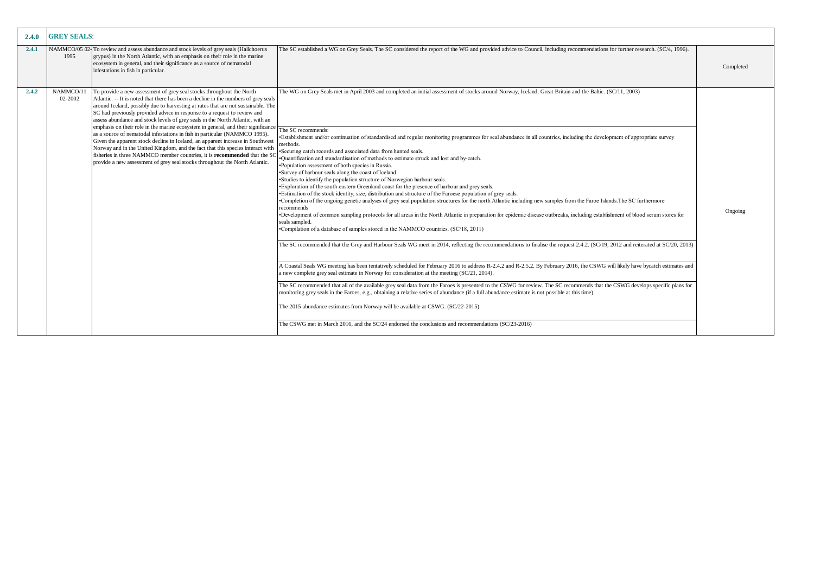| 2.4.0 | <b>GREY SEALS:</b>   |                                                                                                                                                                                                                                                                                                                                                                                                                                                                                                                                                                                                                                                                                                                                                                                                                                                                                                                  |                                                                                                                                                                                                                                                                                                                                                                                                                                                                                                                                                                                                                                                                                                                                                                                                                                                                                                                                                                                                                                                                                                                                                                                                                                                                                                                                                                                                                                                                                                                                                                                                                                                                                                                                                                                                                                                                                                                                                                                                                                                                                                                                                                                                                                                                                                                                                                                                                                     |           |  |
|-------|----------------------|------------------------------------------------------------------------------------------------------------------------------------------------------------------------------------------------------------------------------------------------------------------------------------------------------------------------------------------------------------------------------------------------------------------------------------------------------------------------------------------------------------------------------------------------------------------------------------------------------------------------------------------------------------------------------------------------------------------------------------------------------------------------------------------------------------------------------------------------------------------------------------------------------------------|-------------------------------------------------------------------------------------------------------------------------------------------------------------------------------------------------------------------------------------------------------------------------------------------------------------------------------------------------------------------------------------------------------------------------------------------------------------------------------------------------------------------------------------------------------------------------------------------------------------------------------------------------------------------------------------------------------------------------------------------------------------------------------------------------------------------------------------------------------------------------------------------------------------------------------------------------------------------------------------------------------------------------------------------------------------------------------------------------------------------------------------------------------------------------------------------------------------------------------------------------------------------------------------------------------------------------------------------------------------------------------------------------------------------------------------------------------------------------------------------------------------------------------------------------------------------------------------------------------------------------------------------------------------------------------------------------------------------------------------------------------------------------------------------------------------------------------------------------------------------------------------------------------------------------------------------------------------------------------------------------------------------------------------------------------------------------------------------------------------------------------------------------------------------------------------------------------------------------------------------------------------------------------------------------------------------------------------------------------------------------------------------------------------------------------------|-----------|--|
| 2.4.1 | 1995                 | NAMMCO/05 02-To review and assess abundance and stock levels of grey seals (Halichoerus<br>grypus) in the North Atlantic, with an emphasis on their role in the marine<br>ecosystem in general, and their significance as a source of nematodal<br>infestations in fish in particular.                                                                                                                                                                                                                                                                                                                                                                                                                                                                                                                                                                                                                           | The SC established a WG on Grey Seals. The SC considered the report of the WG and provided advice to Council, including recommendations for further research. (SC/4, 1996).                                                                                                                                                                                                                                                                                                                                                                                                                                                                                                                                                                                                                                                                                                                                                                                                                                                                                                                                                                                                                                                                                                                                                                                                                                                                                                                                                                                                                                                                                                                                                                                                                                                                                                                                                                                                                                                                                                                                                                                                                                                                                                                                                                                                                                                         | Completed |  |
| 2.4.2 | NAMMCO/11<br>02-2002 | To provide a new assessment of grey seal stocks throughout the North<br>Atlantic. -- It is noted that there has been a decline in the numbers of grey seals<br>around Iceland, possibly due to harvesting at rates that are not sustainable. The<br>SC had previously provided advice in response to a request to review and<br>assess abundance and stock levels of grey seals in the North Atlantic, with an<br>emphasis on their role in the marine ecosystem in general, and their significance<br>as a source of nematodal infestations in fish in particular (NAMMCO 1995).<br>Given the apparent stock decline in Iceland, an apparent increase in Southwest<br>Norway and in the United Kingdom, and the fact that this species interact with<br>fisheries in three NAMMCO member countries, it is recommended that the S<br>provide a new assessment of grey seal stocks throughout the North Atlantic. | The WG on Grey Seals met in April 2003 and completed an initial assessment of stocks around Norway, Iceland, Great Britain and the Baltic. (SC/11, 2003)<br>The SC recommends:<br>•Establishment and/or continuation of standardised and regular monitoring programmes for seal abundance in all countries, including the development of appropriate survey<br>methods.<br>•Securing catch records and associated data from hunted seals.<br>·Quantification and standardisation of methods to estimate struck and lost and by-catch.<br>·Population assessment of both species in Russia.<br>·Survey of harbour seals along the coast of Iceland.<br>•Studies to identify the population structure of Norwegian harbour seals.<br>·Exploration of the south-eastern Greenland coast for the presence of harbour and grey seals.<br>•Estimation of the stock identity, size, distribution and structure of the Faroese population of grey seals.<br>•Completion of the ongoing genetic analyses of grey seal population structures for the north Atlantic including new samples from the Faroe Islands. The SC furthermore<br>recommends<br>•Development of common sampling protocols for all areas in the North Atlantic in preparation for epidemic disease outbreaks, including establishment of blood serum stores for<br>seals sampled.<br>•Compilation of a database of samples stored in the NAMMCO countries. (SC/18, 2011)<br>The SC recommended that the Grey and Harbour Seals WG meet in 2014, reflecting the recommendations to finalise the request 2.4.2. (SC/19, 2012 and reiterated at SC/20, 2013)<br>A Coastal Seals WG meeting has been tentatively scheduled for February 2016 to address R-2.4.2 and R-2.5.2. By February 2016, the CSWG will likely have bycatch estimates and<br>a new complete grey seal estimate in Norway for consideration at the meeting (SC/21, 2014).<br>The SC recommended that all of the available grey seal data from the Faroes is presented to the CSWG for review. The SC recommends that the CSWG develops specific plans for<br>monitoring grey seals in the Faroes, e.g., obtaining a relative series of abundance (if a full abundance estimate is not possible at this time).<br>The 2015 abundance estimates from Norway will be available at CSWG. (SC/22-2015)<br>The CSWG met in March 2016, and the SC/24 endorsed the conclusions and recommendations (SC/23-2016) | Ongoing   |  |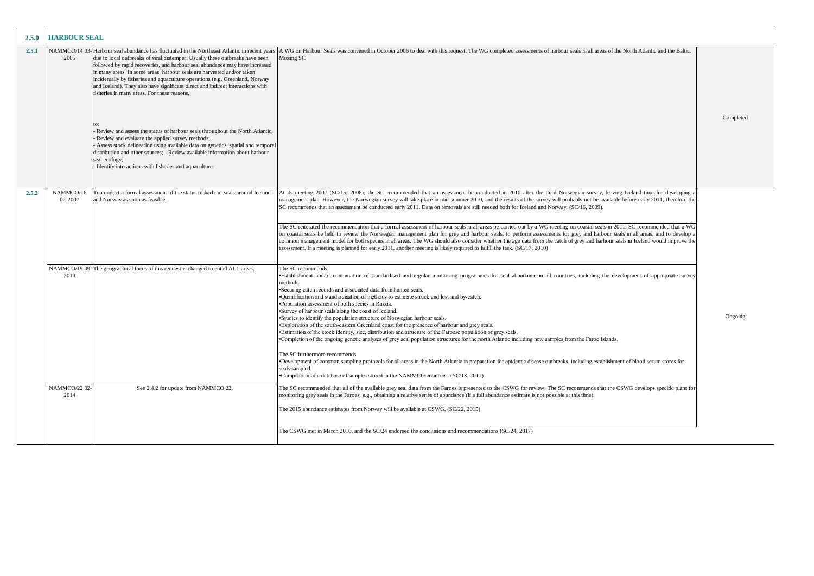| 2.5.0 | <b>HARBOUR SEAL</b>  |                                                                                                                                                                                                                                                                                                                                                                                                                                                                                                                                                        |                                                                                                                                                                                                                                                                                                                                                                                                                                                                                                                                                                                                                                                                                                                                                                                                                                                                                                                                                                                                                                                                                                                                                                                                                                                                         |           |
|-------|----------------------|--------------------------------------------------------------------------------------------------------------------------------------------------------------------------------------------------------------------------------------------------------------------------------------------------------------------------------------------------------------------------------------------------------------------------------------------------------------------------------------------------------------------------------------------------------|-------------------------------------------------------------------------------------------------------------------------------------------------------------------------------------------------------------------------------------------------------------------------------------------------------------------------------------------------------------------------------------------------------------------------------------------------------------------------------------------------------------------------------------------------------------------------------------------------------------------------------------------------------------------------------------------------------------------------------------------------------------------------------------------------------------------------------------------------------------------------------------------------------------------------------------------------------------------------------------------------------------------------------------------------------------------------------------------------------------------------------------------------------------------------------------------------------------------------------------------------------------------------|-----------|
| 2.5.1 | 2005                 | NAMMCO/14 03-Harbour seal abundance has fluctuated in the Northeast Atlantic in recent years<br>due to local outbreaks of viral distemper. Usually these outbreaks have been<br>followed by rapid recoveries, and harbour seal abundance may have increased<br>in many areas. In some areas, harbour seals are harvested and/or taken<br>incidentally by fisheries and aquaculture operations (e.g. Greenland, Norway<br>and Iceland). They also have significant direct and indirect interactions with<br>fisheries in many areas. For these reasons, | A WG on Harbour Seals was convened in October 2006 to deal with this request. The WG completed assessments of harbour seals in all areas of the North Atlantic and the Baltic.<br>Missing SC                                                                                                                                                                                                                                                                                                                                                                                                                                                                                                                                                                                                                                                                                                                                                                                                                                                                                                                                                                                                                                                                            |           |
|       |                      | Review and assess the status of harbour seals throughout the North Atlantic;<br>Review and evaluate the applied survey methods;<br>Assess stock delineation using available data on genetics, spatial and temporal<br>distribution and other sources; - Review available information about harbour<br>seal ecology;<br>Identify interactions with fisheries and aquaculture.                                                                                                                                                                           |                                                                                                                                                                                                                                                                                                                                                                                                                                                                                                                                                                                                                                                                                                                                                                                                                                                                                                                                                                                                                                                                                                                                                                                                                                                                         | Completed |
| 2.5.2 | NAMMCO/16<br>02-2007 | To conduct a formal assessment of the status of harbour seals around Iceland<br>and Norway as soon as feasible.                                                                                                                                                                                                                                                                                                                                                                                                                                        | At its meeting 2007 (SC/15, 2008), the SC recommended that an assessment be conducted in 2010 after the third Norwegian survey, leaving Iceland time for developing a<br>management plan. However, the Norwegian survey will take place in mid-summer 2010, and the results of the survey will probably not be available before early 2011, therefore the<br>SC recommends that an assessment be conducted early 2011. Data on removals are still needed both for Iceland and Norway. (SC/16, 2009).<br>The SC reiterated the recommendation that a formal assessment of harbour seals in all areas be carried out by a WG meeting on coastal seals in 2011. SC recommended that a WG<br>on coastal seals be held to review the Norwegian management plan for grey and harbour seals, to perform assessments for grey and harbour seals in all areas, and to develop a<br>common management model for both species in all areas. The WG should also consider whether the age data from the catch of grey and harbour seals in Iceland would improve the<br>assessment. If a meeting is planned for early 2011, another meeting is likely required to fulfill the task. (SC/17, 2010)                                                                                    |           |
|       | 2010                 | NAMMCO/19 09-The geographical focus of this request is changed to entail ALL areas.                                                                                                                                                                                                                                                                                                                                                                                                                                                                    | The SC recommends:<br>•Establishment and/or continuation of standardised and regular monitoring programmes for seal abundance in all countries, including the development of appropriate survey<br>methods.<br>•Securing catch records and associated data from hunted seals.<br>·Quantification and standardisation of methods to estimate struck and lost and by-catch.<br>*Population assessment of both species in Russia.<br>•Survey of harbour seals along the coast of Iceland.<br>•Studies to identify the population structure of Norwegian harbour seals.<br>•Exploration of the south-eastern Greenland coast for the presence of harbour and grey seals.<br>•Estimation of the stock identity, size, distribution and structure of the Faroese population of grey seals.<br>•Completion of the ongoing genetic analyses of grey seal population structures for the north Atlantic including new samples from the Faroe Islands.<br>The SC furthermore recommends<br>•Development of common sampling protocols for all areas in the North Atlantic in preparation for epidemic disease outbreaks, including establishment of blood serum stores for<br>seals sampled.<br>•Compilation of a database of samples stored in the NAMMCO countries. (SC/18, 2011) | Ongoing   |
|       | NAMMCO/2202<br>2014  | See 2.4.2 for update from NAMMCO 22.                                                                                                                                                                                                                                                                                                                                                                                                                                                                                                                   | The SC recommended that all of the available grey seal data from the Faroes is presented to the CSWG for review. The SC recommends that the CSWG develops specific plans for<br>monitoring grey seals in the Faroes, e.g., obtaining a relative series of abundance (if a full abundance estimate is not possible at this time).<br>The 2015 abundance estimates from Norway will be available at CSWG. (SC/22, 2015)<br>The CSWG met in March 2016, and the SC/24 endorsed the conclusions and recommendations (SC/24, 2017)                                                                                                                                                                                                                                                                                                                                                                                                                                                                                                                                                                                                                                                                                                                                           |           |

 $\mathbf{r}$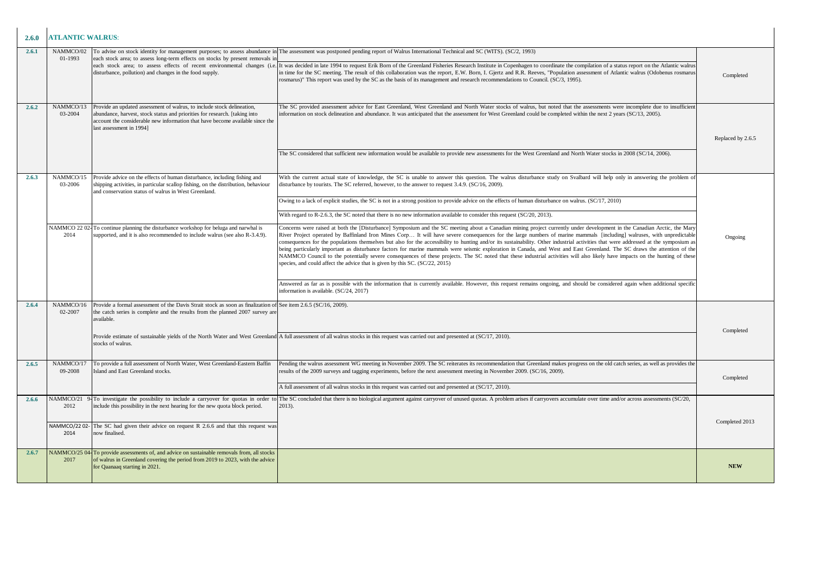| 2.6.1 | NAMMCO/02<br>01-1993  | each stock area; to assess long-term effects on stocks by present removals in<br>disturbance, pollution) and changes in the food supply.                                                                                                                          | To advise on stock identity for management purposes; to assess abundance in The assessment was postponed pending report of Walrus International Technical and SC (WITS). (SC/2, 1993)<br>each stock area; to assess effects of recent environmental changes (i.e.]It was decided in late 1994 to request Erik Born of the Greenland Fisheries Research Institute in Copenhagen to coordinate the compilation of a statu<br>in time for the SC meeting. The result of this collaboration was the report, E.W. Born, I. Gjertz and R.R. Reeves, "Population assessment of Atlantic walrus (Odobenus rosmarus<br>rosmarus)" This report was used by the SC as the basis of its management and research recommendations to Council. (SC/3, 1995).                                                                                                                                                                                                                                           | Completed         |
|-------|-----------------------|-------------------------------------------------------------------------------------------------------------------------------------------------------------------------------------------------------------------------------------------------------------------|-----------------------------------------------------------------------------------------------------------------------------------------------------------------------------------------------------------------------------------------------------------------------------------------------------------------------------------------------------------------------------------------------------------------------------------------------------------------------------------------------------------------------------------------------------------------------------------------------------------------------------------------------------------------------------------------------------------------------------------------------------------------------------------------------------------------------------------------------------------------------------------------------------------------------------------------------------------------------------------------|-------------------|
| 2.6.2 | NAMMCO/13<br>03-2004  | Provide an updated assessment of walrus, to include stock delineation,<br>abundance, harvest, stock status and priorities for research. [taking into<br>account the considerable new information that have become available since the<br>last assessment in 1994] | The SC provided assessment advice for East Greenland, West Greenland and North Water stocks of walrus, but noted that the assessments were incomplete due to insufficient<br>information on stock delineation and abundance. It was anticipated that the assessment for West Greenland could be completed within the next 2 years (SC/13, 2005).<br>The SC considered that sufficient new information would be available to provide new assessments for the West Greenland and North Water stocks in 2008 (SC/14, 2006).                                                                                                                                                                                                                                                                                                                                                                                                                                                                | Replaced by 2.6.5 |
| 2.6.3 | NAMMCO/15             | Provide advice on the effects of human disturbance, including fishing and                                                                                                                                                                                         | With the current actual state of knowledge, the SC is unable to answer this question. The walrus disturbance study on Svalbard will help only in answering the problem o                                                                                                                                                                                                                                                                                                                                                                                                                                                                                                                                                                                                                                                                                                                                                                                                                |                   |
|       | 03-2006               | shipping activities, in particular scallop fishing, on the distribution, behaviour<br>and conservation status of walrus in West Greenland.                                                                                                                        | disturbance by tourists. The SC referred, however, to the answer to request 3.4.9. (SC/16, 2009).                                                                                                                                                                                                                                                                                                                                                                                                                                                                                                                                                                                                                                                                                                                                                                                                                                                                                       |                   |
|       |                       |                                                                                                                                                                                                                                                                   | Owing to a lack of explicit studies, the SC is not in a strong position to provide advice on the effects of human disturbance on walrus. (SC/17, 2010)                                                                                                                                                                                                                                                                                                                                                                                                                                                                                                                                                                                                                                                                                                                                                                                                                                  |                   |
|       |                       |                                                                                                                                                                                                                                                                   | With regard to R-2.6.3, the SC noted that there is no new information available to consider this request (SC/20, 2013).                                                                                                                                                                                                                                                                                                                                                                                                                                                                                                                                                                                                                                                                                                                                                                                                                                                                 |                   |
|       | 2014                  | NAMMCO 22 02-To continue planning the disturbance workshop for beluga and narwhal is<br>upported, and it is also recommended to include walrus (see also R-3.4.9).                                                                                                | Concerns were raised at both the [Disturbance] Symposium and the SC meeting about a Canadian mining project currently under development in the Canadian Arctic, the Mary<br>River Project operated by Baffinland Iron Mines Corp It will have severe consequences for the large numbers of marine mammals [including] walruses, with unpredictable<br>consequences for the populations themselves but also for the accessibility to hunting and/or its sustainability. Other industrial activities that were addressed at the symposium as<br>being particularly important as disturbance factors for marine mammals were seismic exploration in Canada, and West and East Greenland. The SC draws the attention of the<br>NAMMCO Council to the potentially severe consequences of these projects. The SC noted that these industrial activities will also likely have impacts on the hunting of these<br>species, and could affect the advice that is given by this SC. (SC/22, 2015) | Ongoing           |
|       |                       |                                                                                                                                                                                                                                                                   | Answered as far as is possible with the information that is currently available. However, this request remains ongoing, and should be considered again when additional specific<br>information is available. (SC/24, 2017)                                                                                                                                                                                                                                                                                                                                                                                                                                                                                                                                                                                                                                                                                                                                                              |                   |
| 2.6.4 | NAMMCO/16<br>02-2007  | Provide a formal assessment of the Davis Strait stock as soon as finalization of See item 2.6.5 (SC/16, 2009).<br>the catch series is complete and the results from the planned 2007 survey are<br>available.                                                     |                                                                                                                                                                                                                                                                                                                                                                                                                                                                                                                                                                                                                                                                                                                                                                                                                                                                                                                                                                                         |                   |
|       |                       | stocks of walrus.                                                                                                                                                                                                                                                 | Provide estimate of sustainable yields of the North Water and West Greenland A full assessment of all walrus stocks in this request was carried out and presented at (SC/17, 2010).                                                                                                                                                                                                                                                                                                                                                                                                                                                                                                                                                                                                                                                                                                                                                                                                     | Completed         |
| 2.6.5 | NAMMCO/17<br>09-2008  | To provide a full assessment of North Water, West Greenland-Eastern Baffin<br>Island and East Greenland stocks.                                                                                                                                                   | Pending the walrus assessment WG meeting in November 2009. The SC reiterates its recommendation that Greenland makes progress on the old catch series, as well as provides the<br>results of the 2009 surveys and tagging experiments, before the next assessment meeting in November 2009. (SC/16, 2009).                                                                                                                                                                                                                                                                                                                                                                                                                                                                                                                                                                                                                                                                              | Completed         |
|       |                       |                                                                                                                                                                                                                                                                   | A full assessment of all walrus stocks in this request was carried out and presented at (SC/17, 2010).                                                                                                                                                                                                                                                                                                                                                                                                                                                                                                                                                                                                                                                                                                                                                                                                                                                                                  |                   |
| 2.6.6 | NAMMCO/21<br>2012     | 9-To investigate the possibility to include a carryover for quotas in order to<br>include this possibility in the next hearing for the new quota block period.                                                                                                    | The SC concluded that there is no biological argument against carryover of unused quotas. A problem arises if carryovers accumulate over time and/or across assessments (SC/20,<br>2013).                                                                                                                                                                                                                                                                                                                                                                                                                                                                                                                                                                                                                                                                                                                                                                                               |                   |
|       | NAMMCO/22 02-<br>2014 | The SC had given their advice on request R 2.6.6 and that this request was<br>now finalised.                                                                                                                                                                      |                                                                                                                                                                                                                                                                                                                                                                                                                                                                                                                                                                                                                                                                                                                                                                                                                                                                                                                                                                                         | Completed 2013    |
| 2.6.7 | 2017                  | NAMMCO/25 04-To provide assessments of, and advice on sustainable removals from, all stocks<br>of walrus in Greenland covering the period from 2019 to 2023, with the advice<br>for Qaanaaq starting in 2021.                                                     |                                                                                                                                                                                                                                                                                                                                                                                                                                                                                                                                                                                                                                                                                                                                                                                                                                                                                                                                                                                         | <b>NEW</b>        |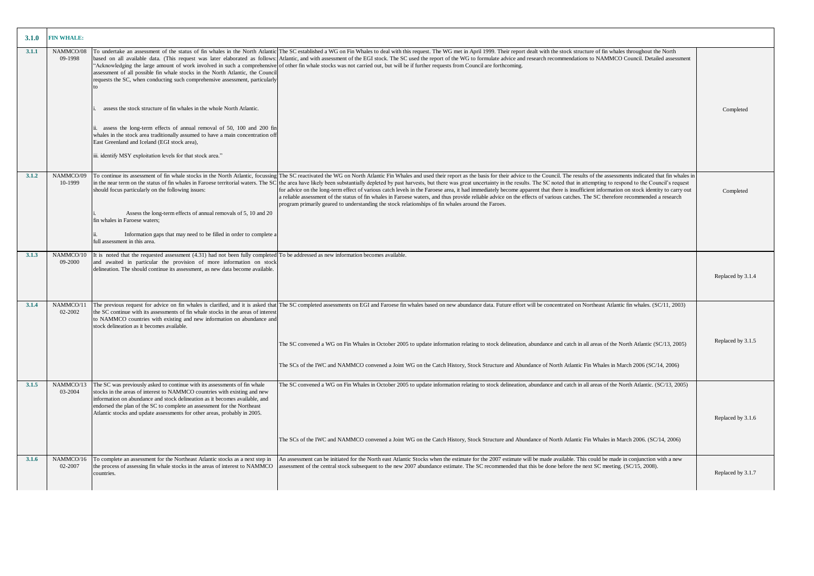| 3.1.0 | <b>FIN WHALE:</b>    |                                                                                                                                                                                                                                                                                                                                                                                               |                                                                                                                                                                                                                                                                                                                                                                                                                                                                                                                                                                                                                                                                                                                                                                                                                                                                        |                   |
|-------|----------------------|-----------------------------------------------------------------------------------------------------------------------------------------------------------------------------------------------------------------------------------------------------------------------------------------------------------------------------------------------------------------------------------------------|------------------------------------------------------------------------------------------------------------------------------------------------------------------------------------------------------------------------------------------------------------------------------------------------------------------------------------------------------------------------------------------------------------------------------------------------------------------------------------------------------------------------------------------------------------------------------------------------------------------------------------------------------------------------------------------------------------------------------------------------------------------------------------------------------------------------------------------------------------------------|-------------------|
| 3.1.1 | NAMMCO/08<br>09-1998 | based on all available data. (This request was later elaborated as follows:<br>assessment of all possible fin whale stocks in the North Atlantic, the Council<br>requests the SC, when conducting such comprehensive assessment, particularly                                                                                                                                                 | To undertake an assessment of the status of fin whales in the North Atlantic The SC established a WG on Fin Whales to deal with this request. The WG met in April 1999. Their report dealt with the stock structure of fin wha<br>Atlantic, and with assessment of the EGI stock. The SC used the report of the WG to formulate advice and research recommendations to NAMMCO Council. Detailed assessment<br>"Acknowledging the large amount of work involved in such a comprehensive of other fin whale stocks was not carried out, but will be if further requests from Council are forthcoming.                                                                                                                                                                                                                                                                    |                   |
|       |                      | assess the stock structure of fin whales in the whole North Atlantic.                                                                                                                                                                                                                                                                                                                         |                                                                                                                                                                                                                                                                                                                                                                                                                                                                                                                                                                                                                                                                                                                                                                                                                                                                        | Completed         |
|       |                      | ii. assess the long-term effects of annual removal of 50, 100 and 200 fin<br>whales in the stock area traditionally assumed to have a main concentration off<br>East Greenland and Iceland (EGI stock area),                                                                                                                                                                                  |                                                                                                                                                                                                                                                                                                                                                                                                                                                                                                                                                                                                                                                                                                                                                                                                                                                                        |                   |
|       |                      | iii. identify MSY exploitation levels for that stock area."                                                                                                                                                                                                                                                                                                                                   |                                                                                                                                                                                                                                                                                                                                                                                                                                                                                                                                                                                                                                                                                                                                                                                                                                                                        |                   |
| 3.1.2 | NAMMCO/09<br>10-1999 | To continue its assessment of fin whale stocks in the North Atlantic, focussing<br>in the near term on the status of fin whales in Faroese territorial waters. The SC<br>should focus particularly on the following issues:                                                                                                                                                                   | The SC reactivated the WG on North Atlantic Fin Whales and used their report as the basis for their advice to the Council. The results of the assessments indicated that fin whales in<br>the area have likely been substantially depleted by past harvests, but there was great uncertainty in the results. The SC noted that in attempting to respond to the Council's request<br>for advice on the long-term effect of various catch levels in the Faroese area, it had immediately become apparent that there is insufficient information on stock identity to carry out<br>a reliable assessment of the status of fin whales in Faroese waters, and thus provide reliable advice on the effects of various catches. The SC therefore recommended a research<br>program primarily geared to understanding the stock relationships of fin whales around the Faroes. | Completed         |
|       |                      | Assess the long-term effects of annual removals of 5, 10 and 20<br>fin whales in Faroese waters;                                                                                                                                                                                                                                                                                              |                                                                                                                                                                                                                                                                                                                                                                                                                                                                                                                                                                                                                                                                                                                                                                                                                                                                        |                   |
|       |                      | Information gaps that may need to be filled in order to complete a<br>full assessment in this area.                                                                                                                                                                                                                                                                                           |                                                                                                                                                                                                                                                                                                                                                                                                                                                                                                                                                                                                                                                                                                                                                                                                                                                                        |                   |
| 3.1.3 | NAMMCO/10<br>09-2000 | It is noted that the requested assessment (4.31) had not been fully completed To be addressed as new information becomes available.<br>and awaited in particular the provision of more information on stock<br>delineation. The should continue its assessment, as new data become available.                                                                                                 |                                                                                                                                                                                                                                                                                                                                                                                                                                                                                                                                                                                                                                                                                                                                                                                                                                                                        |                   |
|       |                      |                                                                                                                                                                                                                                                                                                                                                                                               |                                                                                                                                                                                                                                                                                                                                                                                                                                                                                                                                                                                                                                                                                                                                                                                                                                                                        | Replaced by 3.1.4 |
| 3.1.4 | NAMMCO/11<br>02-2002 | the SC continue with its assessments of fin whale stocks in the areas of interest<br>to NAMMCO countries with existing and new information on abundance and<br>stock delineation as it becomes available.                                                                                                                                                                                     | The previous request for advice on fin whales is clarified, and it is asked that The SC completed assessments on EGI and Faroese fin whales based on new abundance data. Future effort will be concentrated on Northeast Atlan                                                                                                                                                                                                                                                                                                                                                                                                                                                                                                                                                                                                                                         |                   |
|       |                      |                                                                                                                                                                                                                                                                                                                                                                                               | The SC convened a WG on Fin Whales in October 2005 to update information relating to stock delineation, abundance and catch in all areas of the North Atlantic (SC/13, 2005)                                                                                                                                                                                                                                                                                                                                                                                                                                                                                                                                                                                                                                                                                           | Replaced by 3.1.5 |
|       |                      |                                                                                                                                                                                                                                                                                                                                                                                               | The SCs of the IWC and NAMMCO convened a Joint WG on the Catch History, Stock Structure and Abundance of North Atlantic Fin Whales in March 2006 (SC/14, 2006)                                                                                                                                                                                                                                                                                                                                                                                                                                                                                                                                                                                                                                                                                                         |                   |
| 3.1.5 | NAMMCO/13<br>03-2004 | The SC was previously asked to continue with its assessments of fin whale<br>stocks in the areas of interest to NAMMCO countries with existing and new<br>information on abundance and stock delineation as it becomes available, and<br>endorsed the plan of the SC to complete an assessment for the Northeast<br>Atlantic stocks and update assessments for other areas, probably in 2005. | The SC convened a WG on Fin Whales in October 2005 to update information relating to stock delineation, abundance and catch in all areas of the North Atlantic. (SC/13, 2005)                                                                                                                                                                                                                                                                                                                                                                                                                                                                                                                                                                                                                                                                                          | Replaced by 3.1.6 |
|       |                      |                                                                                                                                                                                                                                                                                                                                                                                               | The SCs of the IWC and NAMMCO convened a Joint WG on the Catch History, Stock Structure and Abundance of North Atlantic Fin Whales in March 2006. (SC/14, 2006)                                                                                                                                                                                                                                                                                                                                                                                                                                                                                                                                                                                                                                                                                                        |                   |
| 3.1.6 | NAMMCO/16<br>02-2007 | To complete an assessment for the Northeast Atlantic stocks as a next step in<br>the process of assessing fin whale stocks in the areas of interest to NAMMCO<br>countries.                                                                                                                                                                                                                   | An assessment can be initiated for the North east Atlantic Stocks when the estimate for the 2007 estimate will be made available. This could be made in conjunction with a new<br>assessment of the central stock subsequent to the new 2007 abundance estimate. The SC recommended that this be done before the next SC meeting. (SC/15, 2008).                                                                                                                                                                                                                                                                                                                                                                                                                                                                                                                       | Replaced by 3.1.7 |
|       |                      |                                                                                                                                                                                                                                                                                                                                                                                               |                                                                                                                                                                                                                                                                                                                                                                                                                                                                                                                                                                                                                                                                                                                                                                                                                                                                        |                   |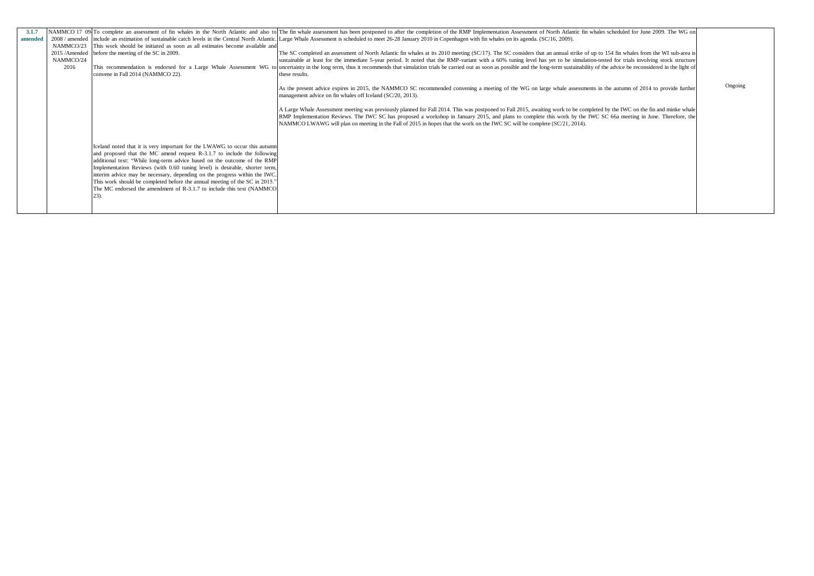| 3.1.7   |           |                                                                                       | NAMMCO 17 09-To complete an assessment of fin whales in the North Atlantic and also to The fin whale assessment has been postponed to after the completion of the RMP Implementation Assessment of North Atlantic fin whales s |         |
|---------|-----------|---------------------------------------------------------------------------------------|--------------------------------------------------------------------------------------------------------------------------------------------------------------------------------------------------------------------------------|---------|
| amended |           |                                                                                       | 2008 / amended include an estimation of sustainable catch levels in the Central North Atlantic. Large Whale Assessment is scheduled to meet 26-28 January 2010 in Copenhagen with fin whales on its agenda. (SC/16, 2009).     |         |
|         |           | NAMMCO/23 This work should be initiated as soon as all estimates become available and |                                                                                                                                                                                                                                |         |
|         |           | 2015 /Amended before the meeting of the SC in 2009.                                   | The SC completed an assessment of North Atlantic fin whales at its 2010 meeting (SC/17). The SC considers that an annual strike of up to 154 fin whales from the WI sub-area is                                                |         |
|         | NAMMCO/24 |                                                                                       | sustainable at least for the immediate 5-year period. It noted that the RMP-variant with a 60% tuning level has yet to be simulation-tested for trials involving stock structure                                               |         |
|         | 2016      |                                                                                       | This recommendation is endorsed for a Large Whale Assessment WG to uncertainty in the long term, thus it recommends that simulation trials be carried out as soon as possible and the long-term sustainability of the advice b |         |
|         |           | convene in Fall 2014 (NAMMCO 22).                                                     | these results.                                                                                                                                                                                                                 |         |
|         |           |                                                                                       |                                                                                                                                                                                                                                |         |
|         |           |                                                                                       | As the present advice expires in 2015, the NAMMCO SC recommended convening a meeting of the WG on large whale assessments in the autumn of 2014 to provide further                                                             | Ongoing |
|         |           |                                                                                       | management advice on fin whales off Iceland (SC/20, 2013).                                                                                                                                                                     |         |
|         |           |                                                                                       |                                                                                                                                                                                                                                |         |
|         |           |                                                                                       | A Large Whale Assessment meeting was previously planned for Fall 2014. This was postponed to Fall 2015, awaiting work to be completed by the IWC on the fin and minke whale                                                    |         |
|         |           |                                                                                       | RMP Implementation Reviews. The IWC SC has proposed a workshop in January 2015, and plans to complete this work by the IWC SC 66a meeting in June. Therefore, the                                                              |         |
|         |           |                                                                                       | NAMMCO LWAWG will plan on meeting in the Fall of 2015 in hopes that the work on the IWC SC will be complete (SC/21, 2014).                                                                                                     |         |
|         |           |                                                                                       |                                                                                                                                                                                                                                |         |
|         |           |                                                                                       |                                                                                                                                                                                                                                |         |
|         |           | Iceland noted that it is very important for the LWAWG to occur this autumn            |                                                                                                                                                                                                                                |         |
|         |           | and proposed that the MC amend request R-3.1.7 to include the following               |                                                                                                                                                                                                                                |         |
|         |           | additional text: "While long-term advice based on the outcome of the RMP              |                                                                                                                                                                                                                                |         |
|         |           | Implementation Reviews (with 0.60 tuning level) is desirable, shorter term,           |                                                                                                                                                                                                                                |         |
|         |           | interim advice may be necessary, depending on the progress within the IWC.            |                                                                                                                                                                                                                                |         |
|         |           | This work should be completed before the annual meeting of the SC in 2015."           |                                                                                                                                                                                                                                |         |
|         |           | The MC endorsed the amendment of R-3.1.7 to include this text (NAMMCO)                |                                                                                                                                                                                                                                |         |
|         |           | 23).                                                                                  |                                                                                                                                                                                                                                |         |
|         |           |                                                                                       |                                                                                                                                                                                                                                |         |
|         |           |                                                                                       |                                                                                                                                                                                                                                |         |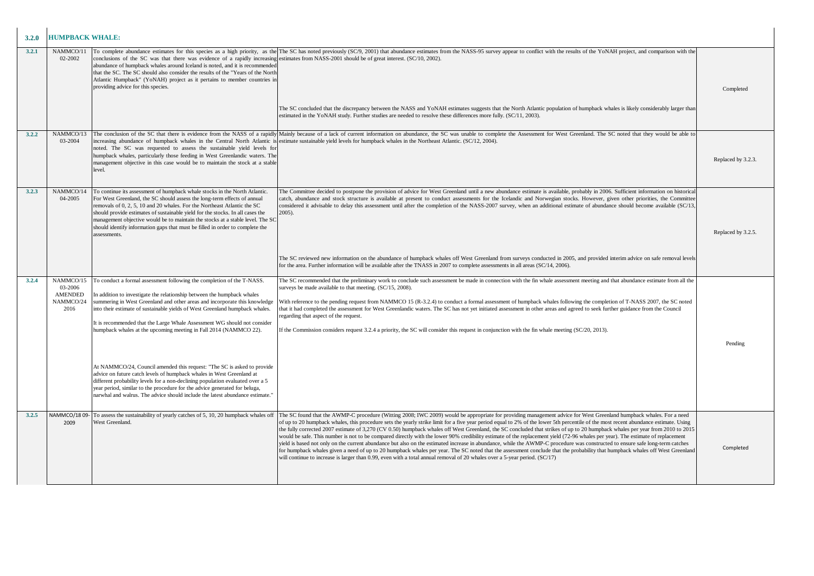| 3.2.0 | <b>HUMPBACK WHALE:</b>                               |                                                                                                                                                                                                                                                                                                                                                                                                                                                                                                                                                                                                                                                                                                                                                                                                                                                                       |                                                                                                                                                                                                                                                                                                                                                                                                                                                                                                                                                                                                                                                                                                                                                                                                                                                                                                                                                                                                                                                                                                                                                                                                                                   |                    |
|-------|------------------------------------------------------|-----------------------------------------------------------------------------------------------------------------------------------------------------------------------------------------------------------------------------------------------------------------------------------------------------------------------------------------------------------------------------------------------------------------------------------------------------------------------------------------------------------------------------------------------------------------------------------------------------------------------------------------------------------------------------------------------------------------------------------------------------------------------------------------------------------------------------------------------------------------------|-----------------------------------------------------------------------------------------------------------------------------------------------------------------------------------------------------------------------------------------------------------------------------------------------------------------------------------------------------------------------------------------------------------------------------------------------------------------------------------------------------------------------------------------------------------------------------------------------------------------------------------------------------------------------------------------------------------------------------------------------------------------------------------------------------------------------------------------------------------------------------------------------------------------------------------------------------------------------------------------------------------------------------------------------------------------------------------------------------------------------------------------------------------------------------------------------------------------------------------|--------------------|
| 3.2.1 | NAMMCO/11<br>02-2002                                 | conclusions of the SC was that there was evidence of a rapidly increasing estimates from NASS-2001 should be of great interest. (SC/10, 2002).<br>abundance of humpback whales around Iceland is noted, and it is recommended<br>that the SC. The SC should also consider the results of the "Years of the North<br>Atlantic Humpback" (YoNAH) project as it pertains to member countries in<br>providing advice for this species.                                                                                                                                                                                                                                                                                                                                                                                                                                    | To complete abundance estimates for this species as a high priority, as the The SC has noted previously (SC/9, 2001) that abundance estimates from the NASS-95 survey appear to conflict with the results of the YoNAH project<br>The SC concluded that the discrepancy between the NASS and YoNAH estimates suggests that the North Atlantic population of humpback whales is likely considerably larger than<br>estimated in the YoNAH study. Further studies are needed to resolve these differences more fully. (SC/11, 2003).                                                                                                                                                                                                                                                                                                                                                                                                                                                                                                                                                                                                                                                                                                | Completed          |
| 3.2.2 | NAMMCO/13<br>03-2004                                 | noted. The SC was requested to assess the sustainable yield levels for<br>humpback whales, particularly those feeding in West Greenlandic waters. The<br>management objective in this case would be to maintain the stock at a stable<br>level.                                                                                                                                                                                                                                                                                                                                                                                                                                                                                                                                                                                                                       | The conclusion of the SC that there is evidence from the NASS of a rapidly Mainly because of a lack of current information on abundance, the SC was unable to complete the Assessment for West Greenland. The SC noted that th<br>increasing abundance of humpback whales in the Central North Atlantic is estimate sustainable yield levels for humpback whales in the Northeast Atlantic. (SC/12, 2004).                                                                                                                                                                                                                                                                                                                                                                                                                                                                                                                                                                                                                                                                                                                                                                                                                        | Replaced by 3.2.3. |
| 3.2.3 | NAMMCO/14<br>04-2005                                 | To continue its assessment of humpback whale stocks in the North Atlantic.<br>For West Greenland, the SC should assess the long-term effects of annual<br>removals of 0, 2, 5, 10 and 20 whales. For the Northeast Atlantic the SC<br>should provide estimates of sustainable yield for the stocks. In all cases the<br>management objective would be to maintain the stocks at a stable level. The SC<br>should identify information gaps that must be filled in order to complete the<br>assessments.                                                                                                                                                                                                                                                                                                                                                               | The Committee decided to postpone the provision of advice for West Greenland until a new abundance estimate is available, probably in 2006. Sufficient information on historical<br>catch, abundance and stock structure is available at present to conduct assessments for the Icelandic and Norwegian stocks. However, given other priorities, the Committee<br>considered it advisable to delay this assessment until after the completion of the NASS-2007 survey, when an additional estimate of abundance should become available (SC/13,<br>$2005$ ).<br>The SC reviewed new information on the abundance of humpback whales off West Greenland from surveys conducted in 2005, and provided interim advice on safe removal levels<br>for the area. Further information will be available after the TNASS in 2007 to complete assessments in all areas (SC/14, 2006).                                                                                                                                                                                                                                                                                                                                                      | Replaced by 3.2.5. |
| 3.2.4 | NAMMCO/15<br>03-2006<br>AMENDED<br>NAMMCO/24<br>2016 | To conduct a formal assessment following the completion of the T-NASS.<br>In addition to investigate the relationship between the humpback whales<br>summering in West Greenland and other areas and incorporate this knowledge<br>into their estimate of sustainable yields of West Greenland humpback whales.<br>It is recommended that the Large Whale Assessment WG should not consider<br>humpback whales at the upcoming meeting in Fall 2014 (NAMMCO 22).<br>At NAMMCO/24, Council amended this request: "The SC is asked to provide<br>advice on future catch levels of humpback whales in West Greenland at<br>different probability levels for a non-declining population evaluated over a 5<br>year period, similar to the procedure for the advice generated for beluga,<br>narwhal and walrus. The advice should include the latest abundance estimate.' | The SC recommended that the preliminary work to conclude such assessment be made in connection with the fin whale assessment meeting and that abundance estimate from all the<br>surveys be made available to that meeting. (SC/15, 2008).<br>With reference to the pending request from NAMMCO 15 (R-3.2.4) to conduct a formal assessment of humpback whales following the completion of T-NASS 2007, the SC noted<br>that it had completed the assessment for West Greenlandic waters. The SC has not yet initiated assessment in other areas and agreed to seek further guidance from the Council<br>regarding that aspect of the request.<br>If the Commission considers request 3.2.4 a priority, the SC will consider this request in conjunction with the fin whale meeting (SC/20, 2013).                                                                                                                                                                                                                                                                                                                                                                                                                                | Pending            |
| 3.2.5 | NAMMCO/1809-<br>2009                                 | To assess the sustainability of yearly catches of 5, 10, 20 humpback whales off<br>West Greenland.                                                                                                                                                                                                                                                                                                                                                                                                                                                                                                                                                                                                                                                                                                                                                                    | The SC found that the AWMP-C procedure (Witting 2008; IWC 2009) would be appropriate for providing management advice for West Greenland humpback whales. For a need<br>of up to 20 humpback whales, this procedure sets the yearly strike limit for a five year period equal to 2% of the lower 5th percentile of the most recent abundance estimate. Using<br>the fully corrected 2007 estimate of 3,270 (CV 0.50) humpback whales off West Greenland, the SC concluded that strikes of up to 20 humpback whales per year from 2010 to 2015<br>would be safe. This number is not to be compared directly with the lower 90% credibility estimate of the replacement yield (72-96 whales per year). The estimate of replacement<br>yield is based not only on the current abundance but also on the estimated increase in abundance, while the AWMP-C procedure was constructed to ensure safe long-term catches<br>for humpback whales given a need of up to 20 humpback whales per year. The SC noted that the assessment conclude that the probability that humpback whales off West Greenland<br>will continue to increase is larger than 0.99, even with a total annual removal of 20 whales over a 5-year period. $(SC/17)$ | Completed          |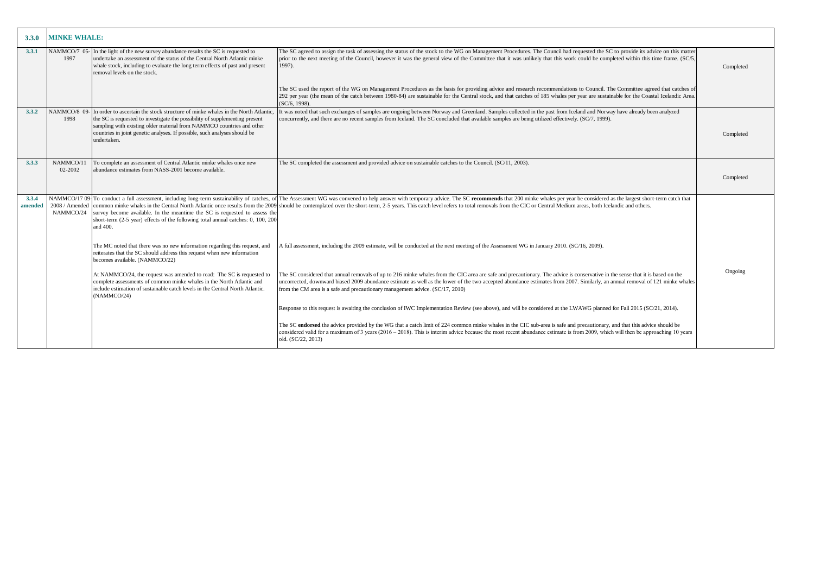| 3.3.0            | <b>MINKE WHALE:</b>  |                                                                                                                                                                                                                                                                                                                                                  |                                                                                                                                                                                                                                                                                                                                                                                                                                                                 |           |  |
|------------------|----------------------|--------------------------------------------------------------------------------------------------------------------------------------------------------------------------------------------------------------------------------------------------------------------------------------------------------------------------------------------------|-----------------------------------------------------------------------------------------------------------------------------------------------------------------------------------------------------------------------------------------------------------------------------------------------------------------------------------------------------------------------------------------------------------------------------------------------------------------|-----------|--|
| 3.3.1            | 1997                 | NAMMCO/7 05- In the light of the new survey abundance results the SC is requested to<br>undertake an assessment of the status of the Central North Atlantic minke<br>whale stock, including to evaluate the long term effects of past and present<br>removal levels on the stock.                                                                | The SC agreed to assign the task of assessing the status of the stock to the WG on Management Procedures. The Council had requested the SC to provide its advice on this matter<br>prior to the next meeting of the Council, however it was the general view of the Committee that it was unlikely that this work could be completed within this time frame. (SC/5,<br>1997).                                                                                   | Completed |  |
|                  |                      |                                                                                                                                                                                                                                                                                                                                                  | The SC used the report of the WG on Management Procedures as the basis for providing advice and research recommendations to Council. The Committee agreed that catches of<br>292 per year (the mean of the catch between 1980-84) are sustainable for the Central stock, and that catches of 185 whales per year are sustainable for the Coastal Icelandic Area.<br>(SC/6, 1998).                                                                               |           |  |
| 3.3.2            | 1998                 | NAMMCO/8 09- In order to ascertain the stock structure of minke whales in the North Atlantic<br>the SC is requested to investigate the possibility of supplementing present<br>sampling with existing older material from NAMMCO countries and other<br>countries in joint genetic analyses. If possible, such analyses should be<br>undertaken. | It was noted that such exchanges of samples are ongoing between Norway and Greenland. Samples collected in the past from Iceland and Norway have already been analyzed<br>concurrently, and there are no recent samples from Iceland. The SC concluded that available samples are being utilized effectively. (SC/7, 1999).                                                                                                                                     | Completed |  |
| 3.3.3            | NAMMCO/11<br>02-2002 | To complete an assessment of Central Atlantic minke whales once new<br>abundance estimates from NASS-2001 become available.                                                                                                                                                                                                                      | The SC completed the assessment and provided advice on sustainable catches to the Council. (SC/11, 2003).                                                                                                                                                                                                                                                                                                                                                       | Completed |  |
| 3.3.4<br>amended | NAMMCO/24            | survey become available. In the meantime the SC is requested to assess the<br>short-term (2-5 year) effects of the following total annual catches: 0, 100, 200<br>and 400.                                                                                                                                                                       | NAMMCO/17 09-To conduct a full assessment, including long-term sustainability of catches, of The Assessment WG was convened to help answer with temporary advice. The SC recommends that 200 minke whales per year be consider<br>2008 / Amended   common minke whales in the Central North Atlantic once results from the 2009 should be contemplated over the short-term, 2-5 years. This catch level refers to total removals from the CIC or Central Medium |           |  |
|                  |                      | The MC noted that there was no new information regarding this request, and<br>reiterates that the SC should address this request when new information<br>becomes available. (NAMMCO/22)                                                                                                                                                          | A full assessment, including the 2009 estimate, will be conducted at the next meeting of the Assessment WG in January 2010. (SC/16, 2009).                                                                                                                                                                                                                                                                                                                      |           |  |
|                  |                      | At NAMMCO/24, the request was amended to read: The SC is requested to<br>complete assessments of common minke whales in the North Atlantic and<br>include estimation of sustainable catch levels in the Central North Atlantic.<br>(NAMMCO/24)                                                                                                   | The SC considered that annual removals of up to 216 minke whales from the CIC area are safe and precautionary. The advice is conservative in the sense that it is based on the<br>ancorrected, downward biased 2009 abundance estimate as well as the lower of the two accepted abundance estimates from 2007. Similarly, an annual removal of 121 minke whales<br>from the CM area is a safe and precautionary management advice. (SC/17, 2010)                | Ongoing   |  |
|                  |                      |                                                                                                                                                                                                                                                                                                                                                  | Response to this request is awaiting the conclusion of IWC Implementation Review (see above), and will be considered at the LWAWG planned for Fall 2015 (SC/21, 2014).                                                                                                                                                                                                                                                                                          |           |  |
|                  |                      |                                                                                                                                                                                                                                                                                                                                                  | The SC endorsed the advice provided by the WG that a catch limit of 224 common minke whales in the CIC sub-area is safe and precautionary, and that this advice should be<br>considered valid for a maximum of 3 years (2016 - 2018). This is interim advice because the most recent abundance estimate is from 2009, which will then be approaching 10 years<br>old. (SC/22, 2013)                                                                             |           |  |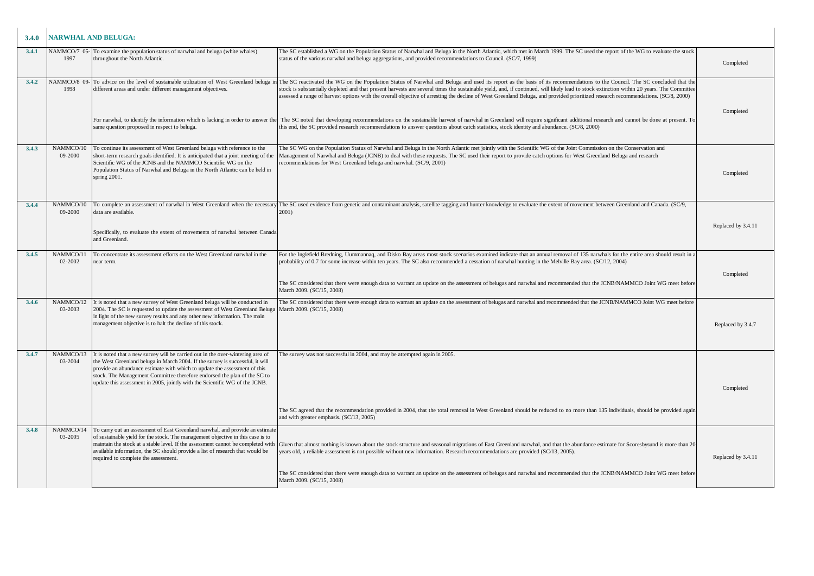| 3.4.0 |                      | <b>NARWHAL AND BELUGA:</b>                                                                                                                                                                                                                                                                                                                                                                               |                                                                                                                                                                                                                                                                                                                                                                                                                                                                                                                                                                                                                  |                    |
|-------|----------------------|----------------------------------------------------------------------------------------------------------------------------------------------------------------------------------------------------------------------------------------------------------------------------------------------------------------------------------------------------------------------------------------------------------|------------------------------------------------------------------------------------------------------------------------------------------------------------------------------------------------------------------------------------------------------------------------------------------------------------------------------------------------------------------------------------------------------------------------------------------------------------------------------------------------------------------------------------------------------------------------------------------------------------------|--------------------|
| 3.4.1 | 1997                 | NAMMCO/7 05- To examine the population status of narwhal and beluga (white whales)<br>throughout the North Atlantic.                                                                                                                                                                                                                                                                                     | The SC established a WG on the Population Status of Narwhal and Beluga in the North Atlantic, which met in March 1999. The SC used the report of the WG to evaluate the stock<br>status of the various narwhal and beluga aggregations, and provided recommendations to Council. (SC/7, 1999)                                                                                                                                                                                                                                                                                                                    | Completed          |
| 3.4.2 | 1998                 | different areas and under different management objectives.                                                                                                                                                                                                                                                                                                                                               | NAMMCO/8 09- To advice on the level of sustainable utilization of West Greenland beluga in The SC reactivated the WG on the Population Status of Narwhal and Beluga and used its report as the basis of its recommendations to<br>stock is substantially depleted and that present harvests are several times the sustainable yield, and, if continued, will likely lead to stock extinction within 20 years. The Committee<br>assessed a range of harvest options with the overall objective of arresting the decline of West Greenland Beluga, and provided prioritized research recommendations. (SC/8, 2000) |                    |
|       |                      | same question proposed in respect to beluga.                                                                                                                                                                                                                                                                                                                                                             | For narwhal, to identify the information which is lacking in order to answer the The SC noted that developing recommendations on the sustainable harvest of narwhal in Greenland will require significant additional research<br>this end, the SC provided research recommendations to answer questions about catch statistics, stock identity and abundance. (SC/8, 2000)                                                                                                                                                                                                                                       | Completed          |
| 3.4.3 | NAMMCO/10<br>09-2000 | To continue its assessment of West Greenland beluga with reference to the<br>short-term research goals identified. It is anticipated that a joint meeting of the<br>Scientific WG of the JCNB and the NAMMCO Scientific WG on the<br>Population Status of Narwhal and Beluga in the North Atlantic can be held in<br>spring 2001.                                                                        | The SC WG on the Population Status of Narwhal and Beluga in the North Atlantic met jointly with the Scientific WG of the Joint Commission on the Conservation and<br>Management of Narwhal and Beluga (JCNB) to deal with these requests. The SC used their report to provide catch options for West Greenland Beluga and research<br>recommendations for West Greenland beluga and narwhal. (SC/9, 2001)                                                                                                                                                                                                        | Completed          |
| 3.4.4 | NAMMCO/10<br>09-2000 | data are available.<br>Specifically, to evaluate the extent of movements of narwhal between Canada<br>and Greenland                                                                                                                                                                                                                                                                                      | To complete an assessment of narwhal in West Greenland when the necessary The SC used evidence from genetic and contaminant analysis, satellite tagging and hunter knowledge to evaluate the extent of movement between Greenl<br>2001)                                                                                                                                                                                                                                                                                                                                                                          | Replaced by 3.4.11 |
| 3.4.5 | NAMMCO/11<br>02-2002 | To concentrate its assessment efforts on the West Greenland narwhal in the<br>near term.                                                                                                                                                                                                                                                                                                                 | For the Inglefield Bredning, Uummannaq, and Disko Bay areas most stock scenarios examined indicate that an annual removal of 135 narwhals for the entire area should result in a<br>probability of 0.7 for some increase within ten years. The SC also recommended a cessation of narwhal hunting in the Melville Bay area. (SC/12, 2004)<br>The SC considered that there were enough data to warrant an update on the assessment of belugas and narwhal and recommended that the JCNB/NAMMCO Joint WG meet before                                                                                               | Completed          |
| 3.4.6 | NAMMCO/12<br>03-2003 | It is noted that a new survey of West Greenland beluga will be conducted in<br>2004. The SC is requested to update the assessment of West Greenland Beluga<br>in light of the new survey results and any other new information. The main<br>management objective is to halt the decline of this stock.                                                                                                   | March 2009. (SC/15, 2008)<br>The SC considered that there were enough data to warrant an update on the assessment of belugas and narwhal and recommended that the JCNB/NAMMCO Joint WG meet before<br>March 2009. (SC/15, 2008)                                                                                                                                                                                                                                                                                                                                                                                  | Replaced by 3.4.7  |
| 3.4.7 | NAMMCO/13<br>03-2004 | It is noted that a new survey will be carried out in the over-wintering area of<br>the West Greenland beluga in March 2004. If the survey is successful, it will<br>provide an abundance estimate with which to update the assessment of this<br>stock. The Management Committee therefore endorsed the plan of the SC to<br>update this assessment in 2005, jointly with the Scientific WG of the JCNB. | The survey was not successful in 2004, and may be attempted again in 2005.                                                                                                                                                                                                                                                                                                                                                                                                                                                                                                                                       | Completed          |
|       |                      |                                                                                                                                                                                                                                                                                                                                                                                                          | The SC agreed that the recommendation provided in 2004, that the total removal in West Greenland should be reduced to no more than 135 individuals, should be provided again<br>and with greater emphasis. (SC/13, 2005)                                                                                                                                                                                                                                                                                                                                                                                         |                    |
| 3.4.8 | NAMMCO/14<br>03-2005 | To carry out an assessment of East Greenland narwhal, and provide an estimate<br>of sustainable yield for the stock. The management objective in this case is to<br>maintain the stock at a stable level. If the assessment cannot be completed with<br>available information, the SC should provide a list of research that would be<br>required to complete the assessment.                            | Given that almost nothing is known about the stock structure and seasonal migrations of East Greenland narwhal, and that the abundance estimate for Scoresbysund is more than 20<br>years old, a reliable assessment is not possible without new information. Research recommendations are provided (SC/13, 2005).                                                                                                                                                                                                                                                                                               | Replaced by 3.4.11 |
|       |                      |                                                                                                                                                                                                                                                                                                                                                                                                          | The SC considered that there were enough data to warrant an update on the assessment of belugas and narwhal and recommended that the JCNB/NAMMCO Joint WG meet before<br>March 2009. (SC/15, 2008)                                                                                                                                                                                                                                                                                                                                                                                                               |                    |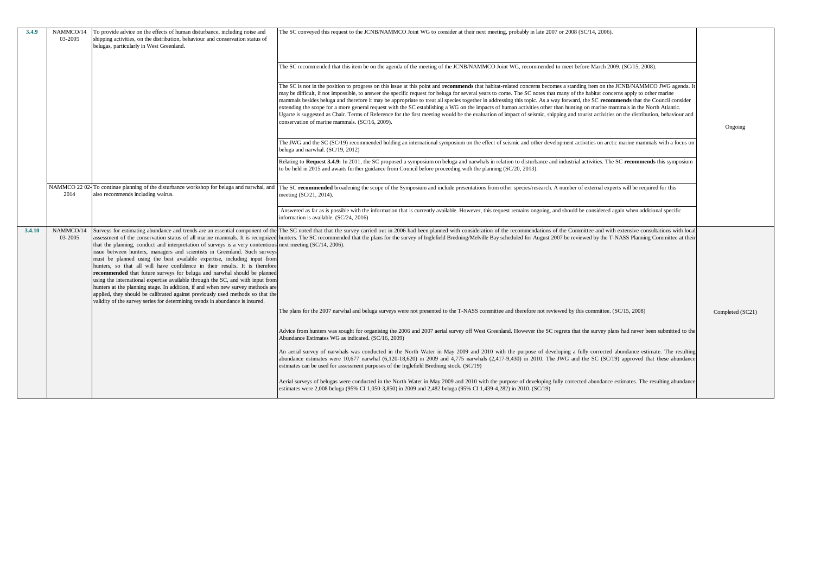| 3.4.9  | NAMMCO/14<br>03-2005         | To provide advice on the effects of human disturbance, including noise and<br>shipping activities, on the distribution, behaviour and conservation status of<br>belugas, particularly in West Greenland.                                                                                                                                                                                                                                                                                                                                                                                                                                                                                                                                                               | The SC conveyed this request to the JCNB/NAMMCO Joint WG to consider at their next meeting, probably in late 2007 or 2008 (SC/14, 2006).<br>The SC recommended that this item be on the agenda of the meeting of the JCNB/NAMMCO Joint WG, recommended to meet before March 2009. (SC/15, 2008).<br>The SC is not in the position to progress on this issue at this point and recommends that habitat-related concerns becomes a standing item on the JCNB/NAMMCO JWG agenda. I<br>may be difficult, if not impossible, to answer the specific request for beluga for several years to come. The SC notes that many of the habitat concerns apply to other marine<br>mammals besides beluga and therefore it may be appropriate to treat all species together in addressing this topic. As a way forward, the SC recommends that the Council consider<br>extending the scope for a more general request with the SC establishing a WG on the impacts of human activities other than hunting on marine mammals in the North Atlantic.<br>Ugarte is suggested as Chair. Terms of Reference for the first meeting would be the evaluation of impact of seismic, shipping and tourist activities on the distribution, behaviour and<br>conservation of marine mammals. (SC/16, 2009).<br>The JWG and the SC (SC/19) recommended holding an international symposium on the effect of seismic and other development activities on arctic marine mammals with a focus on<br>beluga and narwhal. (SC/19, 2012)<br>Relating to Request 3.4.9: In 2011, the SC proposed a symposium on beluga and narwhals in relation to disturbance and industrial activities. The SC recommends this symposium<br>to be held in 2015 and awaits further guidance from Council before proceeding with the planning (SC/20, 2013). | Ongoing          |
|--------|------------------------------|------------------------------------------------------------------------------------------------------------------------------------------------------------------------------------------------------------------------------------------------------------------------------------------------------------------------------------------------------------------------------------------------------------------------------------------------------------------------------------------------------------------------------------------------------------------------------------------------------------------------------------------------------------------------------------------------------------------------------------------------------------------------|-----------------------------------------------------------------------------------------------------------------------------------------------------------------------------------------------------------------------------------------------------------------------------------------------------------------------------------------------------------------------------------------------------------------------------------------------------------------------------------------------------------------------------------------------------------------------------------------------------------------------------------------------------------------------------------------------------------------------------------------------------------------------------------------------------------------------------------------------------------------------------------------------------------------------------------------------------------------------------------------------------------------------------------------------------------------------------------------------------------------------------------------------------------------------------------------------------------------------------------------------------------------------------------------------------------------------------------------------------------------------------------------------------------------------------------------------------------------------------------------------------------------------------------------------------------------------------------------------------------------------------------------------------------------------------------------------------------------------------------------------------------------------------------------------------------|------------------|
|        | <b>NAMMCO 22 02-</b><br>2014 | also recommends including walrus.                                                                                                                                                                                                                                                                                                                                                                                                                                                                                                                                                                                                                                                                                                                                      | To continue planning of the disturbance workshop for beluga and narwhal, and  The SC recommended broadening the scope of the Symposium and include presentations from other species/research. A number of external experts wil<br>meeting (SC/21, 2014).<br>Answered as far as is possible with the information that is currently available. However, this request remains ongoing, and should be considered again when additional specific<br>information is available. (SC/24, 2016)                                                                                                                                                                                                                                                                                                                                                                                                                                                                                                                                                                                                                                                                                                                                                                                                                                                                                                                                                                                                                                                                                                                                                                                                                                                                                                                    |                  |
| 3.4.10 | NAMMCO/14<br>03-2005         | that the planning, conduct and interpretation of surveys is a very contentious next meeting (SC/14, 2006).<br>issue between hunters, managers and scientists in Greenland. Such surveys<br>must be planned using the best available expertise, including input from<br>hunters, so that all will have confidence in their results. It is therefore<br>recommended that future surveys for beluga and narwhal should be planned<br>using the international expertise available through the SC, and with input from<br>hunters at the planning stage. In addition, if and when new survey methods are<br>applied, they should be calibrated against previously used methods so that the<br>validity of the survey series for determining trends in abundance is insured. | Surveys for estimating abundance and trends are an essential component of the The SC noted that that the survey carried out in 2006 had been planned with consideration of the recommendations of the Committee and with exten<br>assessment of the conservation status of all marine mammals. It is recognized hunters. The SC recommended that the plans for the survey of Inglefield Bredning/Melville Bay scheduled for August 2007 be reviewed by the T-NAS<br>The plans for the 2007 narwhal and beluga surveys were not presented to the T-NASS committee and therefore not reviewed by this committee. (SC/15, 2008)<br>Advice from hunters was sought for organising the 2006 and 2007 aerial survey off West Greenland. However the SC regrets that the survey plans had never been submitted to the<br>Abundance Estimates WG as indicated. (SC/16, 2009)<br>An aerial survey of narwhals was conducted in the North Water in May 2009 and 2010 with the purpose of developing a fully corrected abundance estimate. The resulting<br>abundance estimates were $10,677$ narwhal $(6,120-18,620)$ in 2009 and 4,775 narwhals $(2,417-9,430)$ in 2010. The JWG and the SC (SC/19) approved that these abundance<br>estimates can be used for assessment purposes of the Inglefield Bredning stock. (SC/19)<br>Aerial surveys of belugas were conducted in the North Water in May 2009 and 2010 with the purpose of developing fully corrected abundance estimates. The resulting abundance<br>estimates were 2,008 beluga (95% CI 1,050-3,850) in 2009 and 2,482 beluga (95% CI 1,439-4,282) in 2010. (SC/19)                                                                                                                                                                                    | Completed (SC21) |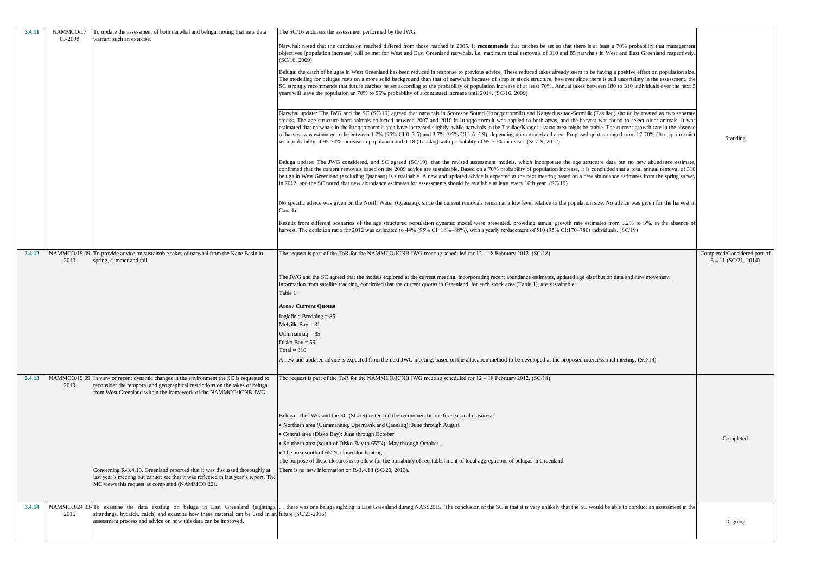| 3.4.11 | NAMMCO/17   | To update the assessment of both narwhal and beluga, noting that new data                                                                                             | The SC/16 endorses the assessment performed by the JWG.                                                                                                                                                                                                                                                                                                                  |                              |
|--------|-------------|-----------------------------------------------------------------------------------------------------------------------------------------------------------------------|--------------------------------------------------------------------------------------------------------------------------------------------------------------------------------------------------------------------------------------------------------------------------------------------------------------------------------------------------------------------------|------------------------------|
|        | 09-2008     | warrant such an exercise.                                                                                                                                             | Narwhal: noted that the conclusion reached differed from those reached in 2005. It recommends that catches be set so that there is at least a 70% probability that managemen                                                                                                                                                                                             |                              |
|        |             |                                                                                                                                                                       | objectives (population increase) will be met for West and East Greenland narwhals, i.e. maximum total removals of 310 and 85 narwhals in West and East Greenland respectively                                                                                                                                                                                            |                              |
|        |             |                                                                                                                                                                       | (SC/16, 2009)                                                                                                                                                                                                                                                                                                                                                            |                              |
|        |             |                                                                                                                                                                       | Beluga: the catch of belugas in West Greenland has been reduced in response to previous advice. These reduced takes already seem to be having a positive effect on population size                                                                                                                                                                                       |                              |
|        |             |                                                                                                                                                                       | The modelling for belugas rests on a more solid background than that of narwhals because of simpler stock structure, however since there is still uncertainty in the assessment, the                                                                                                                                                                                     |                              |
|        |             |                                                                                                                                                                       | SC strongly recommends that future catches be set according to the probability of population increase of at least 70%. Annual takes between 180 to 310 individuals over the next 5                                                                                                                                                                                       |                              |
|        |             |                                                                                                                                                                       | years will leave the population an 70% to 95% probability of a continued increase until 2014. (SC/16, 2009)                                                                                                                                                                                                                                                              |                              |
|        |             |                                                                                                                                                                       |                                                                                                                                                                                                                                                                                                                                                                          |                              |
|        |             |                                                                                                                                                                       | Narwhal update: The JWG and the SC (SC/19) agreed that narwhals in Scoresby Sound (Ittoqqortormiit) and Kangerlussuaq-Sermilik (Tasiilaq) should be treated as two separate                                                                                                                                                                                              |                              |
|        |             |                                                                                                                                                                       | stocks. The age structure from animals collected between 2007 and 2010 in Ittoqqortormiit was applied to both areas, and the harvest was found to select older animals. It was<br>estimated that narwhals in the Ittoqqortormiit area have increased slightly, while narwhals in the Tasiilaq/Kangerlussuaq area might be stable. The current growth rate in the absence |                              |
|        |             |                                                                                                                                                                       | of harvest was estimated to lie between 1.2% (95% CI:0-3.5) and 3.7% (95% CI:1.6-5.9), depending upon model and area. Proposed quotas ranged from 17-70% (Ittoqqortormiit)                                                                                                                                                                                               | Standing                     |
|        |             |                                                                                                                                                                       | with probability of 95-70% increase in population and 0-18 (Tasiilaq) with probability of 95-70% increase. (SC/19, 2012)                                                                                                                                                                                                                                                 |                              |
|        |             |                                                                                                                                                                       |                                                                                                                                                                                                                                                                                                                                                                          |                              |
|        |             |                                                                                                                                                                       | Beluga update: The JWG considered, and SC agreed (SC/19), that the revised assessment models, which incorporate the age structure data but no new abundance estimate                                                                                                                                                                                                     |                              |
|        |             |                                                                                                                                                                       | confirmed that the current removals based on the 2009 advice are sustainable. Based on a 70% probability of population increase, it is concluded that a total annual removal of 310                                                                                                                                                                                      |                              |
|        |             |                                                                                                                                                                       | beluga in West Greenland (excluding Qaanaaq) is sustainable. A new and updated advice is expected at the next meeting based on a new abundance estimates from the spring survey<br>in 2012, and the SC noted that new abundance estimates for assessments should be available at least every 10th year. (SC/19)                                                          |                              |
|        |             |                                                                                                                                                                       |                                                                                                                                                                                                                                                                                                                                                                          |                              |
|        |             |                                                                                                                                                                       |                                                                                                                                                                                                                                                                                                                                                                          |                              |
|        |             |                                                                                                                                                                       | No specific advice was given on the North Water (Qaanaaq), since the current removals remain at a low level relative to the population size. No advice was given for the harvest in<br>Canada.                                                                                                                                                                           |                              |
|        |             |                                                                                                                                                                       |                                                                                                                                                                                                                                                                                                                                                                          |                              |
|        |             |                                                                                                                                                                       | Results from different scenarios of the age structured population dynamic model were presented, providing annual growth rate estimates from 3.2% to 5%, in the absence o<br>harvest. The depletion ratio for 2012 was estimated to 44% (95% CI: 16%–88%), with a yearly replacement of 510 (95% CI:170–780) individuals. (SC/19)                                         |                              |
|        |             |                                                                                                                                                                       |                                                                                                                                                                                                                                                                                                                                                                          |                              |
|        |             |                                                                                                                                                                       |                                                                                                                                                                                                                                                                                                                                                                          |                              |
| 3.4.12 |             | NAMMCO/19 09 To provide advice on sustainable takes of narwhal from the Kane Basin in                                                                                 | The request is part of the ToR for the NAMMCO/JCNB JWG meeting scheduled for $12 - 18$ February 2012. (SC/18)                                                                                                                                                                                                                                                            | Completed/Considered part of |
|        | 2010        | spring, summer and fall.                                                                                                                                              |                                                                                                                                                                                                                                                                                                                                                                          | $3.4.11$ (SC/21, 2014)       |
|        |             |                                                                                                                                                                       | The JWG and the SC agreed that the models explored at the current meeting, incorporating recent abundance estimates, updated age distribution data and new movement                                                                                                                                                                                                      |                              |
|        |             |                                                                                                                                                                       | information from satellite tracking, confirmed that the current quotas in Greenland, for each stock area (Table 1), are sustainable:                                                                                                                                                                                                                                     |                              |
|        |             |                                                                                                                                                                       | Table 1.                                                                                                                                                                                                                                                                                                                                                                 |                              |
|        |             |                                                                                                                                                                       | <b>Area / Current Quotas</b>                                                                                                                                                                                                                                                                                                                                             |                              |
|        |             |                                                                                                                                                                       |                                                                                                                                                                                                                                                                                                                                                                          |                              |
|        |             |                                                                                                                                                                       | Inglefield Bredning $= 85$<br>Melville Bay = $81$                                                                                                                                                                                                                                                                                                                        |                              |
|        |             |                                                                                                                                                                       | Uummannaq $= 85$                                                                                                                                                                                                                                                                                                                                                         |                              |
|        |             |                                                                                                                                                                       | Disko Bay = $59$                                                                                                                                                                                                                                                                                                                                                         |                              |
|        |             |                                                                                                                                                                       | $Total = 310$                                                                                                                                                                                                                                                                                                                                                            |                              |
|        |             |                                                                                                                                                                       | A new and updated advice is expected from the next JWG meeting, based on the allocation method to be developed at the proposed intercessional meeting. (SC/19)                                                                                                                                                                                                           |                              |
|        |             |                                                                                                                                                                       |                                                                                                                                                                                                                                                                                                                                                                          |                              |
| 3.4.13 | NAMMCO/1909 | In view of recent dynamic changes in the environment the SC is requested to                                                                                           | The request is part of the ToR for the NAMMCO/JCNB JWG meeting scheduled for 12 - 18 February 2012. (SC/18)                                                                                                                                                                                                                                                              |                              |
|        | 2010        | reconsider the temporal and geographical restrictions on the takes of beluga                                                                                          |                                                                                                                                                                                                                                                                                                                                                                          |                              |
|        |             | from West Greenland within the framework of the NAMMCO/JCNB JWG.                                                                                                      |                                                                                                                                                                                                                                                                                                                                                                          |                              |
|        |             |                                                                                                                                                                       |                                                                                                                                                                                                                                                                                                                                                                          |                              |
|        |             |                                                                                                                                                                       | Beluga: The JWG and the SC (SC/19) reiterated the recommendations for seasonal closures:                                                                                                                                                                                                                                                                                 |                              |
|        |             |                                                                                                                                                                       | • Northern area (Uummannaq, Upernavik and Qaanaaq): June through August                                                                                                                                                                                                                                                                                                  |                              |
|        |             |                                                                                                                                                                       | · Central area (Disko Bay): June through October                                                                                                                                                                                                                                                                                                                         |                              |
|        |             |                                                                                                                                                                       | • Southern area (south of Disko Bay to 65°N): May through October.                                                                                                                                                                                                                                                                                                       | Completed                    |
|        |             |                                                                                                                                                                       | • The area south of 65°N, closed for hunting.                                                                                                                                                                                                                                                                                                                            |                              |
|        |             |                                                                                                                                                                       | The purpose of these closures is to allow for the possibility of reestablishment of local aggregations of belugas in Greenland                                                                                                                                                                                                                                           |                              |
|        |             | Concerning R-3.4.13. Greenland reported that it was discussed thoroughly at                                                                                           | There is no new information on $R-3.4.13$ (SC/20, 2013).                                                                                                                                                                                                                                                                                                                 |                              |
|        |             | last year's meeting but cannot see that it was reflected in last year's report. The                                                                                   |                                                                                                                                                                                                                                                                                                                                                                          |                              |
|        |             | MC views this request as completed (NAMMCO 22).                                                                                                                       |                                                                                                                                                                                                                                                                                                                                                                          |                              |
|        |             |                                                                                                                                                                       |                                                                                                                                                                                                                                                                                                                                                                          |                              |
| 3.4.14 |             | NAMMCO/24 03-To examine the data existing on beluga in East Greenland (sightings,                                                                                     | there was one beluga sighting in East Greenland during NASS2015. The conclusion of the SC is that it is very unlikely that the SC would be able to conduct an assessment in the                                                                                                                                                                                          |                              |
|        | 2016        | strandings, bycatch, catch) and examine how these material can be used in an future $(SC/23-2016)$<br>assessment process and advice on how this data can be improved. |                                                                                                                                                                                                                                                                                                                                                                          | Ongoing                      |
|        |             |                                                                                                                                                                       |                                                                                                                                                                                                                                                                                                                                                                          |                              |
|        |             |                                                                                                                                                                       |                                                                                                                                                                                                                                                                                                                                                                          |                              |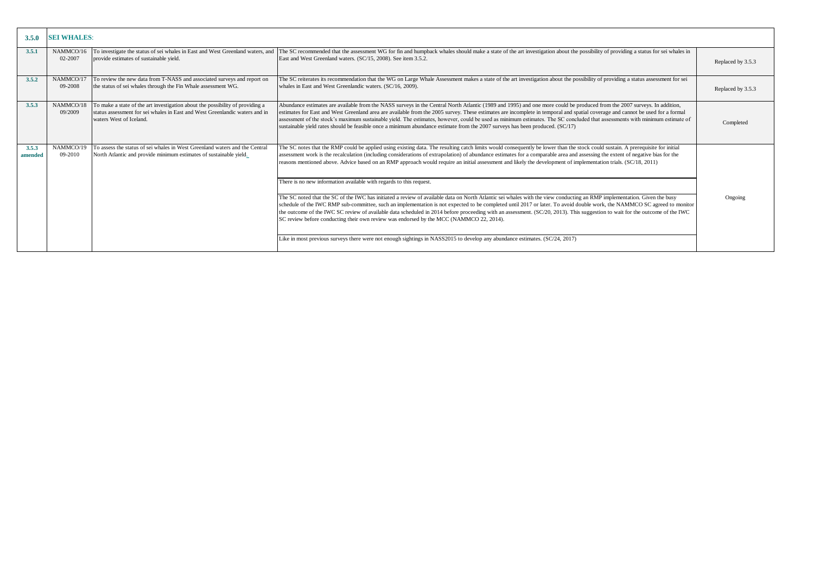| 3.5.0            | <b>SEI WHALES:</b>   |                                                                                                                                                                                        |                                                                                                                                                                                                                                                                                                                                                                                                                                                                                                                                                                                                                                                                                                                                                                                                                                                                                                                                                                                                                                                                                                                                                                                                                                                                                                                                                                                |                   |
|------------------|----------------------|----------------------------------------------------------------------------------------------------------------------------------------------------------------------------------------|--------------------------------------------------------------------------------------------------------------------------------------------------------------------------------------------------------------------------------------------------------------------------------------------------------------------------------------------------------------------------------------------------------------------------------------------------------------------------------------------------------------------------------------------------------------------------------------------------------------------------------------------------------------------------------------------------------------------------------------------------------------------------------------------------------------------------------------------------------------------------------------------------------------------------------------------------------------------------------------------------------------------------------------------------------------------------------------------------------------------------------------------------------------------------------------------------------------------------------------------------------------------------------------------------------------------------------------------------------------------------------|-------------------|
| 3.5.1            | NAMMCO/16<br>02-2007 | To investigate the status of sei whales in East and West Greenland waters, and<br>provide estimates of sustainable yield.                                                              | The SC recommended that the assessment WG for fin and humpback whales should make a state of the art investigation about the possibility of providing a status for sei whales in<br>East and West Greenland waters. (SC/15, 2008). See item 3.5.2.                                                                                                                                                                                                                                                                                                                                                                                                                                                                                                                                                                                                                                                                                                                                                                                                                                                                                                                                                                                                                                                                                                                             | Replaced by 3.5.3 |
| 3.5.2            | NAMMCO/17<br>09-2008 | To review the new data from T-NASS and associated surveys and report on<br>the status of sei whales through the Fin Whale assessment WG.                                               | The SC reiterates its recommendation that the WG on Large Whale Assessment makes a state of the art investigation about the possibility of providing a status assessment for sei<br>whales in East and West Greenlandic waters. (SC/16, 2009).                                                                                                                                                                                                                                                                                                                                                                                                                                                                                                                                                                                                                                                                                                                                                                                                                                                                                                                                                                                                                                                                                                                                 | Replaced by 3.5.3 |
| 3.5.3            | NAMMCO/18<br>09/2009 | To make a state of the art investigation about the possibility of providing a<br>status assessment for sei whales in East and West Greenlandic waters and in<br>waters West of Iceland | Abundance estimates are available from the NASS surveys in the Central North Atlantic (1989 and 1995) and one more could be produced from the 2007 surveys. In addition,<br>estimates for East and West Greenland area are available from the 2005 survey. These estimates are incomplete in temporal and spatial coverage and cannot be used for a formal<br>assessment of the stock's maximum sustainable yield. The estimates, however, could be used as minimum estimates. The SC concluded that assessments with minimum estimate of<br>sustainable yield rates should be feasible once a minimum abundance estimate from the 2007 surveys has been produced. (SC/17)                                                                                                                                                                                                                                                                                                                                                                                                                                                                                                                                                                                                                                                                                                     | Completed         |
| 3.5.3<br>amended | NAMMCO/19<br>09-2010 | To assess the status of sei whales in West Greenland waters and the Central<br>North Atlantic and provide minimum estimates of sustainable yield.                                      | The SC notes that the RMP could be applied using existing data. The resulting catch limits would consequently be lower than the stock could sustain. A prerequisite for initial<br>assessment work is the recalculation (including considerations of extrapolation) of abundance estimates for a comparable area and assessing the extent of negative bias for the<br>reasons mentioned above. Advice based on an RMP approach would require an initial assessment and likely the development of implementation trials. (SC/18, 2011)<br>There is no new information available with regards to this request.<br>The SC noted that the SC of the IWC has initiated a review of available data on North Atlantic sei whales with the view conducting an RMP implementation. Given the busy<br>schedule of the IWC RMP sub-committee, such an implementation is not expected to be completed until 2017 or later. To avoid double work, the NAMMCO SC agreed to monitor<br>the outcome of the IWC SC review of available data scheduled in 2014 before proceeding with an assessment. (SC/20, 2013). This suggestion to wait for the outcome of the IWC<br>SC review before conducting their own review was endorsed by the MCC (NAMMCO 22, 2014).<br>Like in most previous surveys there were not enough sightings in NASS2015 to develop any abundance estimates. (SC/24, 2017) | Ongoing           |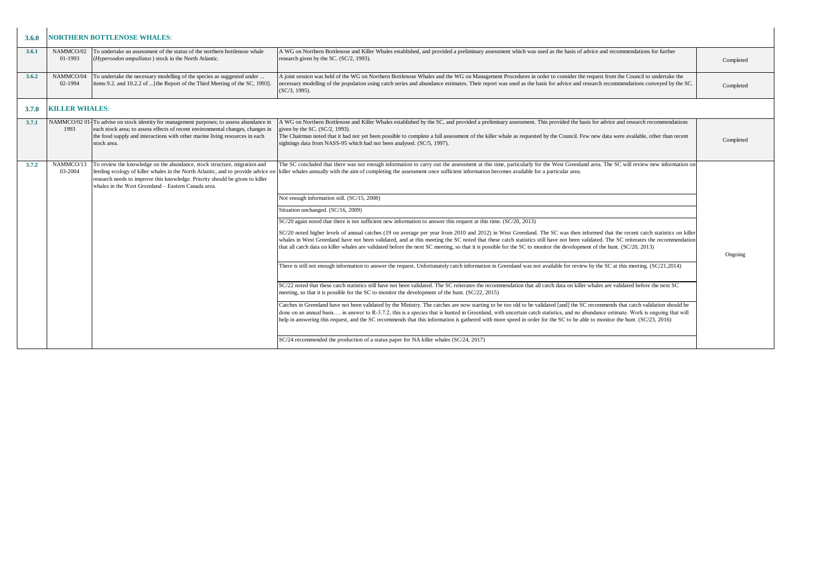| 3.6.0 |                       | <b>NORTHERN BOTTLENOSE WHALES:</b>                                                                                                                                                                                                                                       |                                                                                                                                                                                                                                                                                                                                                                                                                                                                                                                                                     |           |
|-------|-----------------------|--------------------------------------------------------------------------------------------------------------------------------------------------------------------------------------------------------------------------------------------------------------------------|-----------------------------------------------------------------------------------------------------------------------------------------------------------------------------------------------------------------------------------------------------------------------------------------------------------------------------------------------------------------------------------------------------------------------------------------------------------------------------------------------------------------------------------------------------|-----------|
| 3.6.1 | NAMMCO/02<br>01-1993  | To undertake an assessment of the status of the northern bottlenose whale<br>(Hyperoodon ampullatus) stock in the North Atlantic.                                                                                                                                        | A WG on Northern Bottlenose and Killer Whales established, and provided a preliminary assessment which was used as the basis of advice and recommendations for further<br>research given by the SC. (SC/2, 1993).                                                                                                                                                                                                                                                                                                                                   | Completed |
| 3.6.2 | NAMMCO/04<br>02-1994  | To undertake the necessary modelling of the species as suggested under<br>items 9.2. and 10.2.2 of  [the Report of the Third Meeting of the SC, 1993]                                                                                                                    | A joint session was held of the WG on Northern Bottlenose Whales and the WG on Management Procedures in order to consider the request from the Council to undertake the<br>necessary modelling of the population using catch series and abundance estimates. Their report was used as the basis for advice and research recommendations conveyed by the SC.<br>$(SC/3, 1995)$ .                                                                                                                                                                     | Completed |
| 3.7.0 | <b>KILLER WHALES:</b> |                                                                                                                                                                                                                                                                          |                                                                                                                                                                                                                                                                                                                                                                                                                                                                                                                                                     |           |
| 3.7.1 | 1993                  | NAMMCO/02 01-To advise on stock identity for management purposes; to assess abundance in<br>each stock area; to assess effects of recent environmental changes, changes in<br>the food supply and interactions with other marine living resources in each<br>stock area. | A WG on Northern Bottlenose and Killer Whales established by the SC, and provided a preliminary assessment. This provided the basis for advice and research recommendations<br>given by the SC. $(SC/2, 1993)$ .<br>The Chairman noted that it had not yet been possible to complete a full assessment of the killer whale as requested by the Council. Few new data were available, other than recent<br>sightings data from NASS-95 which had not been analysed. (SC/5, 1997).                                                                    | Completed |
| 3.7.2 | NAMMCO/13<br>03-2004  | To review the knowledge on the abundance, stock structure, migration and<br>research needs to improve this knowledge. Priority should be given to killer<br>whales in the West Greenland - Eastern Canada area.                                                          | The SC concluded that there was not enough information to carry out the assessment at this time, particularly for the West Greenland area. The SC will review new information on<br>feeding ecology of killer whales in the North Atlantic, and to provide advice on killer whales annually with the aim of completing the assessment once sufficient information becomes available for a particular area.                                                                                                                                          |           |
|       |                       |                                                                                                                                                                                                                                                                          | Not enough information still. (SC/15, 2008)                                                                                                                                                                                                                                                                                                                                                                                                                                                                                                         |           |
|       |                       |                                                                                                                                                                                                                                                                          | Situation unchanged. (SC/16, 2009)                                                                                                                                                                                                                                                                                                                                                                                                                                                                                                                  |           |
|       |                       |                                                                                                                                                                                                                                                                          | SC/20 again noted that there is not sufficient new information to answer this request at this time. (SC/20, 2013)                                                                                                                                                                                                                                                                                                                                                                                                                                   |           |
|       |                       |                                                                                                                                                                                                                                                                          | SC/20 noted higher levels of annual catches (19 on average per year from 2010 and 2012) in West Greenland. The SC was then informed that the recent catch statistics on killer<br>whales in West Greenland have not been validated, and at this meeting the SC noted that these catch statistics still have not been validated. The SC reiterates the recommendation<br>that all catch data on killer whales are validated before the next SC meeting, so that it is possible for the SC to monitor the development of the hunt. (SC/20, 2013)      | Ongoing   |
|       |                       |                                                                                                                                                                                                                                                                          | There is still not enough information to answer the request. Unfortunately catch information in Greenland was not available for review by the SC at this meeting. (SC/21,2014)                                                                                                                                                                                                                                                                                                                                                                      |           |
|       |                       |                                                                                                                                                                                                                                                                          | SC/22 noted that these catch statistics still have not been validated. The SC reiterates the recommendation that all catch data on killer whales are validated before the next SC<br>meeting, so that it is possible for the SC to monitor the development of the hunt. (SC/22, 2015)                                                                                                                                                                                                                                                               |           |
|       |                       |                                                                                                                                                                                                                                                                          | Catches in Greenland have not been validated by the Ministry. The catches are now starting to be too old to be validated [and] the SC recommends that catch validation should be<br>done on an annual basis in answer to R-3.7.2, this is a species that is hunted in Greenland, with uncertain catch statistics, and no abundance estimate. Work is ongoing that will<br>help in answering this request, and the SC recommends that this information is gathered with more speed in order for the SC to be able to monitor the hunt. (SC/23, 2016) |           |
|       |                       |                                                                                                                                                                                                                                                                          | SC/24 recommended the production of a status paper for NA killer whales (SC/24, 2017)                                                                                                                                                                                                                                                                                                                                                                                                                                                               |           |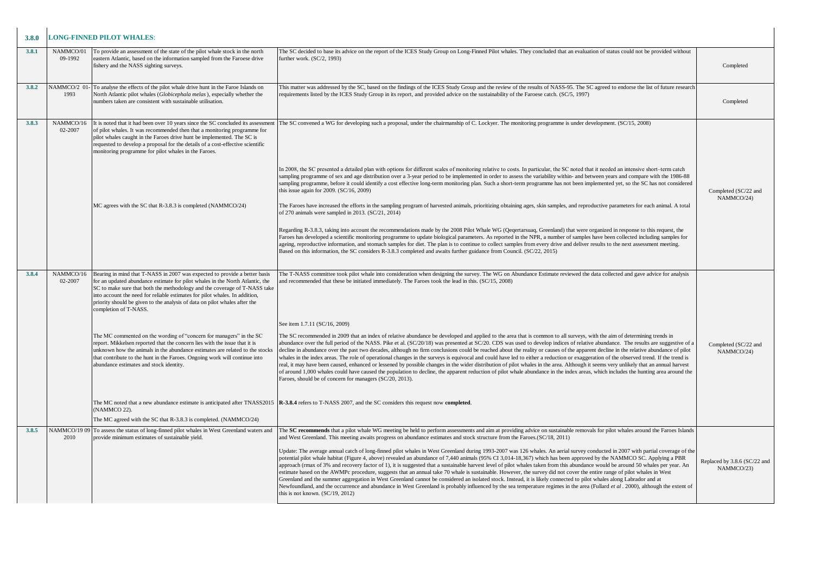| 3.8.0 |                      | <b>LONG-FINNED PILOT WHALES:</b>                                                                                                                                                                                                                                                                                                                                                                                              |                                                                                                                                                                                                                                                                                                                                                                                                                                                                                                                                                                                                                                                                                                                                                                                                                                                                                                                                                                                                                                                                                                                                                                                                                                                                                                                                                                                                                                        |                                            |
|-------|----------------------|-------------------------------------------------------------------------------------------------------------------------------------------------------------------------------------------------------------------------------------------------------------------------------------------------------------------------------------------------------------------------------------------------------------------------------|----------------------------------------------------------------------------------------------------------------------------------------------------------------------------------------------------------------------------------------------------------------------------------------------------------------------------------------------------------------------------------------------------------------------------------------------------------------------------------------------------------------------------------------------------------------------------------------------------------------------------------------------------------------------------------------------------------------------------------------------------------------------------------------------------------------------------------------------------------------------------------------------------------------------------------------------------------------------------------------------------------------------------------------------------------------------------------------------------------------------------------------------------------------------------------------------------------------------------------------------------------------------------------------------------------------------------------------------------------------------------------------------------------------------------------------|--------------------------------------------|
| 3.8.1 | NAMMCO/01<br>09-1992 | To provide an assessment of the state of the pilot whale stock in the north<br>astern Atlantic, based on the information sampled from the Faroese drive<br>fishery and the NASS sighting surveys.                                                                                                                                                                                                                             | The SC decided to base its advice on the report of the ICES Study Group on Long-Finned Pilot whales. They concluded that an evaluation of status could not be provided without<br>further work. (SC/2, 1993)                                                                                                                                                                                                                                                                                                                                                                                                                                                                                                                                                                                                                                                                                                                                                                                                                                                                                                                                                                                                                                                                                                                                                                                                                           | Completed                                  |
| 3.8.2 | NAMMCO/2 01-<br>1993 | To analyse the effects of the pilot whale drive hunt in the Faroe Islands on<br>North Atlantic pilot whales (Globicephala melas), especially whether the<br>numbers taken are consistent with sustainable utilisation.                                                                                                                                                                                                        | This matter was addressed by the SC, based on the findings of the ICES Study Group and the review of the results of NASS-95. The SC agreed to endorse the list of future research<br>requirements listed by the ICES Study Group in its report, and provided advice on the sustainability of the Faroese catch. (SC/5, 1997)                                                                                                                                                                                                                                                                                                                                                                                                                                                                                                                                                                                                                                                                                                                                                                                                                                                                                                                                                                                                                                                                                                           | Completed                                  |
| 3.8.3 | NAMMCO/16<br>02-2007 | It is noted that it had been over 10 years since the SC concluded its assessment<br>of pilot whales. It was recommended then that a monitoring programme for<br>pilot whales caught in the Faroes drive hunt be implemented. The SC is<br>requested to develop a proposal for the details of a cost-effective scientific<br>monitoring programme for pilot whales in the Faroes.                                              | The SC convened a WG for developing such a proposal, under the chairmanship of C. Lockyer. The monitoring programme is under development. (SC/15, 2008)                                                                                                                                                                                                                                                                                                                                                                                                                                                                                                                                                                                                                                                                                                                                                                                                                                                                                                                                                                                                                                                                                                                                                                                                                                                                                |                                            |
|       |                      |                                                                                                                                                                                                                                                                                                                                                                                                                               | In 2008, the SC presented a detailed plan with options for different scales of monitoring relative to costs. In particular, the SC noted that it needed an intensive short-term catch<br>sampling programme of sex and age distribution over a 3-year period to be implemented in order to assess the variability within- and between years and compare with the 1986-88<br>sampling programme, before it could identify a cost effective long-term monitoring plan. Such a short-term programme has not been implemented yet, so the SC has not considered<br>this issue again for 2009. (SC/16, 2009)                                                                                                                                                                                                                                                                                                                                                                                                                                                                                                                                                                                                                                                                                                                                                                                                                                | Completed (SC/22 and<br>NAMMCO/24)         |
|       |                      | MC agrees with the SC that R-3.8.3 is completed (NAMMCO/24)                                                                                                                                                                                                                                                                                                                                                                   | The Faroes have increased the efforts in the sampling program of harvested animals, prioritizing obtaining ages, skin samples, and reproductive parameters for each animal. A total<br>of 270 animals were sampled in 2013. (SC/21, 2014)                                                                                                                                                                                                                                                                                                                                                                                                                                                                                                                                                                                                                                                                                                                                                                                                                                                                                                                                                                                                                                                                                                                                                                                              |                                            |
|       |                      |                                                                                                                                                                                                                                                                                                                                                                                                                               | Regarding R-3.8.3, taking into account the recommendations made by the 2008 Pilot Whale WG (Qeqertarsuaq, Greenland) that were organized in response to this request, the<br>Faroes has developed a scientific monitoring programme to update biological parameters. As reported in the NPR, a number of samples have been collected including samples for<br>ageing, reproductive information, and stomach samples for diet. The plan is to continue to collect samples from every drive and deliver results to the next assessment meeting.<br>Based on this information, the SC considers R-3.8.3 completed and awaits further guidance from Council. (SC/22, 2015)                                                                                                                                                                                                                                                                                                                                                                                                                                                                                                                                                                                                                                                                                                                                                                 |                                            |
| 3.8.4 | NAMMCO/16<br>02-2007 | Bearing in mind that T-NASS in 2007 was expected to provide a better basis<br>for an updated abundance estimate for pilot whales in the North Atlantic, the<br>SC to make sure that both the methodology and the coverage of T-NASS take<br>into account the need for reliable estimates for pilot whales. In addition,<br>priority should be given to the analysis of data on pilot whales after the<br>ompletion of T-NASS. | The T-NASS committee took pilot whale into consideration when designing the survey. The WG on Abundance Estimate reviewed the data collected and gave advice for analysis<br>and recommended that these be initiated immediately. The Faroes took the lead in this. (SC/15, 2008)                                                                                                                                                                                                                                                                                                                                                                                                                                                                                                                                                                                                                                                                                                                                                                                                                                                                                                                                                                                                                                                                                                                                                      |                                            |
|       |                      |                                                                                                                                                                                                                                                                                                                                                                                                                               | See item 1.7.11 (SC/16, 2009)                                                                                                                                                                                                                                                                                                                                                                                                                                                                                                                                                                                                                                                                                                                                                                                                                                                                                                                                                                                                                                                                                                                                                                                                                                                                                                                                                                                                          |                                            |
|       |                      | The MC commented on the wording of "concern for managers" in the SC<br>report. Mikkelsen reported that the concern lies with the issue that it is<br>unknown how the animals in the abundance estimates are related to the stocks<br>that contribute to the hunt in the Faroes. Ongoing work will continue into<br>abundance estimates and stock identity.                                                                    | The SC recommended in 2009 that an index of relative abundance be developed and applied to the area that is common to all surveys, with the aim of determining trends in<br>abundance over the full period of the NASS. Pike et al. (SC/20/18) was presented at SC/20. CDS was used to develop indices of relative abundance. The results are suggestive of a<br>decline in abundance over the past two decades, although no firm conclusions could be reached about the reality or causes of the apparent decline in the relative abundance of pilot<br>whales in the index areas. The role of operational changes in the surveys is equivocal and could have led to either a reduction or exaggeration of the observed trend. If the trend is<br>real, it may have been caused, enhanced or lessened by possible changes in the wider distribution of pilot whales in the area. Although it seems very unlikely that an annual harvest<br>of around 1,000 whales could have caused the population to decline, the apparent reduction of pilot whale abundance in the index areas, which includes the hunting area around the<br>Faroes, should be of concern for managers (SC/20, 2013).                                                                                                                                                                                                                                             | Completed (SC/22 and<br>NAMMCO/24)         |
|       |                      | (NAMMCO 22).                                                                                                                                                                                                                                                                                                                                                                                                                  | The MC noted that a new abundance estimate is anticipated after TNASS2015 R-3.8.4 refers to T-NASS 2007, and the SC considers this request now completed.                                                                                                                                                                                                                                                                                                                                                                                                                                                                                                                                                                                                                                                                                                                                                                                                                                                                                                                                                                                                                                                                                                                                                                                                                                                                              |                                            |
|       |                      | The MC agreed with the SC that R-3.8.3 is completed. (NAMMCO/24)                                                                                                                                                                                                                                                                                                                                                              |                                                                                                                                                                                                                                                                                                                                                                                                                                                                                                                                                                                                                                                                                                                                                                                                                                                                                                                                                                                                                                                                                                                                                                                                                                                                                                                                                                                                                                        |                                            |
| 3.8.5 | NAMMCO/1909<br>2010  | To assess the status of long-finned pilot whales in West Greenland waters and<br>provide minimum estimates of sustainable yield.                                                                                                                                                                                                                                                                                              | The SC recommends that a pilot whale WG meeting be held to perform assessments and aim at providing advice on sustainable removals for pilot whales around the Faroes Islands<br>and West Greenland. This meeting awaits progress on abundance estimates and stock structure from the Faroes.(SC/18, 2011)<br>Update: The average annual catch of long-finned pilot whales in West Greenland during 1993-2007 was 126 whales. An aerial survey conducted in 2007 with partial coverage of the<br>potential pilot whale habitat (Figure 4, above) revealed an abundance of 7,440 animals (95% CI 3,014-18,367) which has been approved by the NAMMCO SC. Applying a PBR<br>approach (rmax of 3% and recovery factor of 1), it is suggested that a sustainable harvest level of pilot whales taken from this abundance would be around 50 whales per year. An<br>estimate based on the AWMPc procedure, suggests that an annual take 70 whale is sustainable. However, the survey did not cover the entire range of pilot whales in West<br>Greenland and the summer aggregation in West Greenland cannot be considered an isolated stock. Instead, it is likely connected to pilot whales along Labrador and at<br>Newfoundland, and the occurrence and abundance in West Greenland is probably influenced by the sea temperature regimes in the area (Fullard et al. 2000), although the extent of<br>this is not known. (SC/19, 2012) | Replaced by 3.8.6 (SC/22 and<br>NAMMCO/23) |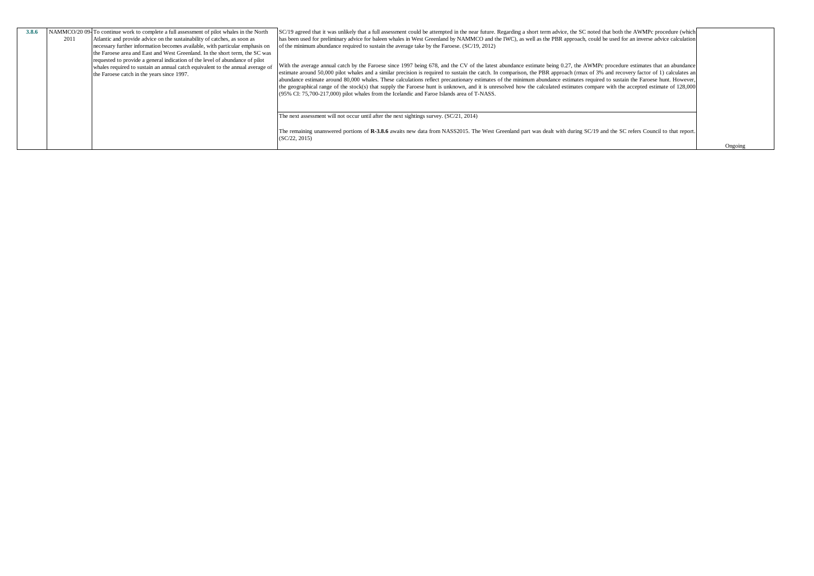| 3.8.6 | 2011 | NAMMCO/20 09-To continue work to complete a full assessment of pilot whales in the North<br>Atlantic and provide advice on the sustainability of catches, as soon as<br>necessary further information becomes available, with particular emphasis on<br>the Faroese area and East and West Greenland. In the short term, the SC was<br>requested to provide a general indication of the level of abundance of pilot<br>whales required to sustain an annual catch equivalent to the annual average of<br>the Faroese catch in the years since 1997. | SC/19 agreed that it was unlikely that a full assessment could be attempted in the near future. Regarding a short term advice, the SC noted that both the AWMPc procedure (which<br>has been used for preliminary advice for baleen whales in West Greenland by NAMMCO and the IWC), as well as the PBR approach, could be used for an inverse advice calculation<br>of the minimum abundance required to sustain the average take by the Faroese. (SC/19, 2012)<br>With the average annual catch by the Faroese since 1997 being 678, and the CV of the latest abundance estimate being 0.27, the AWMPc procedure estimates that an abundance<br>estimate around 50,000 pilot whales and a similar precision is required to sustain the catch. In comparison, the PBR approach (rmax of 3% and recovery factor of 1) calculates an<br>abundance estimate around 80,000 whales. These calculations reflect precautionary estimates of the minimum abundance estimates required to sustain the Faroese hunt. However,<br>the geographical range of the stock(s) that supply the Faroese hunt is unknown, and it is unresolved how the calculated estimates compare with the accepted estimate of 128,000<br>(95% CI: 75,700-217,000) pilot whales from the Icelandic and Faroe Islands area of T-NASS. |         |
|-------|------|-----------------------------------------------------------------------------------------------------------------------------------------------------------------------------------------------------------------------------------------------------------------------------------------------------------------------------------------------------------------------------------------------------------------------------------------------------------------------------------------------------------------------------------------------------|-------------------------------------------------------------------------------------------------------------------------------------------------------------------------------------------------------------------------------------------------------------------------------------------------------------------------------------------------------------------------------------------------------------------------------------------------------------------------------------------------------------------------------------------------------------------------------------------------------------------------------------------------------------------------------------------------------------------------------------------------------------------------------------------------------------------------------------------------------------------------------------------------------------------------------------------------------------------------------------------------------------------------------------------------------------------------------------------------------------------------------------------------------------------------------------------------------------------------------------------------------------------------------------------------------|---------|
|       |      |                                                                                                                                                                                                                                                                                                                                                                                                                                                                                                                                                     | The next assessment will not occur until after the next sightings survey. (SC/21, 2014)                                                                                                                                                                                                                                                                                                                                                                                                                                                                                                                                                                                                                                                                                                                                                                                                                                                                                                                                                                                                                                                                                                                                                                                                               |         |
|       |      |                                                                                                                                                                                                                                                                                                                                                                                                                                                                                                                                                     | The remaining unanswered portions of R-3.8.6 awaits new data from NASS2015. The West Greenland part was dealt with during SC/19 and the SC refers Council to that report.<br>(SC/22, 2015)                                                                                                                                                                                                                                                                                                                                                                                                                                                                                                                                                                                                                                                                                                                                                                                                                                                                                                                                                                                                                                                                                                            |         |
|       |      |                                                                                                                                                                                                                                                                                                                                                                                                                                                                                                                                                     |                                                                                                                                                                                                                                                                                                                                                                                                                                                                                                                                                                                                                                                                                                                                                                                                                                                                                                                                                                                                                                                                                                                                                                                                                                                                                                       | Ongoing |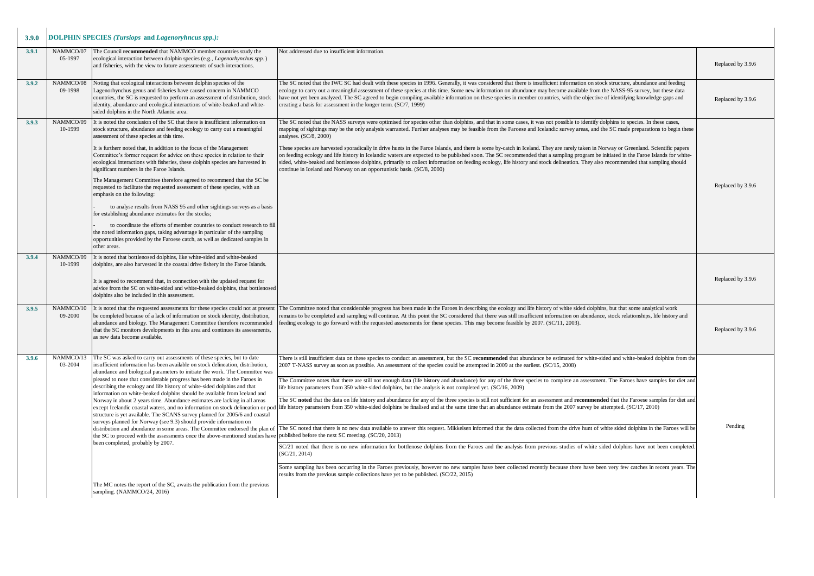| 3.9.0 |                      | <b>DOLPHIN SPECIES (Tursiops and Lagenoryhncus spp.):</b>                                                                                                                                                                                                                                                                                                                                                                                                                                                                                                                                                                                                                                                                                                                                                                                                                                                                                                                                                |                                                                                                                                                                                                                                                                                                                                                                                                                                                                                                                                                                                                                                          |                   |
|-------|----------------------|----------------------------------------------------------------------------------------------------------------------------------------------------------------------------------------------------------------------------------------------------------------------------------------------------------------------------------------------------------------------------------------------------------------------------------------------------------------------------------------------------------------------------------------------------------------------------------------------------------------------------------------------------------------------------------------------------------------------------------------------------------------------------------------------------------------------------------------------------------------------------------------------------------------------------------------------------------------------------------------------------------|------------------------------------------------------------------------------------------------------------------------------------------------------------------------------------------------------------------------------------------------------------------------------------------------------------------------------------------------------------------------------------------------------------------------------------------------------------------------------------------------------------------------------------------------------------------------------------------------------------------------------------------|-------------------|
| 3.9.1 | NAMMCO/07<br>05-1997 | The Council recommended that NAMMCO member countries study the<br>ecological interaction between dolphin species (e.g., Lagenorhynchus spp.)<br>and fisheries, with the view to future assessments of such interactions.                                                                                                                                                                                                                                                                                                                                                                                                                                                                                                                                                                                                                                                                                                                                                                                 | Not addressed due to insufficient information.                                                                                                                                                                                                                                                                                                                                                                                                                                                                                                                                                                                           | Replaced by 3.9.6 |
| 3.9.2 | NAMMCO/08<br>09-1998 | Noting that ecological interactions between dolphin species of the<br>Lagenorhynchus genus and fisheries have caused concern in NAMMCO<br>countries, the SC is requested to perform an assessment of distribution, stock<br>identity, abundance and ecological interactions of white-beaked and white-<br>sided dolphins in the North Atlantic area.                                                                                                                                                                                                                                                                                                                                                                                                                                                                                                                                                                                                                                                     | The SC noted that the IWC SC had dealt with these species in 1996. Generally, it was considered that there is insufficient information on stock structure, abundance and feeding<br>ecology to carry out a meaningful assessment of these species at this time. Some new information on abundance may become available from the NASS-95 survey, but these data<br>have not yet been analyzed. The SC agreed to begin compiling available information on these species in member countries, with the objective of identifying knowledge gaps and<br>creating a basis for assessment in the longer term. (SC/7, 1999)                      | Replaced by 3.9.6 |
| 3.9.3 | NAMMCO/09<br>10-1999 | It is noted the conclusion of the SC that there is insufficient information on<br>stock structure, abundance and feeding ecology to carry out a meaningful<br>assessment of these species at this time.                                                                                                                                                                                                                                                                                                                                                                                                                                                                                                                                                                                                                                                                                                                                                                                                  | The SC noted that the NASS surveys were optimised for species other than dolphins, and that in some cases, it was not possible to identify dolphins to species. In these cases,<br>mapping of sightings may be the only analysis warranted. Further analyses may be feasible from the Faroese and Icelandic survey areas, and the SC made preparations to begin these<br>analyses. (SC/8, 2000)                                                                                                                                                                                                                                          |                   |
|       |                      | It is furtherr noted that, in addition to the focus of the Management<br>Committee's former request for advice on these species in relation to their<br>ecological interactions with fisheries, these dolphin species are harvested in<br>ignificant numbers in the Faroe Islands.                                                                                                                                                                                                                                                                                                                                                                                                                                                                                                                                                                                                                                                                                                                       | These species are harvested sporadically in drive hunts in the Faroe Islands, and there is some by-catch in Iceland. They are rarely taken in Norway or Greenland. Scientific papers<br>on feeding ecology and life history in Icelandic waters are expected to be published soon. The SC recommended that a sampling program be initiated in the Faroe Islands for white-<br>sided, white-beaked and bottlenose dolphins, primarily to collect information on feeding ecology, life history and stock delineation. They also recommended that sampling should<br>continue in Iceland and Norway on an opportunistic basis. (SC/8, 2000) | Replaced by 3.9.6 |
|       |                      | The Management Committee therefore agreed to recommend that the SC be<br>equested to facilitate the requested assessment of these species, with an<br>mphasis on the following:                                                                                                                                                                                                                                                                                                                                                                                                                                                                                                                                                                                                                                                                                                                                                                                                                          |                                                                                                                                                                                                                                                                                                                                                                                                                                                                                                                                                                                                                                          |                   |
|       |                      | to analyse results from NASS 95 and other sightings surveys as a basis<br>for establishing abundance estimates for the stocks;                                                                                                                                                                                                                                                                                                                                                                                                                                                                                                                                                                                                                                                                                                                                                                                                                                                                           |                                                                                                                                                                                                                                                                                                                                                                                                                                                                                                                                                                                                                                          |                   |
|       |                      | to coordinate the efforts of member countries to conduct research to fill<br>the noted information gaps, taking advantage in particular of the sampling<br>opportunities provided by the Faroese catch, as well as dedicated samples in<br>other areas.                                                                                                                                                                                                                                                                                                                                                                                                                                                                                                                                                                                                                                                                                                                                                  |                                                                                                                                                                                                                                                                                                                                                                                                                                                                                                                                                                                                                                          |                   |
| 3.9.4 | NAMMCO/09<br>10-1999 | It is noted that bottlenosed dolphins, like white-sided and white-beaked<br>dolphins, are also harvested in the coastal drive fishery in the Faroe Islands.                                                                                                                                                                                                                                                                                                                                                                                                                                                                                                                                                                                                                                                                                                                                                                                                                                              |                                                                                                                                                                                                                                                                                                                                                                                                                                                                                                                                                                                                                                          |                   |
|       |                      | It is agreed to recommend that, in connection with the updated request for<br>advice from the SC on white-sided and white-beaked dolphins, that bottlenosed<br>dolphins also be included in this assessment.                                                                                                                                                                                                                                                                                                                                                                                                                                                                                                                                                                                                                                                                                                                                                                                             |                                                                                                                                                                                                                                                                                                                                                                                                                                                                                                                                                                                                                                          | Replaced by 3.9.6 |
| 3.9.5 | NAMMCO/10<br>09-2000 | It is noted that the requested assessments for these species could not at present<br>be completed because of a lack of information on stock identity, distribution,<br>abundance and biology. The Management Committee therefore recommended<br>that the SC monitors developments in this area and continues its assessments,<br>as new data become available.                                                                                                                                                                                                                                                                                                                                                                                                                                                                                                                                                                                                                                           | The Committee noted that considerable progress has been made in the Faroes in describing the ecology and life history of white sided dolphins, but that some analytical work<br>emains to be completed and sampling will continue. At this point the SC considered that there was still insufficient information on abundance, stock relationships, life history and<br>feeding ecology to go forward with the requested assessments for these species. This may become feasible by 2007. (SC/11, 2003).                                                                                                                                 | Replaced by 3.9.6 |
| 3.9.6 | NAMMCO/13<br>03-2004 | The SC was asked to carry out assessments of these species, but to date<br>insufficient information has been available on stock delineation, distribution,<br>abundance and biological parameters to initiate the work. The Committee was<br>pleased to note that considerable progress has been made in the Faroes in<br>describing the ecology and life history of white-sided dolphins and that<br>nformation on white-beaked dolphins should be available from Iceland and<br>Norway in about 2 years time. Abundance estimates are lacking in all areas<br>except Icelandic coastal waters, and no information on stock delineation or po<br>structure is yet available. The SCANS survey planned for 2005/6 and coastal<br>surveys planned for Norway (see 9.3) should provide information on<br>distribution and abundance in some areas. The Committee endorsed the plan of<br>the SC to proceed with the assessments once the above-mentioned studies have<br>been completed, probably by 2007. | There is still insufficient data on these species to conduct an assessment, but the SC recommended that abundance be estimated for white-sided and white-beaked dolphins from the<br>2007 T-NASS survey as soon as possible. An assessment of the species could be attempted in 2009 at the earliest. (SC/15, 2008)                                                                                                                                                                                                                                                                                                                      | Pending           |
|       |                      |                                                                                                                                                                                                                                                                                                                                                                                                                                                                                                                                                                                                                                                                                                                                                                                                                                                                                                                                                                                                          | The Committee notes that there are still not enough data (life history and abundance) for any of the three species to complete an assessment. The Faroes have samples for diet and<br>life history parameters from 350 white-sided dolphins, but the analysis is not completed yet. (SC/16, 2009)                                                                                                                                                                                                                                                                                                                                        |                   |
|       |                      |                                                                                                                                                                                                                                                                                                                                                                                                                                                                                                                                                                                                                                                                                                                                                                                                                                                                                                                                                                                                          | The SC noted that the data on life history and abundance for any of the three species is still not sufficient for an assessment and recommended that the Faroese samples for diet and<br>life history parameters from 350 white-sided dolphins be finalised and at the same time that an abundance estimate from the 2007 survey be attempted. (SC/17, 2010)                                                                                                                                                                                                                                                                             |                   |
|       |                      |                                                                                                                                                                                                                                                                                                                                                                                                                                                                                                                                                                                                                                                                                                                                                                                                                                                                                                                                                                                                          | The SC noted that there is no new data available to answer this request. Mikkelsen informed that the data collected from the drive hunt of white sided dolphins in the Faroes will be<br>published before the next SC meeting. (SC/20, 2013)                                                                                                                                                                                                                                                                                                                                                                                             |                   |
|       |                      |                                                                                                                                                                                                                                                                                                                                                                                                                                                                                                                                                                                                                                                                                                                                                                                                                                                                                                                                                                                                          | SC/21 noted that there is no new information for bottlenose dolphins from the Faroes and the analysis from previous studies of white sided dolphins have not been completed.<br>(SC/21, 2014)                                                                                                                                                                                                                                                                                                                                                                                                                                            |                   |
|       |                      |                                                                                                                                                                                                                                                                                                                                                                                                                                                                                                                                                                                                                                                                                                                                                                                                                                                                                                                                                                                                          | Some sampling has been occurring in the Faroes previously, however no new samples have been collected recently because there have been very few catches in recent years. The<br>results from the previous sample collections have yet to be published. (SC/22, 2015)                                                                                                                                                                                                                                                                                                                                                                     |                   |
|       |                      | The MC notes the report of the SC, awaits the publication from the previous<br>sampling. (NAMMCO/24, 2016)                                                                                                                                                                                                                                                                                                                                                                                                                                                                                                                                                                                                                                                                                                                                                                                                                                                                                               |                                                                                                                                                                                                                                                                                                                                                                                                                                                                                                                                                                                                                                          |                   |

 $\overline{1}$